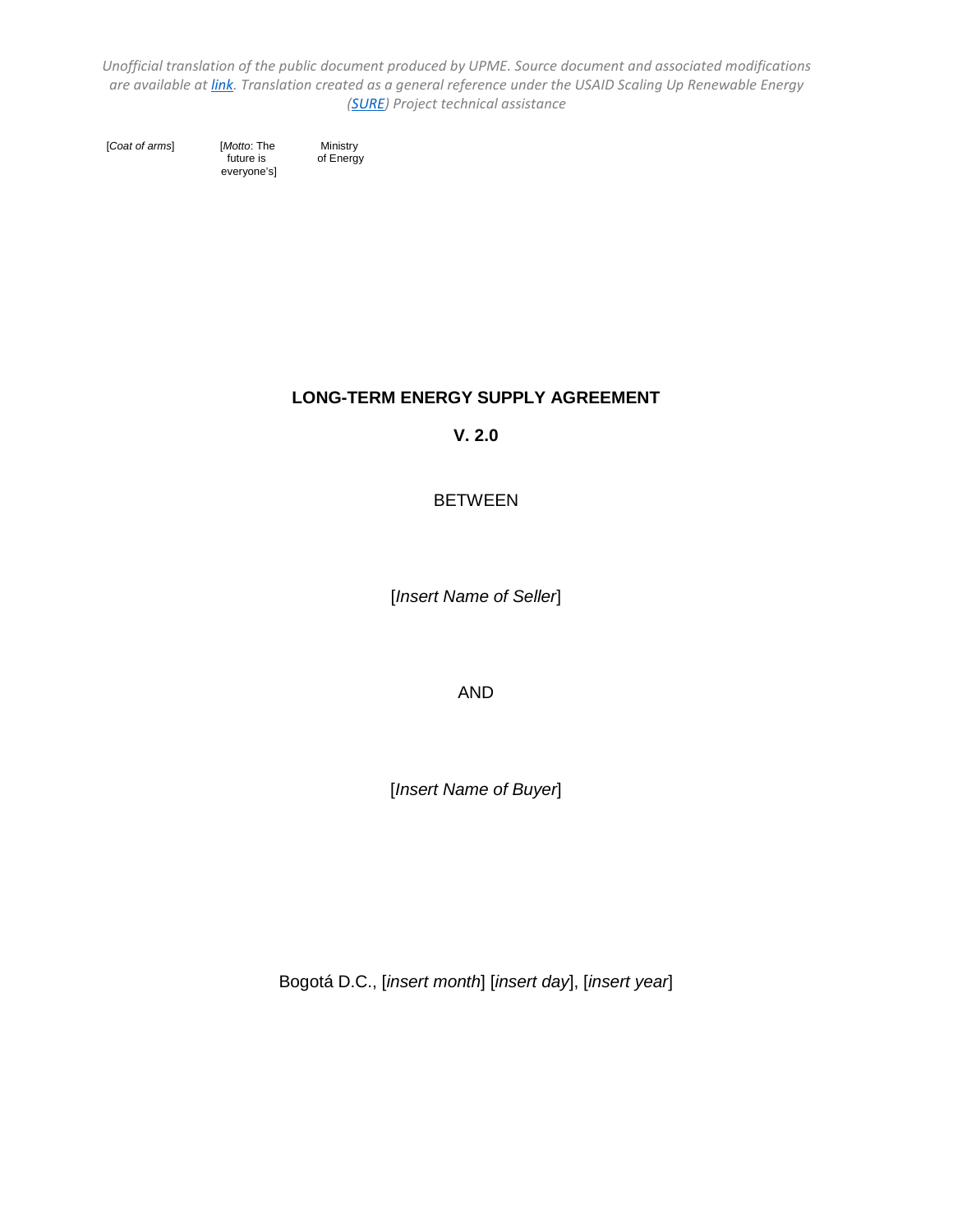[*Coat of arms*] [*Motto*: The Ministry

 future is of Energy everyone's]

## **LONG-TERM ENERGY SUPPLY AGREEMENT**

**V. 2.0**

# BETWEEN

[*Insert Name of Seller*]

AND

[*Insert Name of Buyer*]

Bogotá D.C., [*insert month*] [*insert day*], [*insert year*]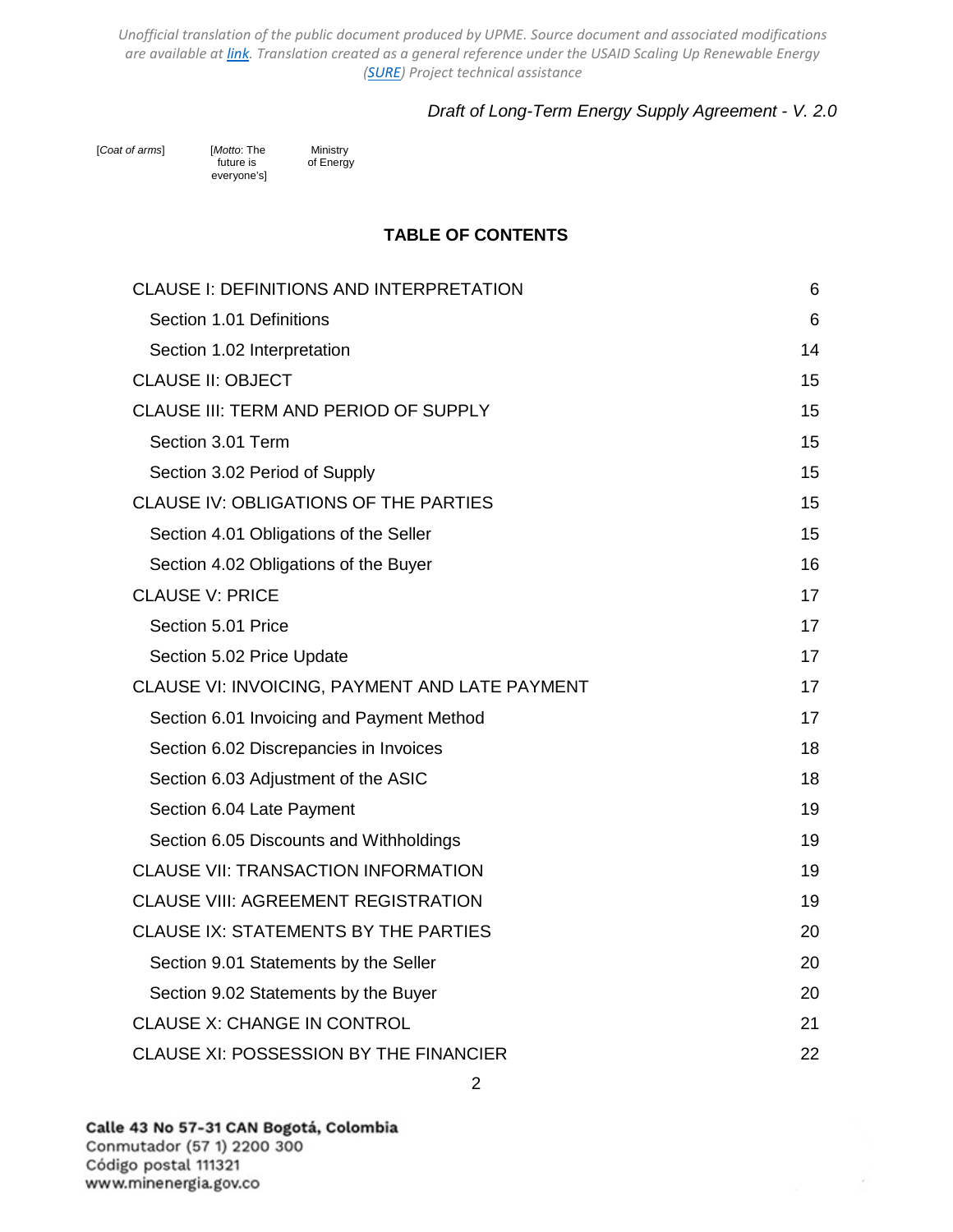## *Draft of Long-Term Energy Supply Agreement - V. 2.0*

[*Coat of arms*] [*Motto*: The Ministry future is of Energy everyone's]

**TABLE OF CONTENTS**

| CLAUSE I: DEFINITIONS AND INTERPRETATION       | 6  |
|------------------------------------------------|----|
| Section 1.01 Definitions                       | 6  |
| Section 1.02 Interpretation                    | 14 |
| <b>CLAUSE II: OBJECT</b>                       | 15 |
| CLAUSE III: TERM AND PERIOD OF SUPPLY          | 15 |
| Section 3.01 Term                              | 15 |
| Section 3.02 Period of Supply                  | 15 |
| <b>CLAUSE IV: OBLIGATIONS OF THE PARTIES</b>   | 15 |
| Section 4.01 Obligations of the Seller         | 15 |
| Section 4.02 Obligations of the Buyer          | 16 |
| <b>CLAUSE V: PRICE</b>                         | 17 |
| Section 5.01 Price                             | 17 |
| Section 5.02 Price Update                      | 17 |
| CLAUSE VI: INVOICING, PAYMENT AND LATE PAYMENT | 17 |
| Section 6.01 Invoicing and Payment Method      | 17 |
| Section 6.02 Discrepancies in Invoices         | 18 |
| Section 6.03 Adjustment of the ASIC            | 18 |
| Section 6.04 Late Payment                      | 19 |
| Section 6.05 Discounts and Withholdings        | 19 |
| <b>CLAUSE VII: TRANSACTION INFORMATION</b>     | 19 |
| <b>CLAUSE VIII: AGREEMENT REGISTRATION</b>     | 19 |
| <b>CLAUSE IX: STATEMENTS BY THE PARTIES</b>    | 20 |
| Section 9.01 Statements by the Seller          | 20 |
| Section 9.02 Statements by the Buyer           | 20 |
| <b>CLAUSE X: CHANGE IN CONTROL</b>             | 21 |
| CLAUSE XI: POSSESSION BY THE FINANCIER         | 22 |

À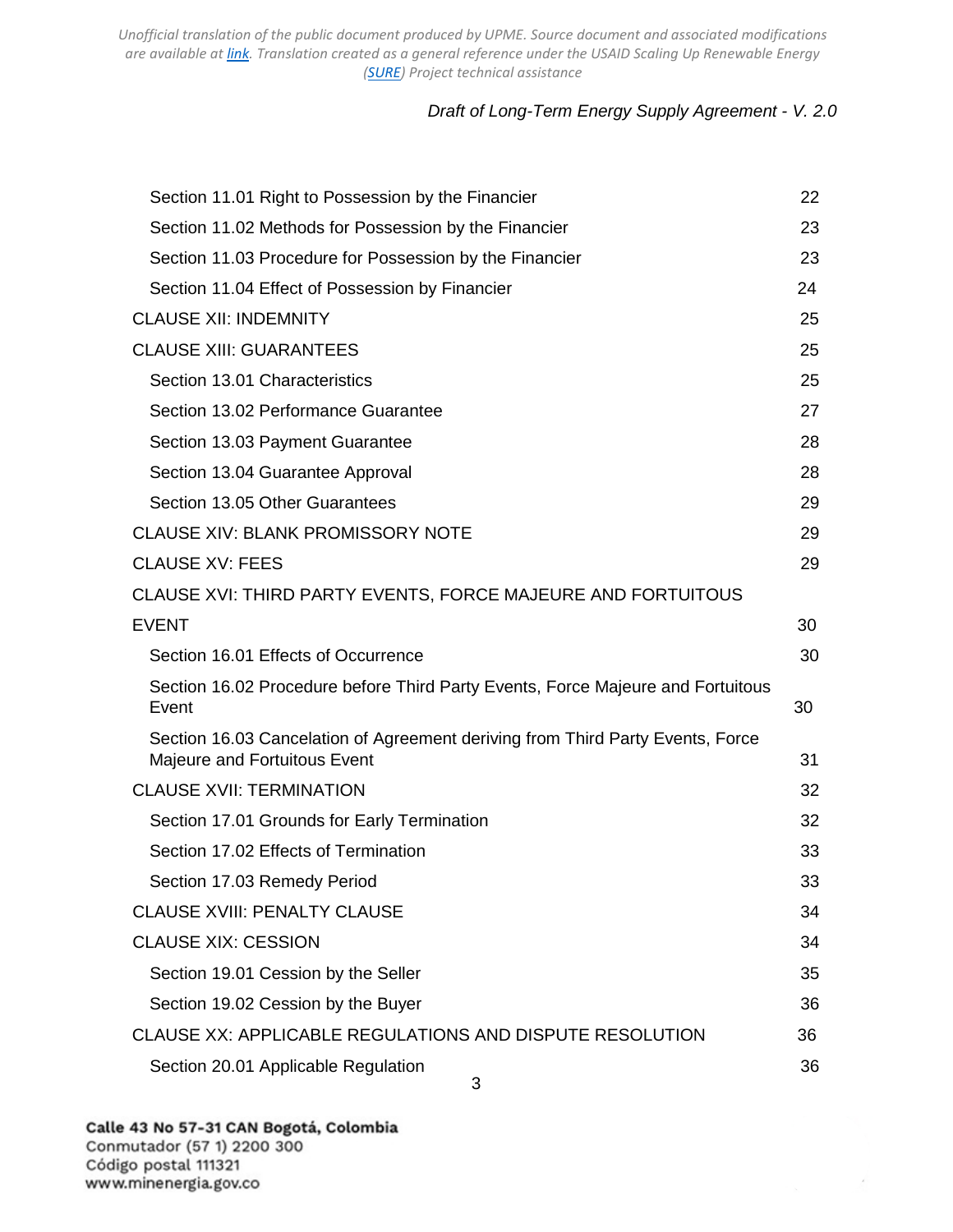# *Draft of Long-Term Energy Supply Agreement - V. 2.0*

À

| Section 11.01 Right to Possession by the Financier                                                             | 22 |
|----------------------------------------------------------------------------------------------------------------|----|
| Section 11.02 Methods for Possession by the Financier                                                          | 23 |
| Section 11.03 Procedure for Possession by the Financier                                                        | 23 |
| Section 11.04 Effect of Possession by Financier                                                                | 24 |
| <b>CLAUSE XII: INDEMNITY</b>                                                                                   | 25 |
| <b>CLAUSE XIII: GUARANTEES</b>                                                                                 | 25 |
| Section 13.01 Characteristics                                                                                  | 25 |
| Section 13.02 Performance Guarantee                                                                            | 27 |
| Section 13.03 Payment Guarantee                                                                                | 28 |
| Section 13.04 Guarantee Approval                                                                               | 28 |
| Section 13.05 Other Guarantees                                                                                 | 29 |
| <b>CLAUSE XIV: BLANK PROMISSORY NOTE</b>                                                                       | 29 |
| <b>CLAUSE XV: FEES</b>                                                                                         | 29 |
| CLAUSE XVI: THIRD PARTY EVENTS, FORCE MAJEURE AND FORTUITOUS                                                   |    |
| <b>EVENT</b>                                                                                                   | 30 |
| Section 16.01 Effects of Occurrence                                                                            | 30 |
| Section 16.02 Procedure before Third Party Events, Force Majeure and Fortuitous<br>Event                       | 30 |
| Section 16.03 Cancelation of Agreement deriving from Third Party Events, Force<br>Majeure and Fortuitous Event | 31 |
| <b>CLAUSE XVII: TERMINATION</b>                                                                                | 32 |
| Section 17.01 Grounds for Early Termination                                                                    | 32 |
| Section 17.02 Effects of Termination                                                                           | 33 |
| Section 17.03 Remedy Period                                                                                    | 33 |
| <b>CLAUSE XVIII: PENALTY CLAUSE</b>                                                                            | 34 |
| <b>CLAUSE XIX: CESSION</b>                                                                                     | 34 |
| Section 19.01 Cession by the Seller                                                                            | 35 |
| Section 19.02 Cession by the Buyer                                                                             | 36 |
| CLAUSE XX: APPLICABLE REGULATIONS AND DISPUTE RESOLUTION                                                       | 36 |
| Section 20.01 Applicable Regulation<br>3                                                                       | 36 |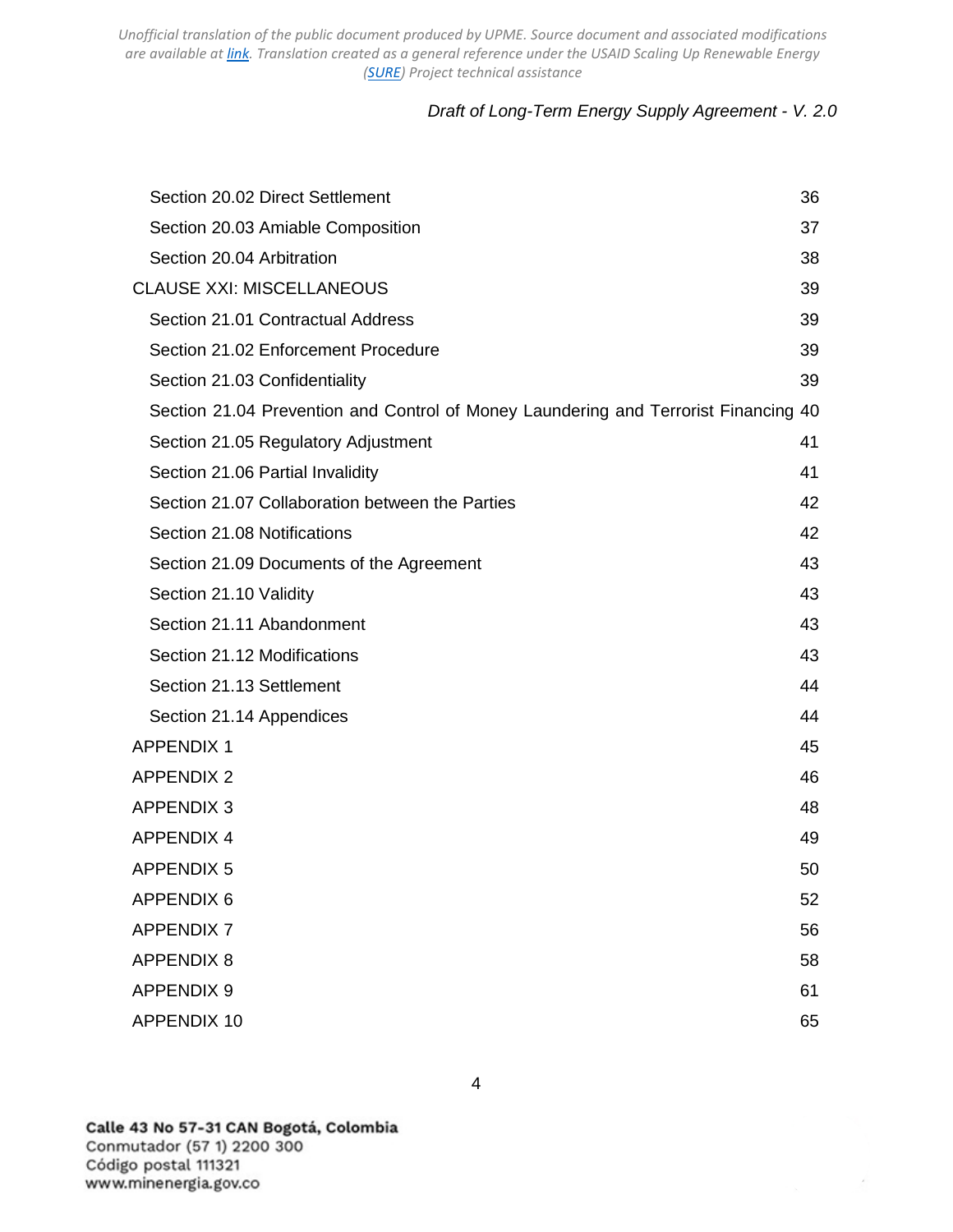# *Draft of Long-Term Energy Supply Agreement - V. 2.0*

| Section 20.02 Direct Settlement                                                     | 36 |
|-------------------------------------------------------------------------------------|----|
| Section 20.03 Amiable Composition                                                   | 37 |
| Section 20.04 Arbitration                                                           | 38 |
| <b>CLAUSE XXI: MISCELLANEOUS</b>                                                    | 39 |
| Section 21.01 Contractual Address                                                   | 39 |
| Section 21.02 Enforcement Procedure                                                 | 39 |
| Section 21.03 Confidentiality                                                       | 39 |
| Section 21.04 Prevention and Control of Money Laundering and Terrorist Financing 40 |    |
| Section 21.05 Regulatory Adjustment                                                 | 41 |
| Section 21.06 Partial Invalidity                                                    | 41 |
| Section 21.07 Collaboration between the Parties                                     | 42 |
| Section 21.08 Notifications                                                         | 42 |
| Section 21.09 Documents of the Agreement                                            | 43 |
| Section 21.10 Validity                                                              | 43 |
| Section 21.11 Abandonment                                                           | 43 |
| Section 21.12 Modifications                                                         | 43 |
| Section 21.13 Settlement                                                            | 44 |
| Section 21.14 Appendices                                                            | 44 |
| <b>APPENDIX 1</b>                                                                   | 45 |
| <b>APPENDIX 2</b>                                                                   | 46 |
| <b>APPENDIX 3</b>                                                                   | 48 |
| <b>APPENDIX 4</b>                                                                   | 49 |
| <b>APPENDIX 5</b>                                                                   | 50 |
| <b>APPENDIX 6</b>                                                                   | 52 |
| <b>APPENDIX 7</b>                                                                   | 56 |
| <b>APPENDIX 8</b>                                                                   | 58 |
| <b>APPENDIX 9</b>                                                                   | 61 |
| <b>APPENDIX 10</b>                                                                  | 65 |

Calle 43 No 57-31 CAN Bogotá, Colombia Conmutador (57 1) 2200 300 Código postal 111321 www.minenergia.gov.co

4

À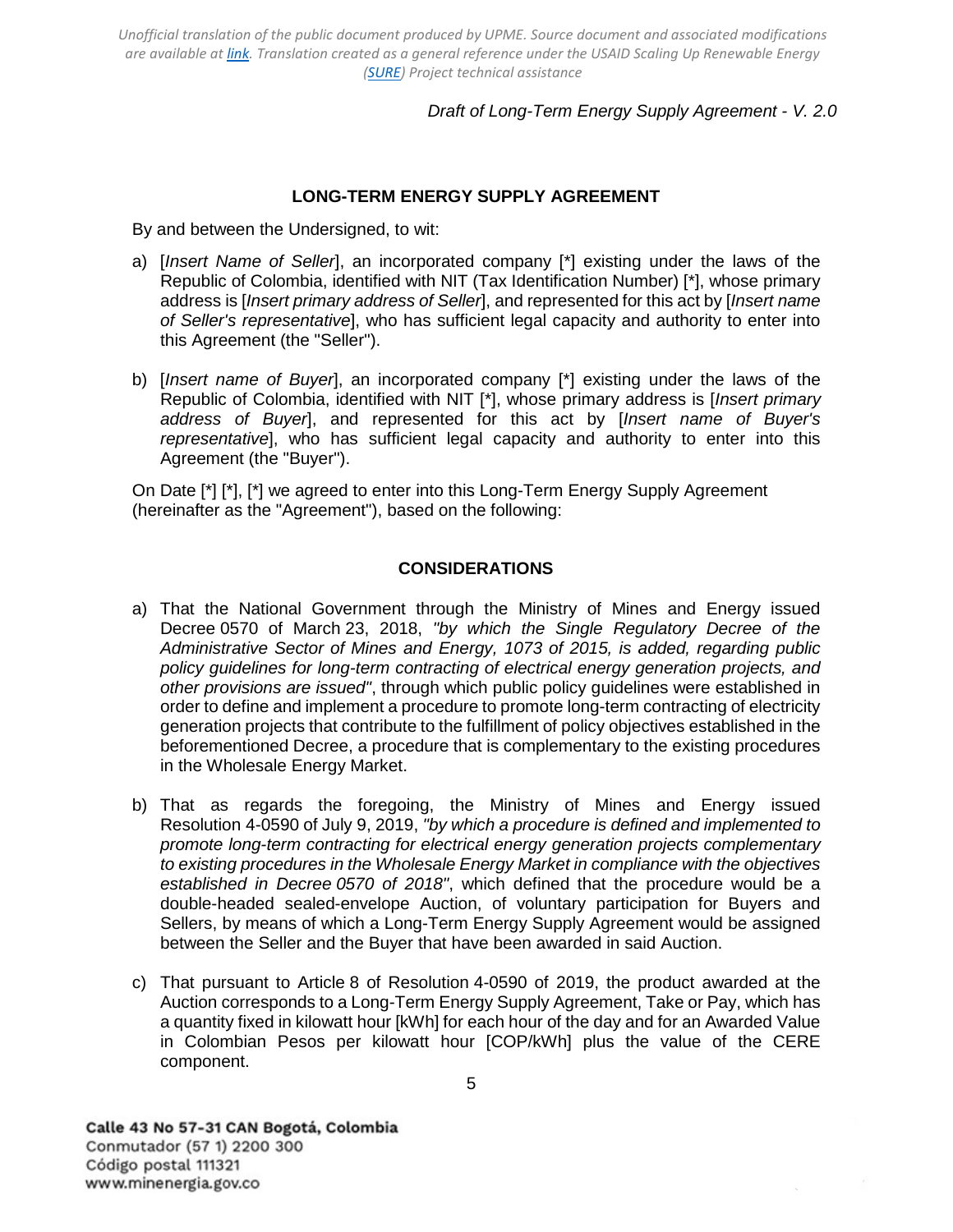*Draft of Long-Term Energy Supply Agreement - V. 2.0*

## **LONG-TERM ENERGY SUPPLY AGREEMENT**

By and between the Undersigned, to wit:

- a) [*Insert Name of Seller*], an incorporated company [\*] existing under the laws of the Republic of Colombia, identified with NIT (Tax Identification Number) [\*], whose primary address is [*Insert primary address of Seller*], and represented for this act by [*Insert name of Seller's representative*], who has sufficient legal capacity and authority to enter into this Agreement (the "Seller").
- b) [*Insert name of Buyer*], an incorporated company [\*] existing under the laws of the Republic of Colombia, identified with NIT [\*], whose primary address is [*Insert primary address of Buyer*], and represented for this act by [*Insert name of Buyer's representative*], who has sufficient legal capacity and authority to enter into this Agreement (the "Buyer").

On Date [\*] [\*], [\*] we agreed to enter into this Long-Term Energy Supply Agreement (hereinafter as the "Agreement"), based on the following:

### **CONSIDERATIONS**

- a) That the National Government through the Ministry of Mines and Energy issued Decree 0570 of March 23, 2018, *"by which the Single Regulatory Decree of the Administrative Sector of Mines and Energy, 1073 of 2015, is added, regarding public policy guidelines for long-term contracting of electrical energy generation projects, and other provisions are issued"*, through which public policy guidelines were established in order to define and implement a procedure to promote long-term contracting of electricity generation projects that contribute to the fulfillment of policy objectives established in the beforementioned Decree, a procedure that is complementary to the existing procedures in the Wholesale Energy Market.
- b) That as regards the foregoing, the Ministry of Mines and Energy issued Resolution 4-0590 of July 9, 2019, *"by which a procedure is defined and implemented to promote long-term contracting for electrical energy generation projects complementary to existing procedures in the Wholesale Energy Market in compliance with the objectives established in Decree 0570 of 2018"*, which defined that the procedure would be a double-headed sealed-envelope Auction, of voluntary participation for Buyers and Sellers, by means of which a Long-Term Energy Supply Agreement would be assigned between the Seller and the Buyer that have been awarded in said Auction.
- c) That pursuant to Article 8 of Resolution 4-0590 of 2019, the product awarded at the Auction corresponds to a Long-Term Energy Supply Agreement, Take or Pay, which has a quantity fixed in kilowatt hour [kWh] for each hour of the day and for an Awarded Value in Colombian Pesos per kilowatt hour [COP/kWh] plus the value of the CERE component.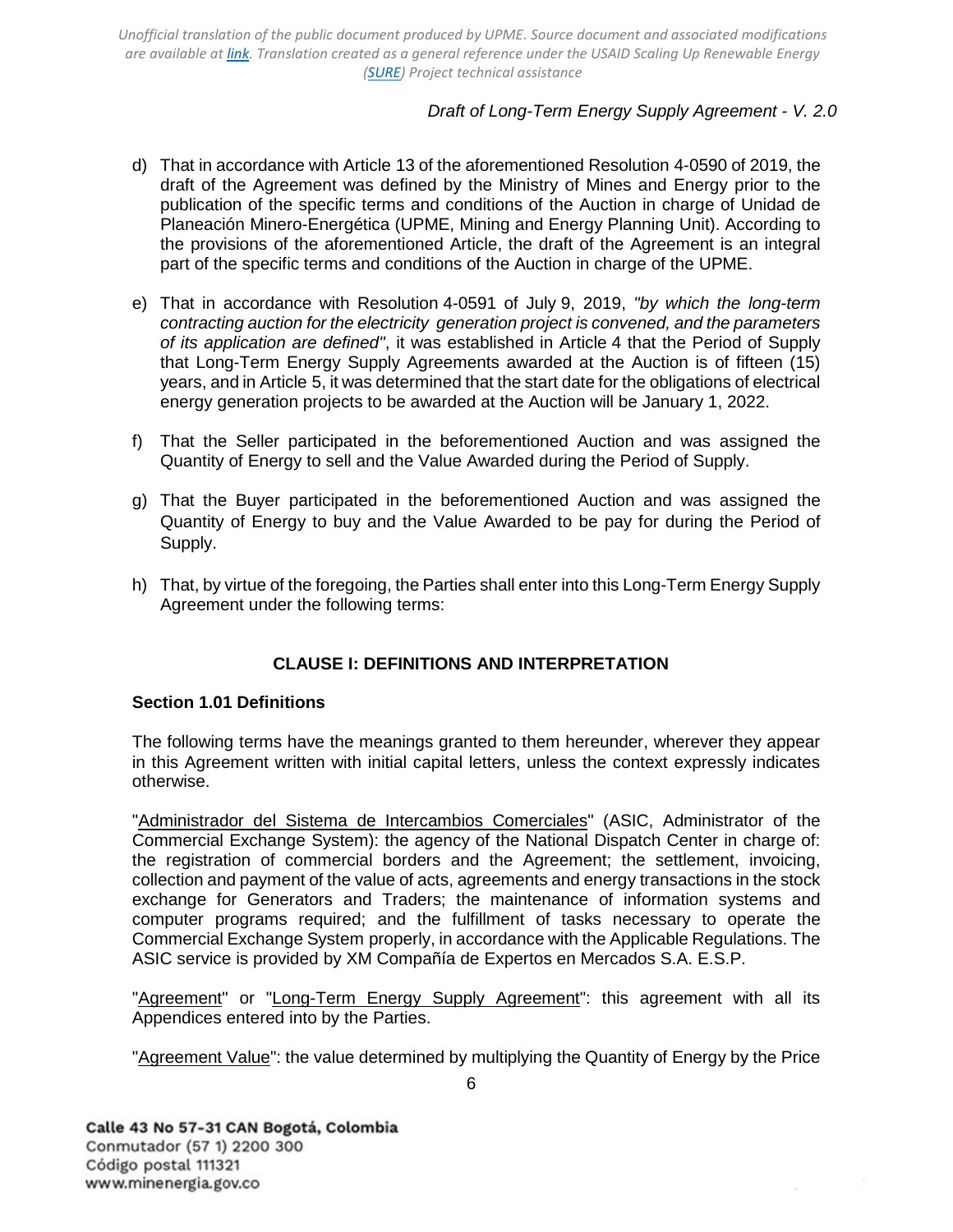# *Draft of Long-Term Energy Supply Agreement - V. 2.0*

- d) That in accordance with Article 13 of the aforementioned Resolution 4-0590 of 2019, the draft of the Agreement was defined by the Ministry of Mines and Energy prior to the publication of the specific terms and conditions of the Auction in charge of Unidad de Planeación Minero-Energética (UPME, Mining and Energy Planning Unit). According to the provisions of the aforementioned Article, the draft of the Agreement is an integral part of the specific terms and conditions of the Auction in charge of the UPME.
- e) That in accordance with Resolution 4-0591 of July 9, 2019, *"by which the long-term contracting auction for the electricity generation project is convened, and the parameters of its application are defined"*, it was established in Article 4 that the Period of Supply that Long-Term Energy Supply Agreements awarded at the Auction is of fifteen (15) years, and in Article 5, it was determined that the start date for the obligations of electrical energy generation projects to be awarded at the Auction will be January 1, 2022.
- f) That the Seller participated in the beforementioned Auction and was assigned the Quantity of Energy to sell and the Value Awarded during the Period of Supply.
- g) That the Buyer participated in the beforementioned Auction and was assigned the Quantity of Energy to buy and the Value Awarded to be pay for during the Period of Supply.
- h) That, by virtue of the foregoing, the Parties shall enter into this Long-Term Energy Supply Agreement under the following terms:

## **CLAUSE I: DEFINITIONS AND INTERPRETATION**

#### <span id="page-5-1"></span><span id="page-5-0"></span>**Section 1.01 Definitions**

The following terms have the meanings granted to them hereunder, wherever they appear in this Agreement written with initial capital letters, unless the context expressly indicates otherwise.

"Administrador del Sistema de Intercambios Comerciales" (ASIC, Administrator of the Commercial Exchange System): the agency of the National Dispatch Center in charge of: the registration of commercial borders and the Agreement; the settlement, invoicing, collection and payment of the value of acts, agreements and energy transactions in the stock exchange for Generators and Traders; the maintenance of information systems and computer programs required; and the fulfillment of tasks necessary to operate the Commercial Exchange System properly, in accordance with the Applicable Regulations. The ASIC service is provided by XM Compañía de Expertos en Mercados S.A. E.S.P.

"Agreement" or "Long-Term Energy Supply Agreement": this agreement with all its Appendices entered into by the Parties.

"Agreement Value": the value determined by multiplying the Quantity of Energy by the Price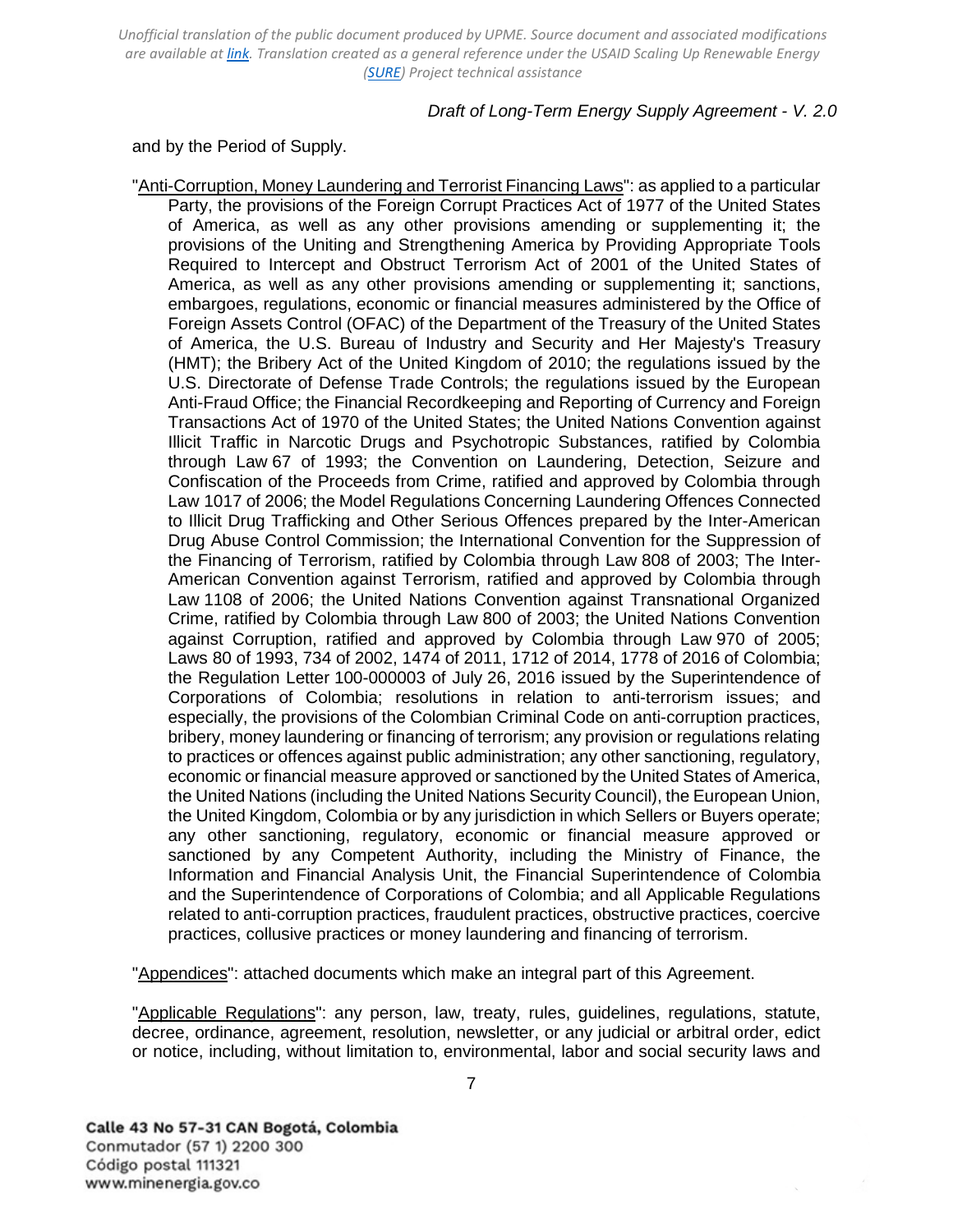### *Draft of Long-Term Energy Supply Agreement - V. 2.0*

and by the Period of Supply.

"Anti-Corruption, Money Laundering and Terrorist Financing Laws": as applied to a particular Party, the provisions of the Foreign Corrupt Practices Act of 1977 of the United States of America, as well as any other provisions amending or supplementing it; the provisions of the Uniting and Strengthening America by Providing Appropriate Tools Required to Intercept and Obstruct Terrorism Act of 2001 of the United States of America, as well as any other provisions amending or supplementing it; sanctions, embargoes, regulations, economic or financial measures administered by the Office of Foreign Assets Control (OFAC) of the Department of the Treasury of the United States of America, the U.S. Bureau of Industry and Security and Her Majesty's Treasury (HMT); the Bribery Act of the United Kingdom of 2010; the regulations issued by the U.S. Directorate of Defense Trade Controls; the regulations issued by the European Anti-Fraud Office; the Financial Recordkeeping and Reporting of Currency and Foreign Transactions Act of 1970 of the United States; the United Nations Convention against Illicit Traffic in Narcotic Drugs and Psychotropic Substances, ratified by Colombia through Law 67 of 1993; the Convention on Laundering, Detection, Seizure and Confiscation of the Proceeds from Crime, ratified and approved by Colombia through Law 1017 of 2006; the Model Regulations Concerning Laundering Offences Connected to Illicit Drug Trafficking and Other Serious Offences prepared by the Inter-American Drug Abuse Control Commission; the International Convention for the Suppression of the Financing of Terrorism, ratified by Colombia through Law 808 of 2003; The Inter-American Convention against Terrorism, ratified and approved by Colombia through Law 1108 of 2006; the United Nations Convention against Transnational Organized Crime, ratified by Colombia through Law 800 of 2003; the United Nations Convention against Corruption, ratified and approved by Colombia through Law 970 of 2005; Laws 80 of 1993, 734 of 2002, 1474 of 2011, 1712 of 2014, 1778 of 2016 of Colombia; the Regulation Letter 100-000003 of July 26, 2016 issued by the Superintendence of Corporations of Colombia; resolutions in relation to anti-terrorism issues; and especially, the provisions of the Colombian Criminal Code on anti-corruption practices, bribery, money laundering or financing of terrorism; any provision or regulations relating to practices or offences against public administration; any other sanctioning, regulatory, economic or financial measure approved or sanctioned by the United States of America, the United Nations (including the United Nations Security Council), the European Union, the United Kingdom, Colombia or by any jurisdiction in which Sellers or Buyers operate; any other sanctioning, regulatory, economic or financial measure approved or sanctioned by any Competent Authority, including the Ministry of Finance, the Information and Financial Analysis Unit, the Financial Superintendence of Colombia and the Superintendence of Corporations of Colombia; and all Applicable Regulations related to anti-corruption practices, fraudulent practices, obstructive practices, coercive practices, collusive practices or money laundering and financing of terrorism.

"Appendices": attached documents which make an integral part of this Agreement.

"Applicable Regulations": any person, law, treaty, rules, guidelines, regulations, statute, decree, ordinance, agreement, resolution, newsletter, or any judicial or arbitral order, edict or notice, including, without limitation to, environmental, labor and social security laws and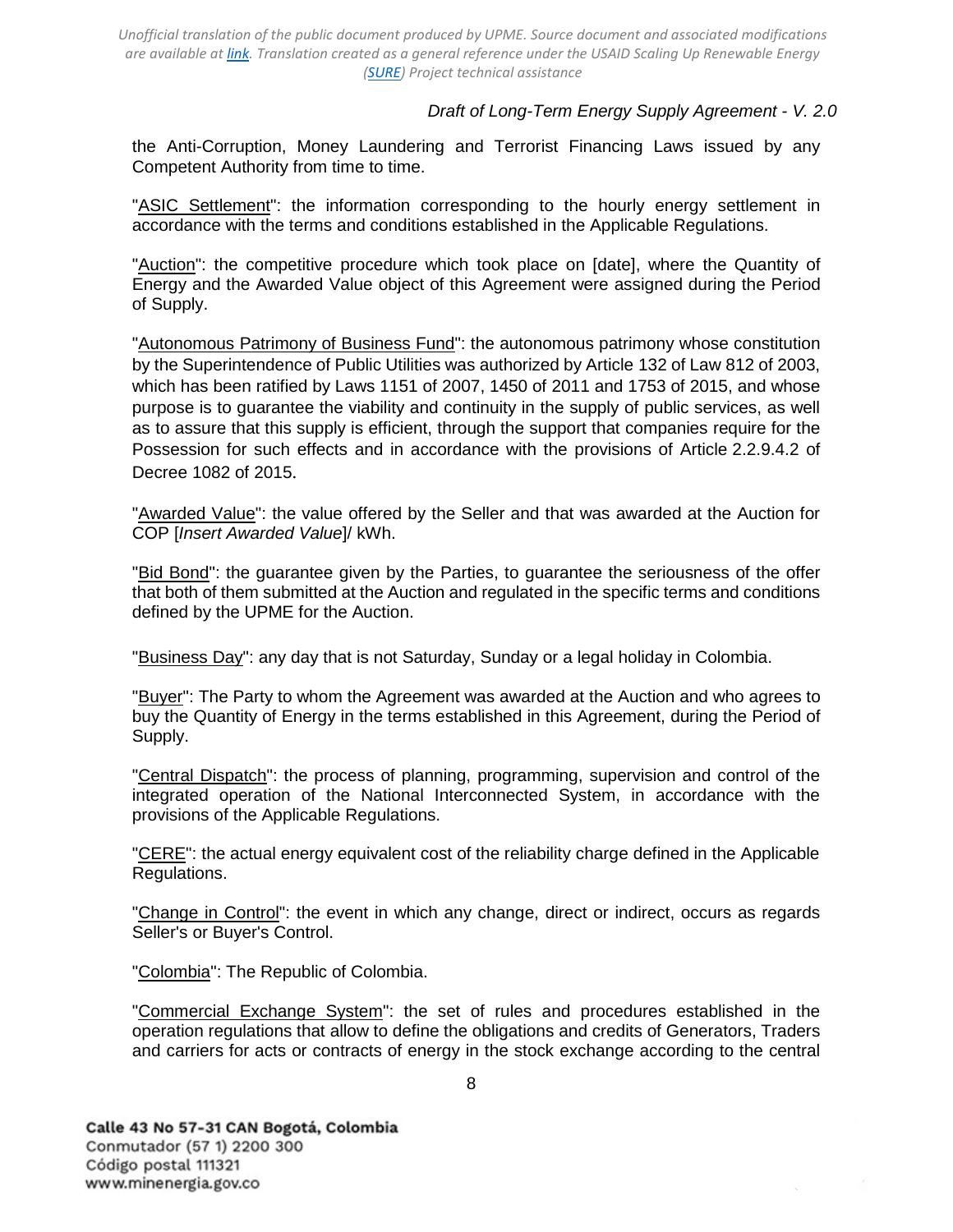### *Draft of Long-Term Energy Supply Agreement - V. 2.0*

the Anti-Corruption, Money Laundering and Terrorist Financing Laws issued by any Competent Authority from time to time.

"ASIC Settlement": the information corresponding to the hourly energy settlement in accordance with the terms and conditions established in the Applicable Regulations.

"Auction": the competitive procedure which took place on [date], where the Quantity of Energy and the Awarded Value object of this Agreement were assigned during the Period of Supply.

"Autonomous Patrimony of Business Fund": the autonomous patrimony whose constitution by the Superintendence of Public Utilities was authorized by Article 132 of Law 812 of 2003, which has been ratified by Laws 1151 of 2007, 1450 of 2011 and 1753 of 2015, and whose purpose is to guarantee the viability and continuity in the supply of public services, as well as to assure that this supply is efficient, through the support that companies require for the Possession for such effects and in accordance with the provisions of Article 2.2.9.4.2 of Decree 1082 of 2015.

"Awarded Value": the value offered by the Seller and that was awarded at the Auction for COP [*Insert Awarded Value*]/ kWh.

"Bid Bond": the guarantee given by the Parties, to guarantee the seriousness of the offer that both of them submitted at the Auction and regulated in the specific terms and conditions defined by the UPME for the Auction.

"Business Day": any day that is not Saturday, Sunday or a legal holiday in Colombia.

"Buyer": The Party to whom the Agreement was awarded at the Auction and who agrees to buy the Quantity of Energy in the terms established in this Agreement, during the Period of Supply.

"Central Dispatch": the process of planning, programming, supervision and control of the integrated operation of the National Interconnected System, in accordance with the provisions of the Applicable Regulations.

"CERE": the actual energy equivalent cost of the reliability charge defined in the Applicable Regulations.

"Change in Control": the event in which any change, direct or indirect, occurs as regards Seller's or Buyer's Control.

"Colombia": The Republic of Colombia.

"Commercial Exchange System": the set of rules and procedures established in the operation regulations that allow to define the obligations and credits of Generators, Traders and carriers for acts or contracts of energy in the stock exchange according to the central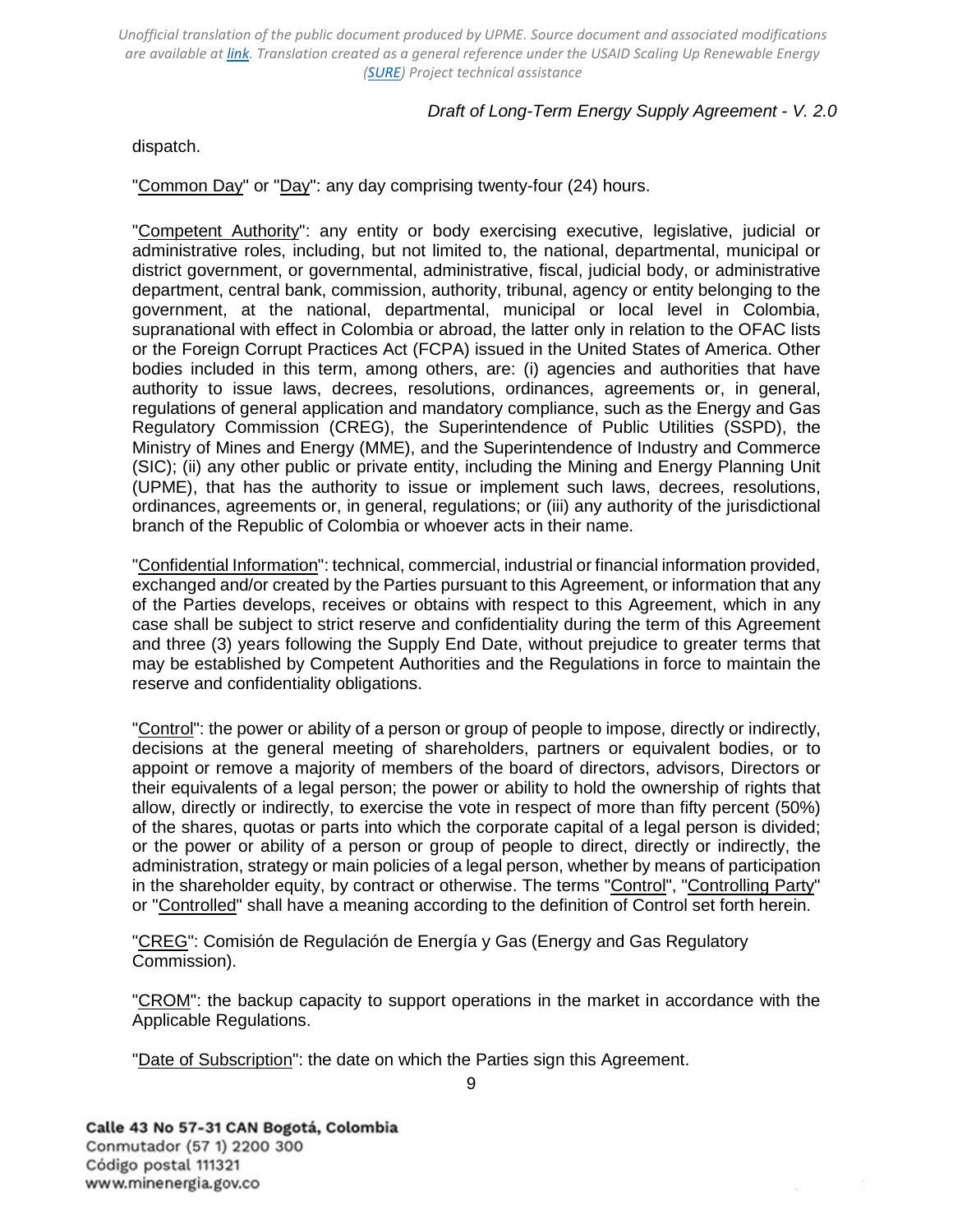## *Draft of Long-Term Energy Supply Agreement - V. 2.0*

dispatch.

"Common Day" or "Day": any day comprising twenty-four (24) hours.

"Competent Authority": any entity or body exercising executive, legislative, judicial or administrative roles, including, but not limited to, the national, departmental, municipal or district government, or governmental, administrative, fiscal, judicial body, or administrative department, central bank, commission, authority, tribunal, agency or entity belonging to the government, at the national, departmental, municipal or local level in Colombia, supranational with effect in Colombia or abroad, the latter only in relation to the OFAC lists or the Foreign Corrupt Practices Act (FCPA) issued in the United States of America. Other bodies included in this term, among others, are: (i) agencies and authorities that have authority to issue laws, decrees, resolutions, ordinances, agreements or, in general, regulations of general application and mandatory compliance, such as the Energy and Gas Regulatory Commission (CREG), the Superintendence of Public Utilities (SSPD), the Ministry of Mines and Energy (MME), and the Superintendence of Industry and Commerce (SIC); (ii) any other public or private entity, including the Mining and Energy Planning Unit (UPME), that has the authority to issue or implement such laws, decrees, resolutions, ordinances, agreements or, in general, regulations; or (iii) any authority of the jurisdictional branch of the Republic of Colombia or whoever acts in their name.

"Confidential Information": technical, commercial, industrial or financial information provided, exchanged and/or created by the Parties pursuant to this Agreement, or information that any of the Parties develops, receives or obtains with respect to this Agreement, which in any case shall be subject to strict reserve and confidentiality during the term of this Agreement and three (3) years following the Supply End Date, without prejudice to greater terms that may be established by Competent Authorities and the Regulations in force to maintain the reserve and confidentiality obligations.

"Control": the power or ability of a person or group of people to impose, directly or indirectly, decisions at the general meeting of shareholders, partners or equivalent bodies, or to appoint or remove a majority of members of the board of directors, advisors, Directors or their equivalents of a legal person; the power or ability to hold the ownership of rights that allow, directly or indirectly, to exercise the vote in respect of more than fifty percent (50%) of the shares, quotas or parts into which the corporate capital of a legal person is divided; or the power or ability of a person or group of people to direct, directly or indirectly, the administration, strategy or main policies of a legal person, whether by means of participation in the shareholder equity, by contract or otherwise. The terms "Control", "Controlling Party" or "Controlled" shall have a meaning according to the definition of Control set forth herein.

"CREG": Comisión de Regulación de Energía y Gas (Energy and Gas Regulatory Commission).

"CROM": the backup capacity to support operations in the market in accordance with the Applicable Regulations.

"Date of Subscription": the date on which the Parties sign this Agreement.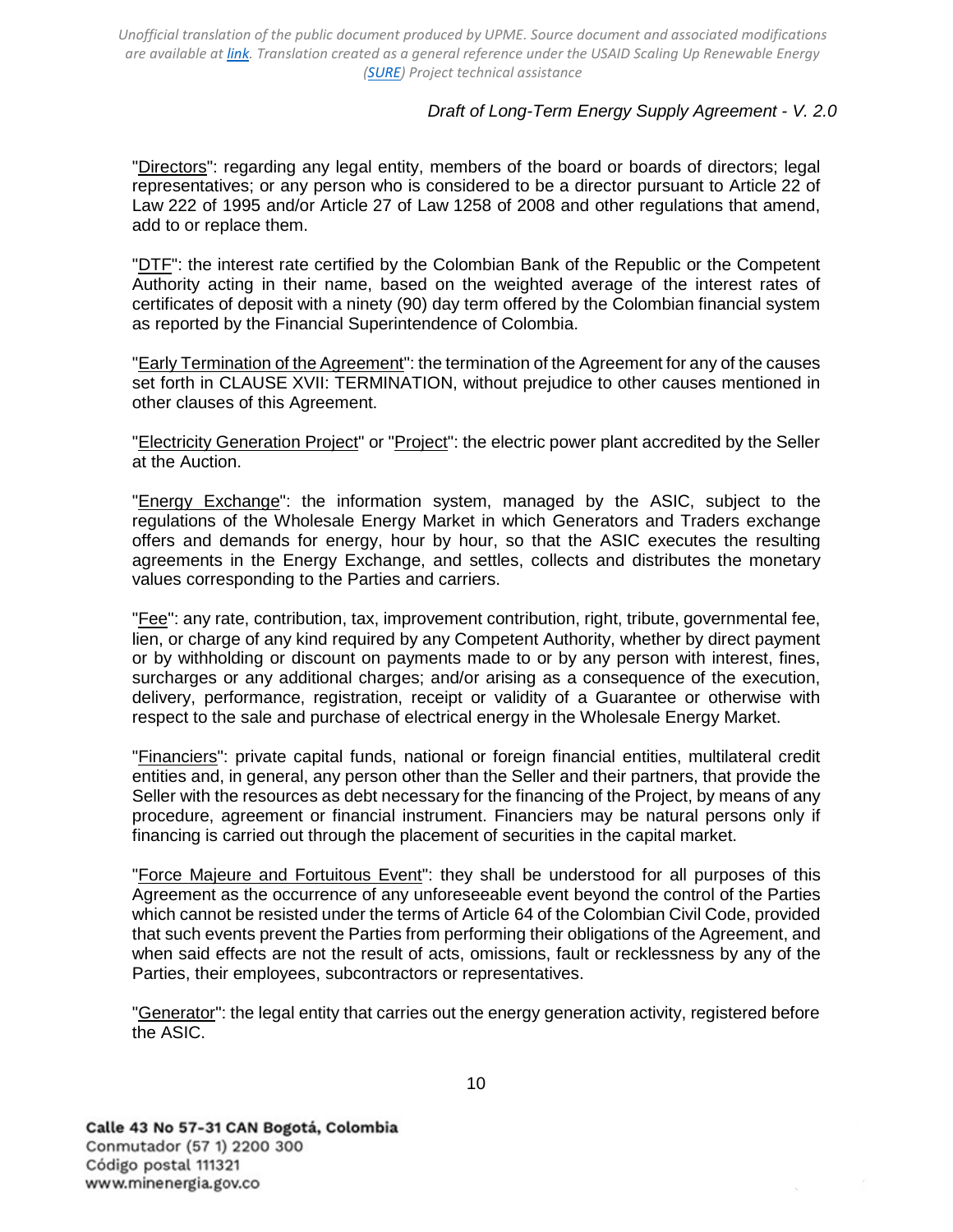### *Draft of Long-Term Energy Supply Agreement - V. 2.0*

"Directors": regarding any legal entity, members of the board or boards of directors; legal representatives; or any person who is considered to be a director pursuant to Article 22 of Law 222 of 1995 and/or Article 27 of Law 1258 of 2008 and other regulations that amend, add to or replace them.

"DTF": the interest rate certified by the Colombian Bank of the Republic or the Competent Authority acting in their name, based on the weighted average of the interest rates of certificates of deposit with a ninety (90) day term offered by the Colombian financial system as reported by the Financial Superintendence of Colombia.

"Early Termination of the Agreement": the termination of the Agreement for any of the causes set forth in CLAUSE [XVII: TERMINATION,](#page-30-1) without prejudice to other causes mentioned in other clauses of this Agreement.

"Electricity Generation Project" or "Project": the electric power plant accredited by the Seller at the Auction.

"Energy Exchange": the information system, managed by the ASIC, subject to the regulations of the Wholesale Energy Market in which Generators and Traders exchange offers and demands for energy, hour by hour, so that the ASIC executes the resulting agreements in the Energy Exchange, and settles, collects and distributes the monetary values corresponding to the Parties and carriers.

"Fee": any rate, contribution, tax, improvement contribution, right, tribute, governmental fee, lien, or charge of any kind required by any Competent Authority, whether by direct payment or by withholding or discount on payments made to or by any person with interest, fines, surcharges or any additional charges; and/or arising as a consequence of the execution, delivery, performance, registration, receipt or validity of a Guarantee or otherwise with respect to the sale and purchase of electrical energy in the Wholesale Energy Market.

"Financiers": private capital funds, national or foreign financial entities, multilateral credit entities and, in general, any person other than the Seller and their partners, that provide the Seller with the resources as debt necessary for the financing of the Project, by means of any procedure, agreement or financial instrument. Financiers may be natural persons only if financing is carried out through the placement of securities in the capital market.

"Force Majeure and Fortuitous Event": they shall be understood for all purposes of this Agreement as the occurrence of any unforeseeable event beyond the control of the Parties which cannot be resisted under the terms of Article 64 of the Colombian Civil Code, provided that such events prevent the Parties from performing their obligations of the Agreement, and when said effects are not the result of acts, omissions, fault or recklessness by any of the Parties, their employees, subcontractors or representatives.

"Generator": the legal entity that carries out the energy generation activity, registered before the ASIC.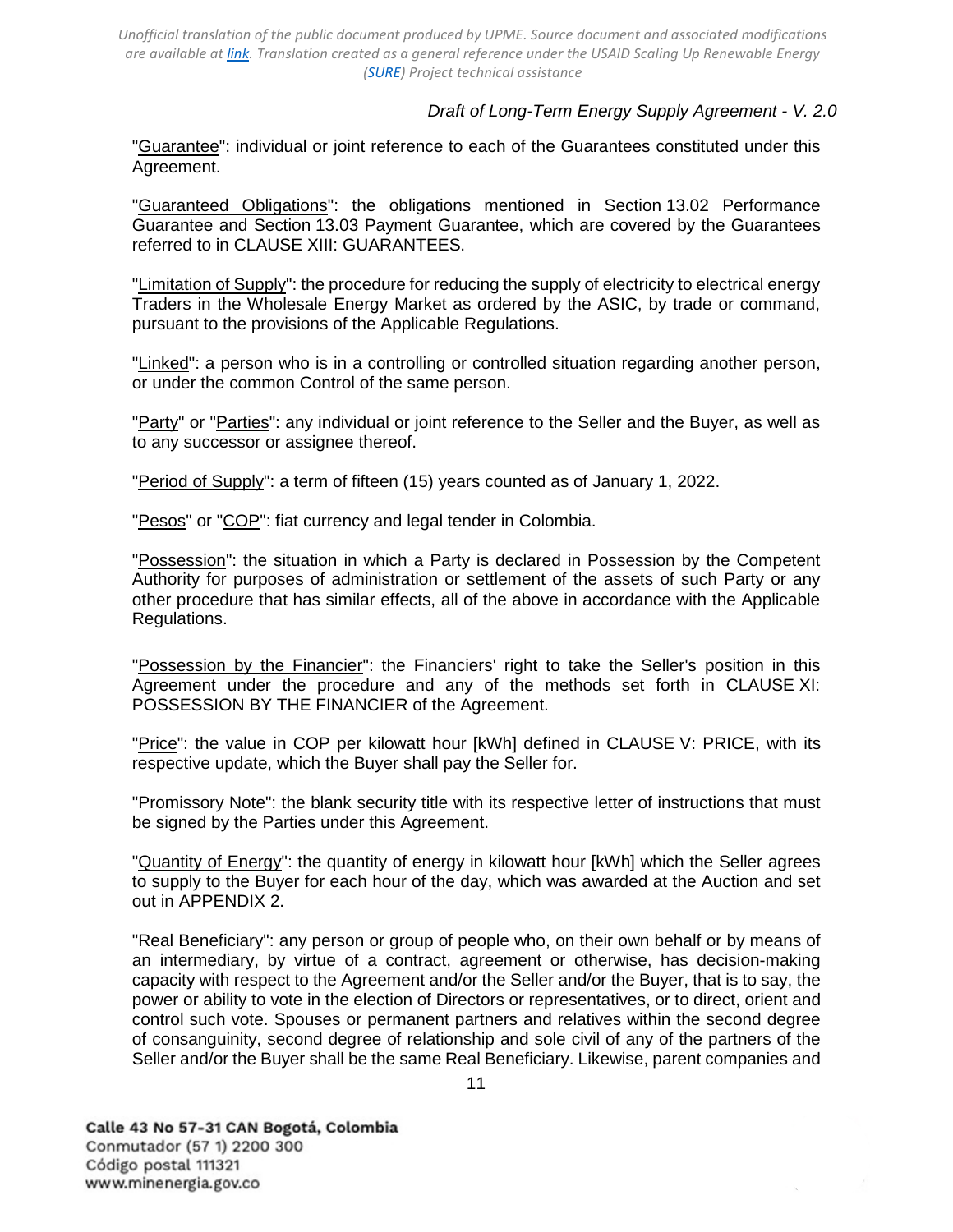### *Draft of Long-Term Energy Supply Agreement - V. 2.0*

"Guarantee": individual or joint reference to each of the Guarantees constituted under this Agreement.

"Guaranteed Obligations": the obligations mentioned in [Section 13.02](#page-26-0) [Performance](#page-26-0)  [Guarantee](#page-26-0) and [Section 13.03 Payment Guarantee,](#page-26-1) which are covered by the Guarantees referred to in [CLAUSE XIII: GUARANTEES.](#page-24-0)

"Limitation of Supply": the procedure for reducing the supply of electricity to electrical energy Traders in the Wholesale Energy Market as ordered by the ASIC, by trade or command, pursuant to the provisions of the Applicable Regulations.

"Linked": a person who is in a controlling or controlled situation regarding another person, or under the common Control of the same person.

"Party" or "Parties": any individual or joint reference to the Seller and the Buyer, as well as to any successor or assignee thereof.

"Period of Supply": a term of fifteen (15) years counted as of January 1, 2022.

"Pesos" or "COP": fiat currency and legal tender in Colombia.

"Possession": the situation in which a Party is declared in Possession by the Competent Authority for purposes of administration or settlement of the assets of such Party or any other procedure that has similar effects, all of the above in accordance with the Applicable Regulations.

"Possession by the Financier": the Financiers' right to take the Seller's position in this Agreement under the procedure and any of the methods set forth in [CLAUSE XI:](#page-21-0)  [POSSESSION](#page-21-0) [BY THE FINANCIER](#page-21-0) of the Agreement.

"Price": the value in COP per kilowatt hour [kWh] defined in [CLAUSE V: PRICE,](#page-16-0) with its respective update, which the Buyer shall pay the Seller for.

"Promissory Note": the blank security title with its respective letter of instructions that must be signed by the Parties under this Agreement.

"**Quantity of Energy**": the quantity of energy in kilowatt hour [kWh] which the Seller agrees to supply to the Buyer for each hour of the day, which was awarded at the Auction and set out in [APPENDIX 2.](#page-45-0)

"Real Beneficiary": any person or group of people who, on their own behalf or by means of an intermediary, by virtue of a contract, agreement or otherwise, has decision-making capacity with respect to the Agreement and/or the Seller and/or the Buyer, that is to say, the power or ability to vote in the election of Directors or representatives, or to direct, orient and control such vote. Spouses or permanent partners and relatives within the second degree of consanguinity, second degree of relationship and sole civil of any of the partners of the Seller and/or the Buyer shall be the same Real Beneficiary. Likewise, parent companies and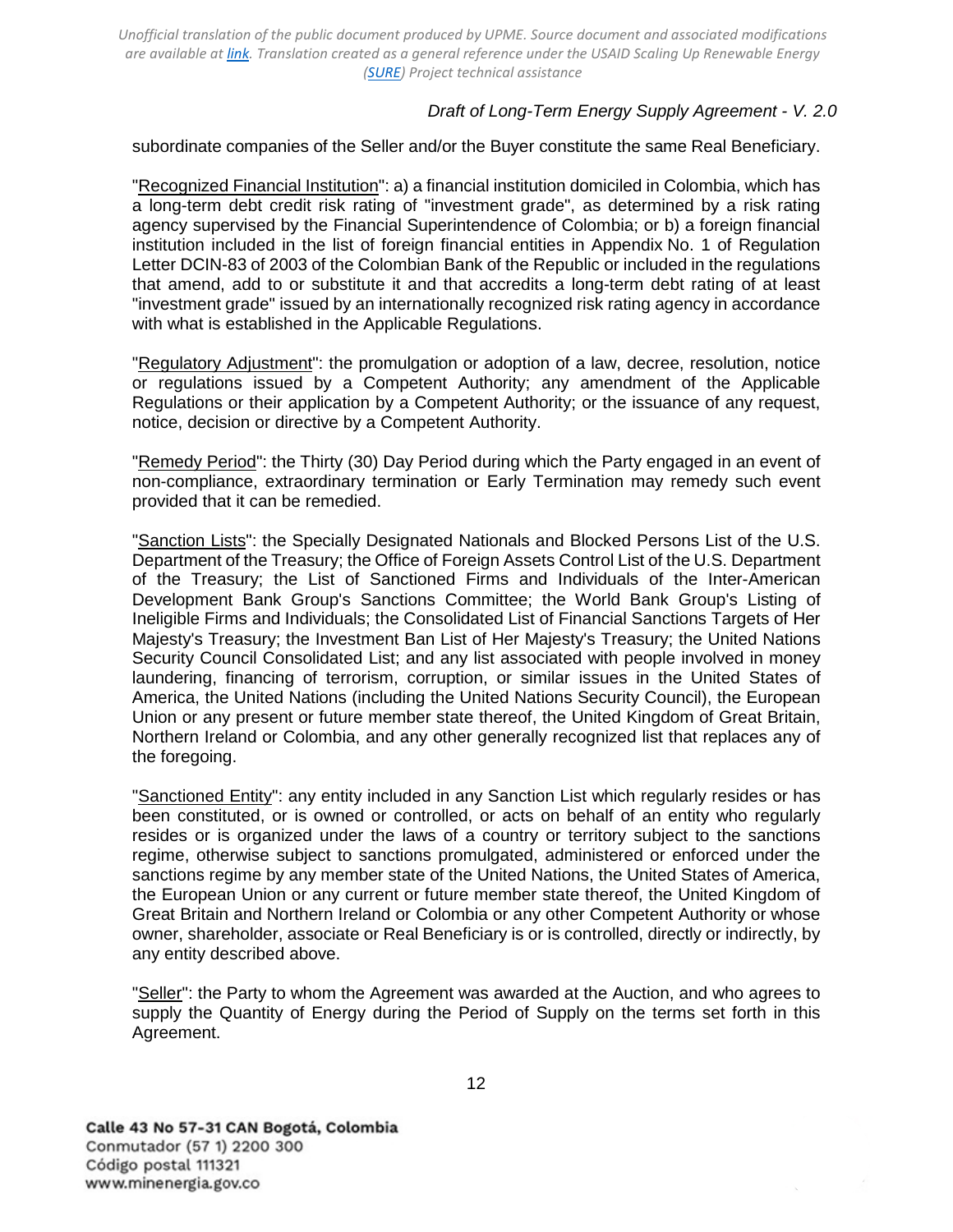### *Draft of Long-Term Energy Supply Agreement - V. 2.0*

subordinate companies of the Seller and/or the Buyer constitute the same Real Beneficiary.

"Recognized Financial Institution": a) a financial institution domiciled in Colombia, which has a long-term debt credit risk rating of "investment grade", as determined by a risk rating agency supervised by the Financial Superintendence of Colombia; or b) a foreign financial institution included in the list of foreign financial entities in Appendix No. 1 of Regulation Letter DCIN-83 of 2003 of the Colombian Bank of the Republic or included in the regulations that amend, add to or substitute it and that accredits a long-term debt rating of at least "investment grade" issued by an internationally recognized risk rating agency in accordance with what is established in the Applicable Regulations.

"Regulatory Adjustment": the promulgation or adoption of a law, decree, resolution, notice or regulations issued by a Competent Authority; any amendment of the Applicable Regulations or their application by a Competent Authority; or the issuance of any request, notice, decision or directive by a Competent Authority.

"Remedy Period": the Thirty (30) Day Period during which the Party engaged in an event of non-compliance, extraordinary termination or Early Termination may remedy such event provided that it can be remedied.

"Sanction Lists": the Specially Designated Nationals and Blocked Persons List of the U.S. Department of the Treasury; the Office of Foreign Assets Control List of the U.S. Department of the Treasury; the List of Sanctioned Firms and Individuals of the Inter-American Development Bank Group's Sanctions Committee; the World Bank Group's Listing of Ineligible Firms and Individuals; the Consolidated List of Financial Sanctions Targets of Her Majesty's Treasury; the Investment Ban List of Her Majesty's Treasury; the United Nations Security Council Consolidated List; and any list associated with people involved in money laundering, financing of terrorism, corruption, or similar issues in the United States of America, the United Nations (including the United Nations Security Council), the European Union or any present or future member state thereof, the United Kingdom of Great Britain, Northern Ireland or Colombia, and any other generally recognized list that replaces any of the foregoing.

"Sanctioned Entity": any entity included in any Sanction List which regularly resides or has been constituted, or is owned or controlled, or acts on behalf of an entity who regularly resides or is organized under the laws of a country or territory subject to the sanctions regime, otherwise subject to sanctions promulgated, administered or enforced under the sanctions regime by any member state of the United Nations, the United States of America, the European Union or any current or future member state thereof, the United Kingdom of Great Britain and Northern Ireland or Colombia or any other Competent Authority or whose owner, shareholder, associate or Real Beneficiary is or is controlled, directly or indirectly, by any entity described above.

"Seller": the Party to whom the Agreement was awarded at the Auction, and who agrees to supply the Quantity of Energy during the Period of Supply on the terms set forth in this Agreement.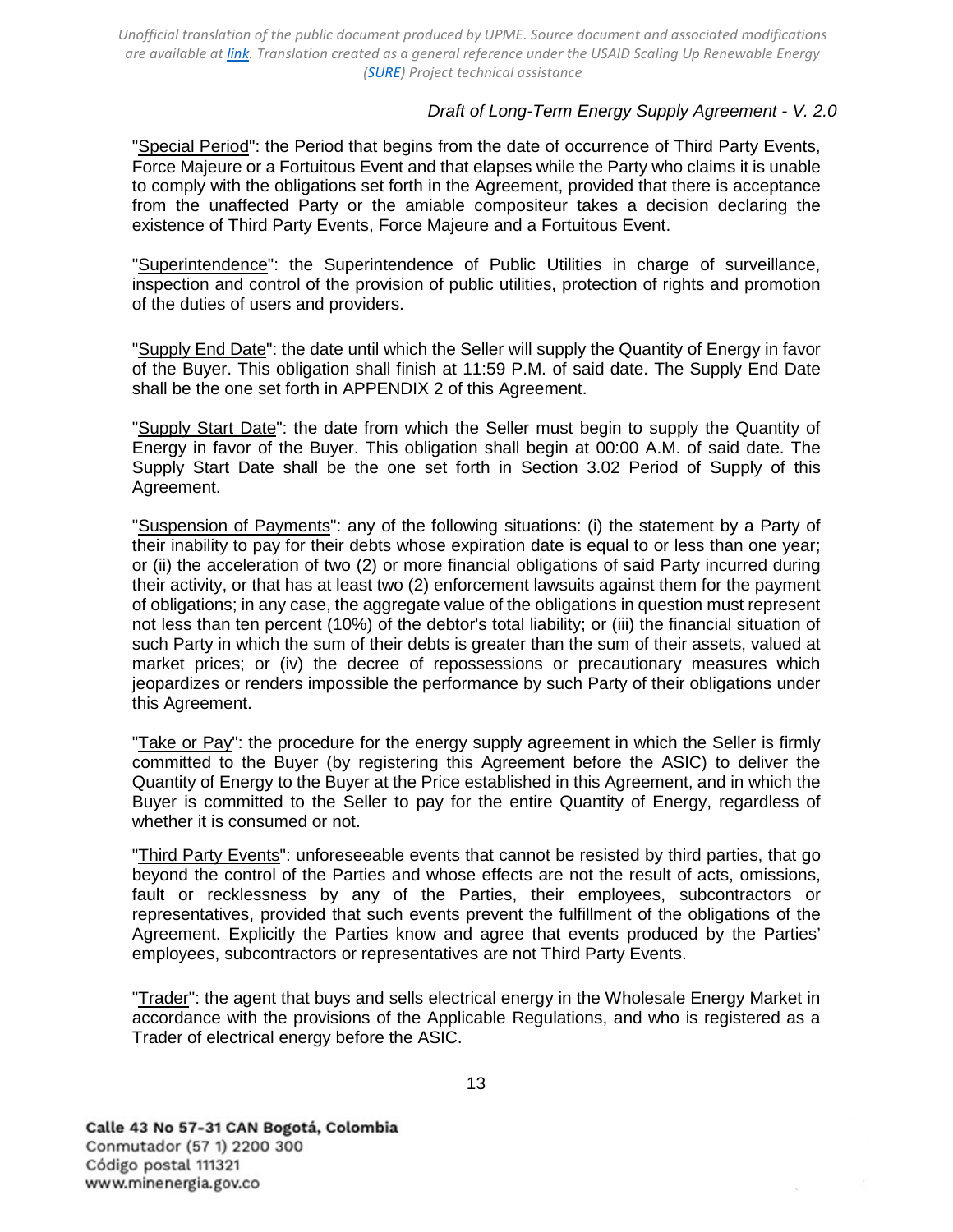### *Draft of Long-Term Energy Supply Agreement - V. 2.0*

"Special Period": the Period that begins from the date of occurrence of Third Party Events, Force Majeure or a Fortuitous Event and that elapses while the Party who claims it is unable to comply with the obligations set forth in the Agreement, provided that there is acceptance from the unaffected Party or the amiable compositeur takes a decision declaring the existence of Third Party Events, Force Majeure and a Fortuitous Event.

"Superintendence": the Superintendence of Public Utilities in charge of surveillance, inspection and control of the provision of public utilities, protection of rights and promotion of the duties of users and providers.

"Supply End Date": the date until which the Seller will supply the Quantity of Energy in favor of the Buyer. This obligation shall finish at 11:59 P.M. of said date. The Supply End Date shall be the one set forth in [APPENDIX 2](#page-45-0) of this Agreement.

"Supply Start Date": the date from which the Seller must begin to supply the Quantity of Energy in favor of the Buyer. This obligation shall begin at 00:00 A.M. of said date. The Supply Start Date shall be the one set forth in [Section](#page-14-3) [3.02 Period of Supply](#page-14-3) of this Agreement.

"Suspension of Payments": any of the following situations: (i) the statement by a Party of their inability to pay for their debts whose expiration date is equal to or less than one year; or (ii) the acceleration of two (2) or more financial obligations of said Party incurred during their activity, or that has at least two (2) enforcement lawsuits against them for the payment of obligations; in any case, the aggregate value of the obligations in question must represent not less than ten percent (10%) of the debtor's total liability; or (iii) the financial situation of such Party in which the sum of their debts is greater than the sum of their assets, valued at market prices; or (iv) the decree of repossessions or precautionary measures which jeopardizes or renders impossible the performance by such Party of their obligations under this Agreement.

"Take or Pay": the procedure for the energy supply agreement in which the Seller is firmly committed to the Buyer (by registering this Agreement before the ASIC) to deliver the Quantity of Energy to the Buyer at the Price established in this Agreement, and in which the Buyer is committed to the Seller to pay for the entire Quantity of Energy, regardless of whether it is consumed or not.

"Third Party Events": unforeseeable events that cannot be resisted by third parties, that go beyond the control of the Parties and whose effects are not the result of acts, omissions, fault or recklessness by any of the Parties, their employees, subcontractors or representatives, provided that such events prevent the fulfillment of the obligations of the Agreement. Explicitly the Parties know and agree that events produced by the Parties' employees, subcontractors or representatives are not Third Party Events.

"Trader": the agent that buys and sells electrical energy in the Wholesale Energy Market in accordance with the provisions of the Applicable Regulations, and who is registered as a Trader of electrical energy before the ASIC.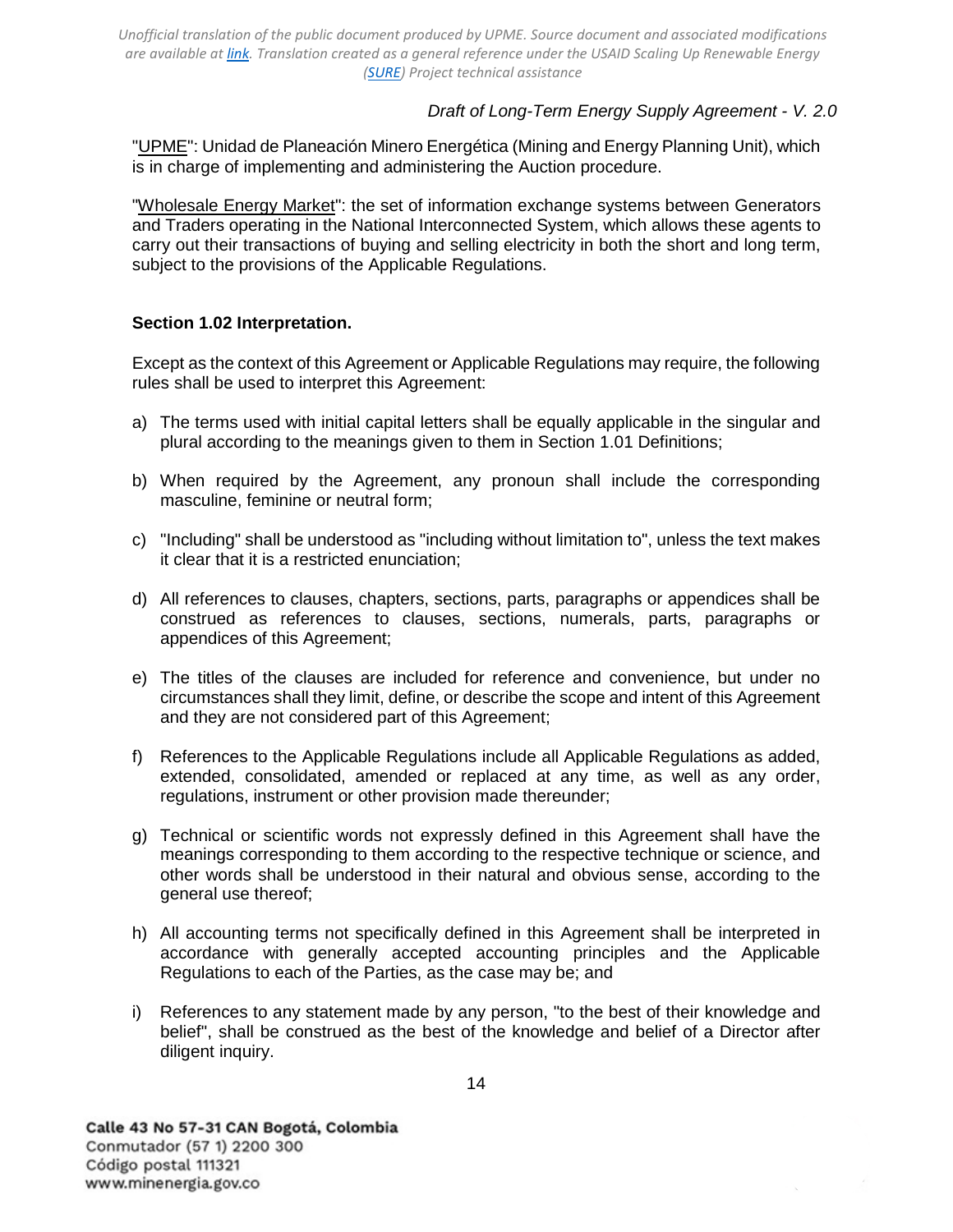## *Draft of Long-Term Energy Supply Agreement - V. 2.0*

"UPME": Unidad de Planeación Minero Energética (Mining and Energy Planning Unit), which is in charge of implementing and administering the Auction procedure.

"Wholesale Energy Market": the set of information exchange systems between Generators and Traders operating in the National Interconnected System, which allows these agents to carry out their transactions of buying and selling electricity in both the short and long term, subject to the provisions of the Applicable Regulations.

## <span id="page-13-0"></span>**Section 1.02 Interpretation.**

Except as the context of this Agreement or Applicable Regulations may require, the following rules shall be used to interpret this Agreement:

- a) The terms used with initial capital letters shall be equally applicable in the singular and plural according to the meanings given to them in [Section 1.01](#page-5-1) [Definitions;](#page-5-1)
- b) When required by the Agreement, any pronoun shall include the corresponding masculine, feminine or neutral form;
- c) "Including" shall be understood as "including without limitation to", unless the text makes it clear that it is a restricted enunciation;
- d) All references to clauses, chapters, sections, parts, paragraphs or appendices shall be construed as references to clauses, sections, numerals, parts, paragraphs or appendices of this Agreement;
- e) The titles of the clauses are included for reference and convenience, but under no circumstances shall they limit, define, or describe the scope and intent of this Agreement and they are not considered part of this Agreement;
- f) References to the Applicable Regulations include all Applicable Regulations as added, extended, consolidated, amended or replaced at any time, as well as any order, regulations, instrument or other provision made thereunder;
- g) Technical or scientific words not expressly defined in this Agreement shall have the meanings corresponding to them according to the respective technique or science, and other words shall be understood in their natural and obvious sense, according to the general use thereof;
- h) All accounting terms not specifically defined in this Agreement shall be interpreted in accordance with generally accepted accounting principles and the Applicable Regulations to each of the Parties, as the case may be; and
- i) References to any statement made by any person, "to the best of their knowledge and belief", shall be construed as the best of the knowledge and belief of a Director after diligent inquiry.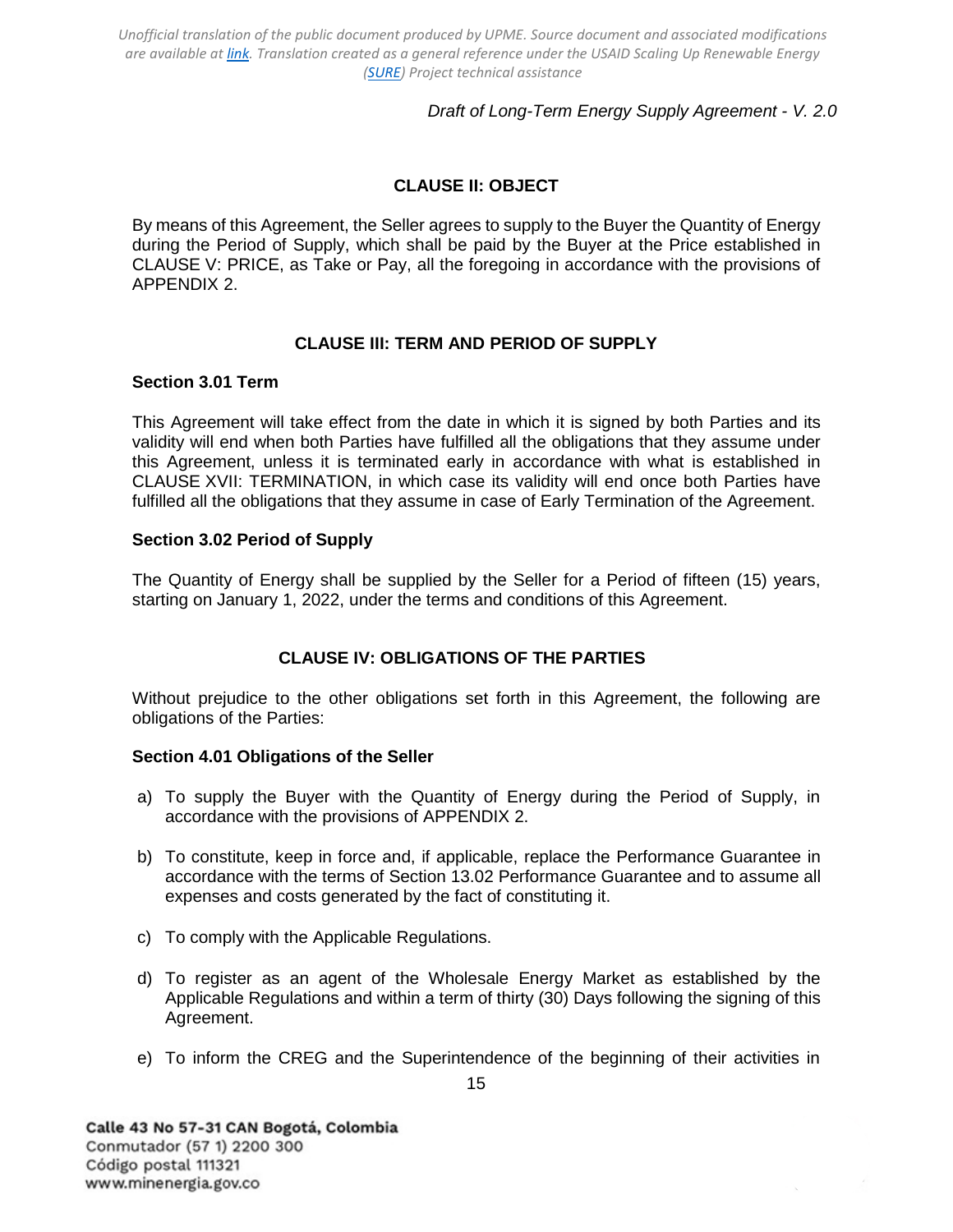## *Draft of Long-Term Energy Supply Agreement - V. 2.0*

# **CLAUSE II: OBJECT**

<span id="page-14-0"></span>By means of this Agreement, the Seller agrees to supply to the Buyer the Quantity of Energy during the Period of Supply, which shall be paid by the Buyer at the Price established in [CLAUSE V: PRICE,](#page-16-0) as Take or Pay, all the foregoing in accordance with the provisions of [APPENDIX 2.](#page-45-0)

## **CLAUSE III: TERM AND PERIOD OF SUPPLY**

#### <span id="page-14-2"></span><span id="page-14-1"></span>**Section 3.01 Term**

This Agreement will take effect from the date in which it is signed by both Parties and its validity will end when both Parties have fulfilled all the obligations that they assume under this Agreement, unless it is terminated early in accordance with what is established in [CLAUSE XVII: TERMINATION,](#page-30-1) in which case its validity will end once both Parties have fulfilled all the obligations that they assume in case of Early Termination of the Agreement.

### <span id="page-14-3"></span>**Section 3.02 Period of Supply**

The Quantity of Energy shall be supplied by the Seller for a Period of fifteen (15) years, starting on January 1, 2022, under the terms and conditions of this Agreement.

## **CLAUSE IV: OBLIGATIONS OF THE PARTIES**

<span id="page-14-4"></span>Without prejudice to the other obligations set forth in this Agreement, the following are obligations of the Parties:

#### <span id="page-14-5"></span>**Section 4.01 Obligations of the Seller**

- a) To supply the Buyer with the Quantity of Energy during the Period of Supply, in accordance with the provisions of [APPENDIX 2.](#page-45-0)
- b) To constitute, keep in force and, if applicable, replace the Performance Guarantee in accordance with the terms of [Section 13.02 Performance Guarantee](#page-26-0) and to assume all expenses and costs generated by the fact of constituting it.
- c) To comply with the Applicable Regulations.
- d) To register as an agent of the Wholesale Energy Market as established by the Applicable Regulations and within a term of thirty (30) Days following the signing of this Agreement.
- e) To inform the CREG and the Superintendence of the beginning of their activities in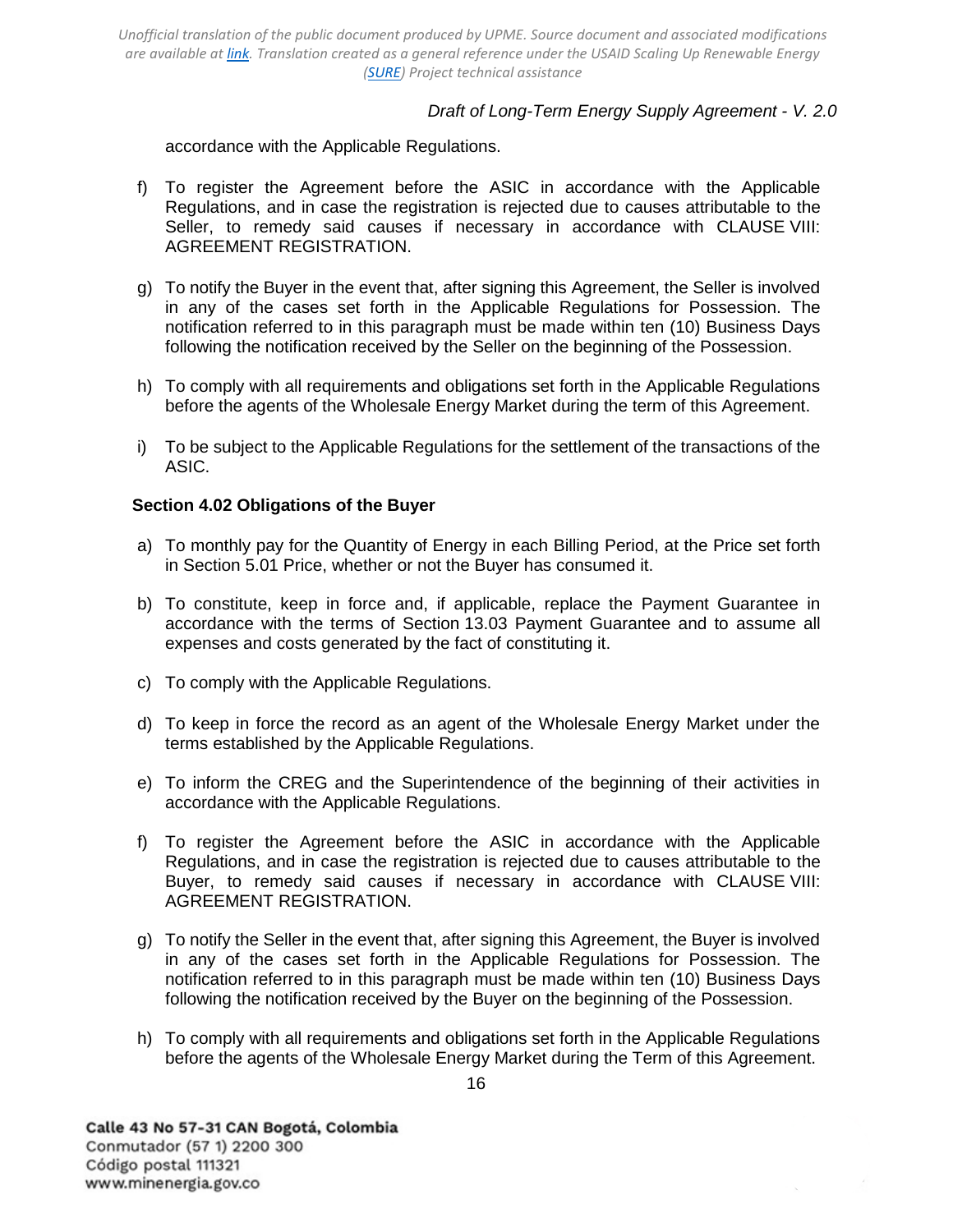## *Draft of Long-Term Energy Supply Agreement - V. 2.0*

accordance with the Applicable Regulations.

- f) To register the Agreement before the ASIC in accordance with the Applicable Regulations, and in case the registration is rejected due to causes attributable to the Seller, to remedy said causes if necessary in accordance with [CLAUSE VIII:](#page-18-2) [AGREEMENT REGISTRATION.](#page-18-2)
- g) To notify the Buyer in the event that, after signing this Agreement, the Seller is involved in any of the cases set forth in the Applicable Regulations for Possession. The notification referred to in this paragraph must be made within ten (10) Business Days following the notification received by the Seller on the beginning of the Possession.
- h) To comply with all requirements and obligations set forth in the Applicable Regulations before the agents of the Wholesale Energy Market during the term of this Agreement.
- i) To be subject to the Applicable Regulations for the settlement of the transactions of the ASIC.

### <span id="page-15-0"></span>**Section 4.02 Obligations of the Buyer**

- a) To monthly pay for the Quantity of Energy in each Billing Period, at the Price set forth in [Section 5.01 Price,](#page-16-1) whether or not the Buyer has consumed it.
- b) To constitute, keep in force and, if applicable, replace the Payment Guarantee in accordance with the terms of [Section 13.03 Payment Guarantee](#page-26-1) and to assume all expenses and costs generated by the fact of constituting it.
- c) To comply with the Applicable Regulations.
- d) To keep in force the record as an agent of the Wholesale Energy Market under the terms established by the Applicable Regulations.
- e) To inform the CREG and the Superintendence of the beginning of their activities in accordance with the Applicable Regulations.
- f) To register the Agreement before the ASIC in accordance with the Applicable Regulations, and in case the registration is rejected due to causes attributable to the Buyer, to remedy said causes if necessary in accordance with [CLAUSE VIII:](#page-18-2) [AGREEMENT REGISTRATION.](#page-18-2)
- g) To notify the Seller in the event that, after signing this Agreement, the Buyer is involved in any of the cases set forth in the Applicable Regulations for Possession. The notification referred to in this paragraph must be made within ten (10) Business Days following the notification received by the Buyer on the beginning of the Possession.
- h) To comply with all requirements and obligations set forth in the Applicable Regulations before the agents of the Wholesale Energy Market during the Term of this Agreement.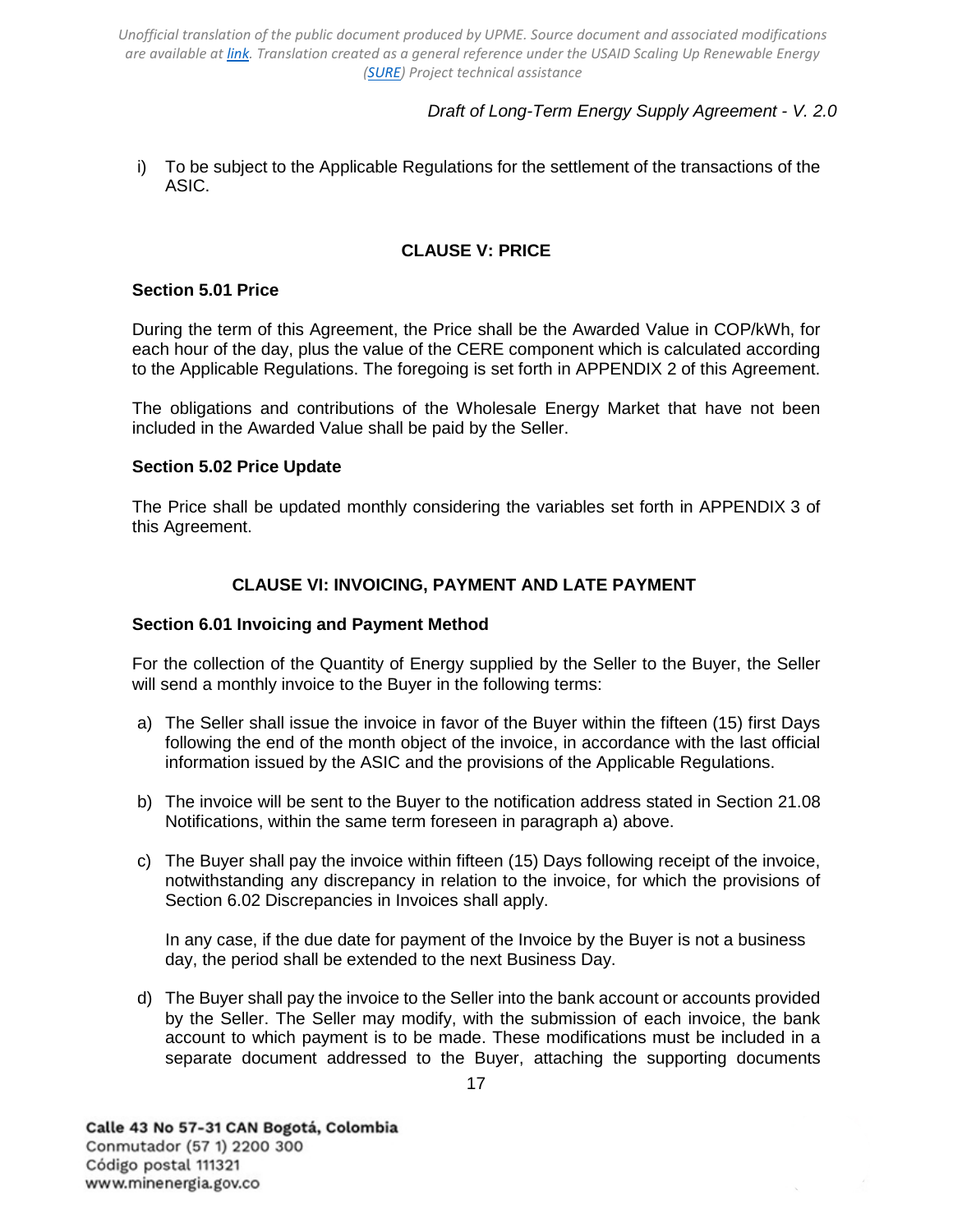# *Draft of Long-Term Energy Supply Agreement - V. 2.0*

i) To be subject to the Applicable Regulations for the settlement of the transactions of the ASIC.

## **CLAUSE V: PRICE**

### <span id="page-16-1"></span><span id="page-16-0"></span>**Section 5.01 Price**

During the term of this Agreement, the Price shall be the Awarded Value in COP/kWh, for each hour of the day, plus the value of the CERE component which is calculated according to the Applicable Regulations. The foregoing is set forth in [APPENDIX 2](#page-45-0) of this Agreement.

The obligations and contributions of the Wholesale Energy Market that have not been included in the Awarded Value shall be paid by the Seller.

### <span id="page-16-2"></span>**Section 5.02 Price Update**

The Price shall be updated monthly considering the variables set forth in [APPENDIX 3](#page-47-0) of this Agreement.

## **CLAUSE VI: INVOICING, PAYMENT AND LATE PAYMENT**

### <span id="page-16-4"></span><span id="page-16-3"></span>**Section 6.01 Invoicing and Payment Method**

For the collection of the Quantity of Energy supplied by the Seller to the Buyer, the Seller will send a monthly invoice to the Buyer in the following terms:

- a) The Seller shall issue the invoice in favor of the Buyer within the fifteen (15) first Days following the end of the month object of the invoice, in accordance with the last official information issued by the ASIC and the provisions of the Applicable Regulations.
- b) The invoice will be sent to the Buyer to the notification address stated in [Section 21.08](#page-40-3)  [Notifications,](#page-40-3) within the same term foreseen in paragraph a) above.
- c) The Buyer shall pay the invoice within fifteen (15) Days following receipt of the invoice, notwithstanding any discrepancy in relation to the invoice, for which the provisions of [Section 6.02 Discrepancies in Invoices](#page-17-0) shall apply.

In any case, if the due date for payment of the Invoice by the Buyer is not a business day, the period shall be extended to the next Business Day.

d) The Buyer shall pay the invoice to the Seller into the bank account or accounts provided by the Seller. The Seller may modify, with the submission of each invoice, the bank account to which payment is to be made. These modifications must be included in a separate document addressed to the Buyer, attaching the supporting documents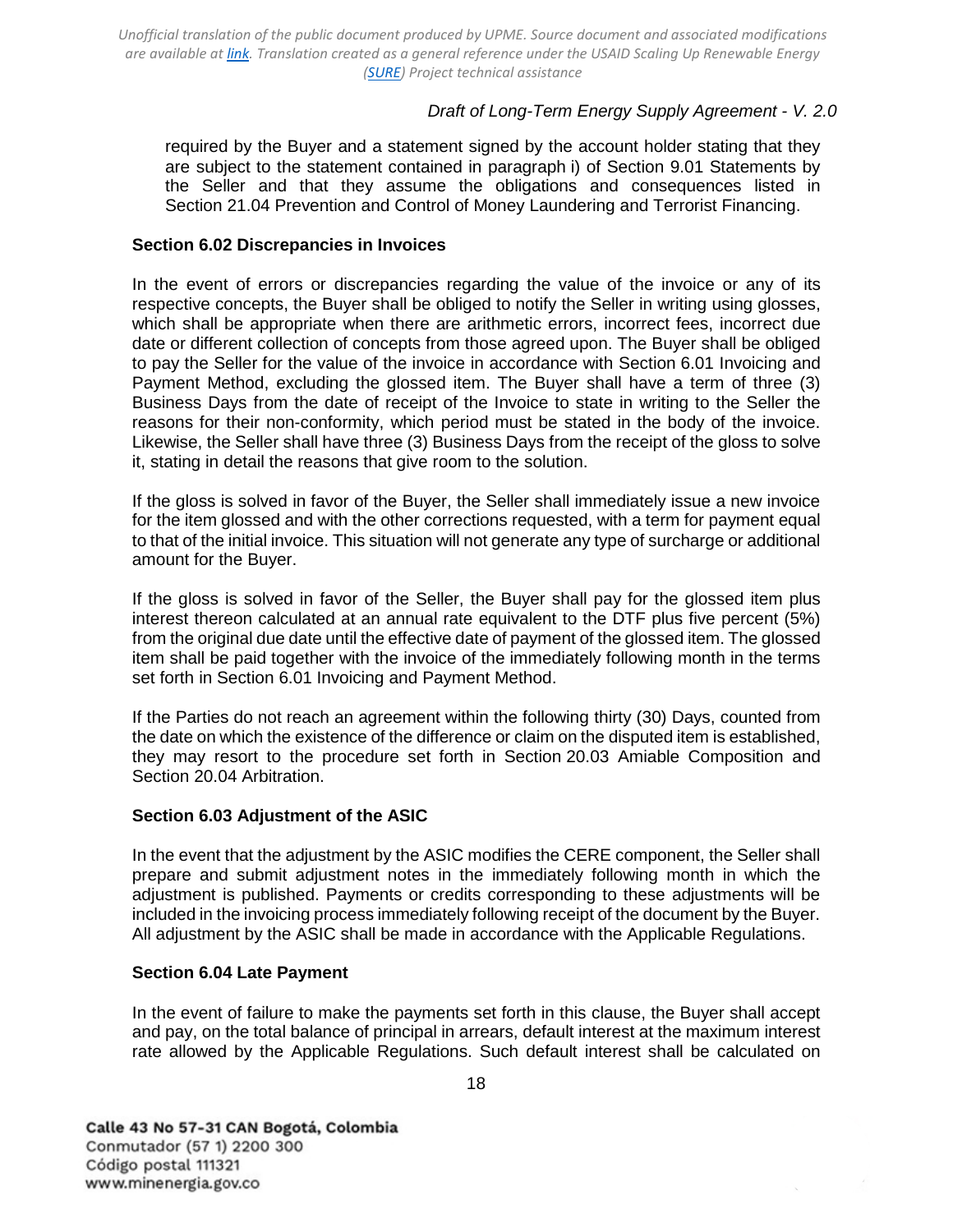## *Draft of Long-Term Energy Supply Agreement - V. 2.0*

required by the Buyer and a statement signed by the account holder stating that they are subject to the statement contained in paragraph i) of [Section 9.01 Statements by](#page-18-4)  [the Seller](#page-18-4) and that they assume the obligations and consequences listed in [Section 21.04 Prevention and](#page-38-1) [Control of Money Laundering and Terrorist Financing.](#page-38-1)

### <span id="page-17-0"></span>**Section 6.02 Discrepancies in Invoices**

In the event of errors or discrepancies regarding the value of the invoice or any of its respective concepts, the Buyer shall be obliged to notify the Seller in writing using glosses, which shall be appropriate when there are arithmetic errors, incorrect fees, incorrect due date or different collection of concepts from those agreed upon. The Buyer shall be obliged to pay the Seller for the value of the invoice in accordance with [Section 6.01 Invoicing and](#page-16-4)  [Payment](#page-16-4) [Method,](#page-16-4) excluding the glossed item. The Buyer shall have a term of three (3) Business Days from the date of receipt of the Invoice to state in writing to the Seller the reasons for their non-conformity, which period must be stated in the body of the invoice. Likewise, the Seller shall have three (3) Business Days from the receipt of the gloss to solve it, stating in detail the reasons that give room to the solution.

If the gloss is solved in favor of the Buyer, the Seller shall immediately issue a new invoice for the item glossed and with the other corrections requested, with a term for payment equal to that of the initial invoice. This situation will not generate any type of surcharge or additional amount for the Buyer.

If the gloss is solved in favor of the Seller, the Buyer shall pay for the glossed item plus interest thereon calculated at an annual rate equivalent to the DTF plus five percent (5%) from the original due date until the effective date of payment of the glossed item. The glossed item shall be paid together with the invoice of the immediately following month in the terms set forth in [Section 6.01 Invoicing and Payment Method.](#page-16-4)

If the Parties do not reach an agreement within the following thirty (30) Days, counted from the date on which the existence of the difference or claim on the disputed item is established, they may resort to the procedure set forth in [Section 20.03](#page-36-0) [Amiable Composition](#page-36-0) and [Section 20.04 Arbitration.](#page-37-0)

#### <span id="page-17-1"></span>**Section 6.03 Adjustment of the ASIC**

In the event that the adjustment by the ASIC modifies the CERE component, the Seller shall prepare and submit adjustment notes in the immediately following month in which the adjustment is published. Payments or credits corresponding to these adjustments will be included in the invoicing process immediately following receipt of the document by the Buyer. All adjustment by the ASIC shall be made in accordance with the Applicable Regulations.

#### <span id="page-17-2"></span>**Section 6.04 Late Payment**

In the event of failure to make the payments set forth in this clause, the Buyer shall accept and pay, on the total balance of principal in arrears, default interest at the maximum interest rate allowed by the Applicable Regulations. Such default interest shall be calculated on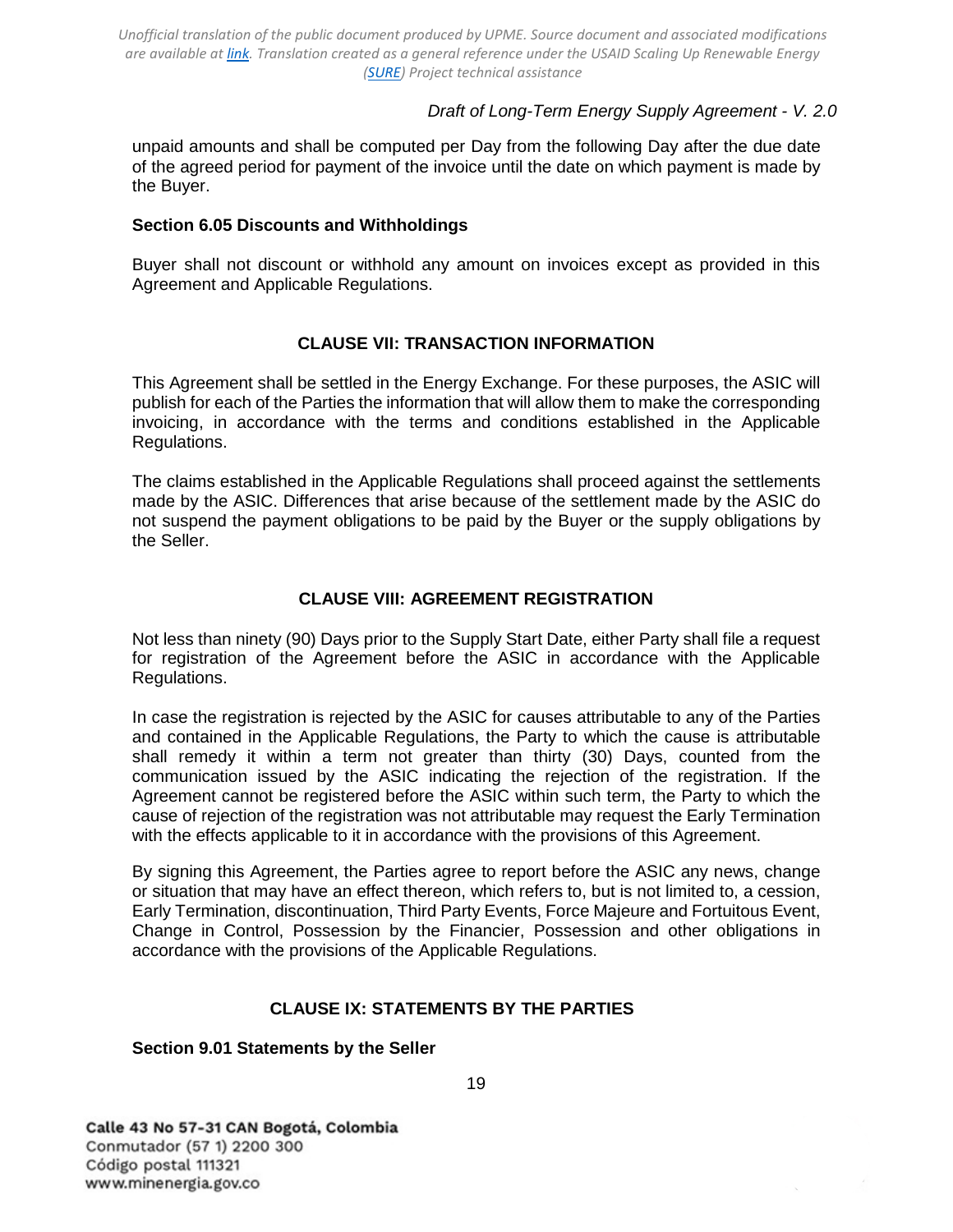## *Draft of Long-Term Energy Supply Agreement - V. 2.0*

unpaid amounts and shall be computed per Day from the following Day after the due date of the agreed period for payment of the invoice until the date on which payment is made by the Buyer.

### <span id="page-18-0"></span>**Section 6.05 Discounts and Withholdings**

Buyer shall not discount or withhold any amount on invoices except as provided in this Agreement and Applicable Regulations.

### **CLAUSE VII: TRANSACTION INFORMATION**

<span id="page-18-1"></span>This Agreement shall be settled in the Energy Exchange. For these purposes, the ASIC will publish for each of the Parties the information that will allow them to make the corresponding invoicing, in accordance with the terms and conditions established in the Applicable Regulations.

The claims established in the Applicable Regulations shall proceed against the settlements made by the ASIC. Differences that arise because of the settlement made by the ASIC do not suspend the payment obligations to be paid by the Buyer or the supply obligations by the Seller.

### **CLAUSE VIII: AGREEMENT REGISTRATION**

<span id="page-18-2"></span>Not less than ninety (90) Days prior to the Supply Start Date, either Party shall file a request for registration of the Agreement before the ASIC in accordance with the Applicable Regulations.

In case the registration is rejected by the ASIC for causes attributable to any of the Parties and contained in the Applicable Regulations, the Party to which the cause is attributable shall remedy it within a term not greater than thirty (30) Days, counted from the communication issued by the ASIC indicating the rejection of the registration. If the Agreement cannot be registered before the ASIC within such term, the Party to which the cause of rejection of the registration was not attributable may request the Early Termination with the effects applicable to it in accordance with the provisions of this Agreement.

By signing this Agreement, the Parties agree to report before the ASIC any news, change or situation that may have an effect thereon, which refers to, but is not limited to, a cession, Early Termination, discontinuation, Third Party Events, Force Majeure and Fortuitous Event, Change in Control, Possession by the Financier, Possession and other obligations in accordance with the provisions of the Applicable Regulations.

## **CLAUSE IX: STATEMENTS BY THE PARTIES**

#### <span id="page-18-4"></span><span id="page-18-3"></span>**Section 9.01 Statements by the Seller**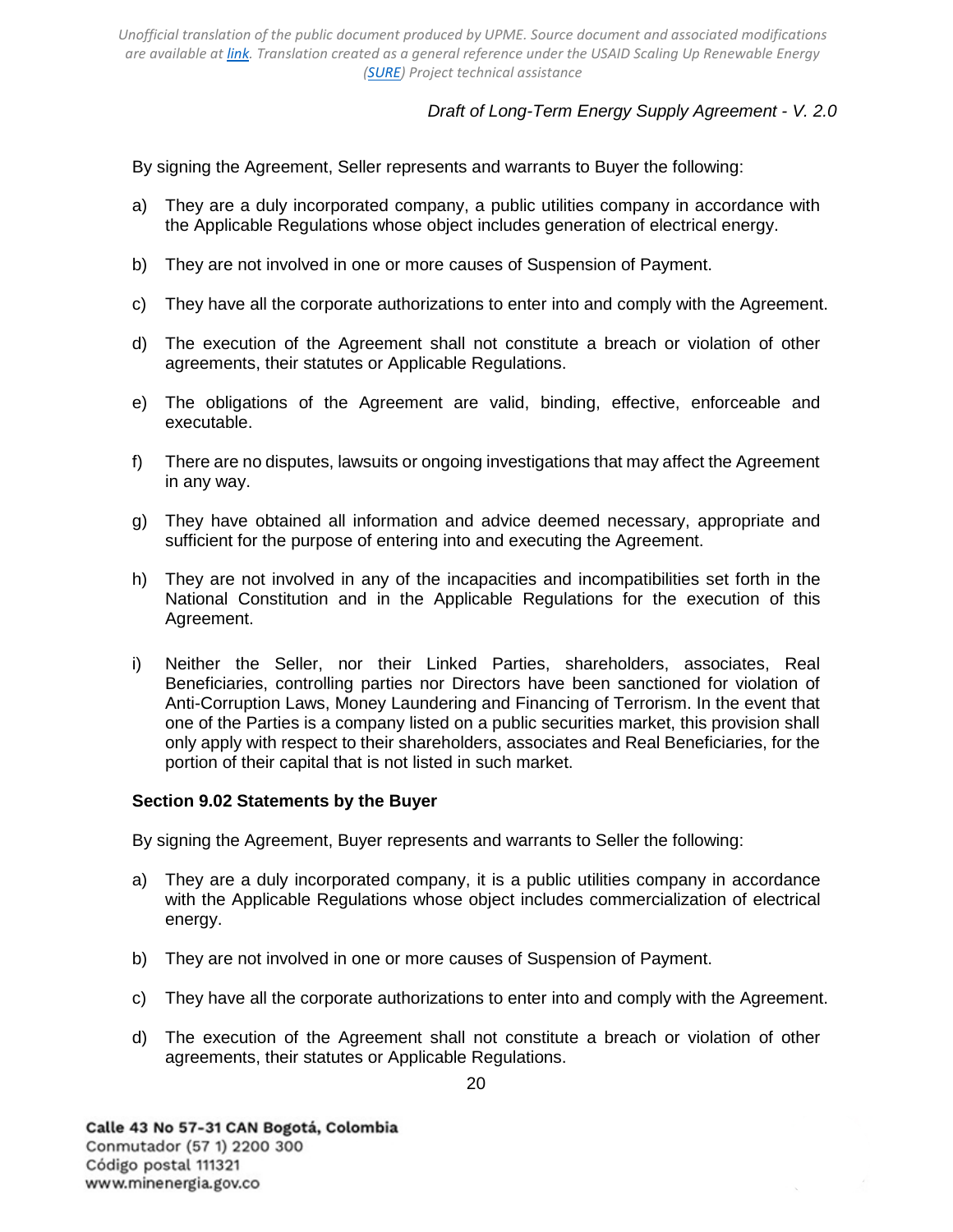*Draft of Long-Term Energy Supply Agreement - V. 2.0*

By signing the Agreement, Seller represents and warrants to Buyer the following:

- a) They are a duly incorporated company, a public utilities company in accordance with the Applicable Regulations whose object includes generation of electrical energy.
- b) They are not involved in one or more causes of Suspension of Payment.
- c) They have all the corporate authorizations to enter into and comply with the Agreement.
- d) The execution of the Agreement shall not constitute a breach or violation of other agreements, their statutes or Applicable Regulations.
- e) The obligations of the Agreement are valid, binding, effective, enforceable and executable.
- f) There are no disputes, lawsuits or ongoing investigations that may affect the Agreement in any way.
- g) They have obtained all information and advice deemed necessary, appropriate and sufficient for the purpose of entering into and executing the Agreement.
- h) They are not involved in any of the incapacities and incompatibilities set forth in the National Constitution and in the Applicable Regulations for the execution of this Agreement.
- i) Neither the Seller, nor their Linked Parties, shareholders, associates, Real Beneficiaries, controlling parties nor Directors have been sanctioned for violation of Anti-Corruption Laws, Money Laundering and Financing of Terrorism. In the event that one of the Parties is a company listed on a public securities market, this provision shall only apply with respect to their shareholders, associates and Real Beneficiaries, for the portion of their capital that is not listed in such market.

#### <span id="page-19-0"></span>**Section 9.02 Statements by the Buyer**

By signing the Agreement, Buyer represents and warrants to Seller the following:

- a) They are a duly incorporated company, it is a public utilities company in accordance with the Applicable Regulations whose object includes commercialization of electrical energy.
- b) They are not involved in one or more causes of Suspension of Payment.
- c) They have all the corporate authorizations to enter into and comply with the Agreement.
- d) The execution of the Agreement shall not constitute a breach or violation of other agreements, their statutes or Applicable Regulations.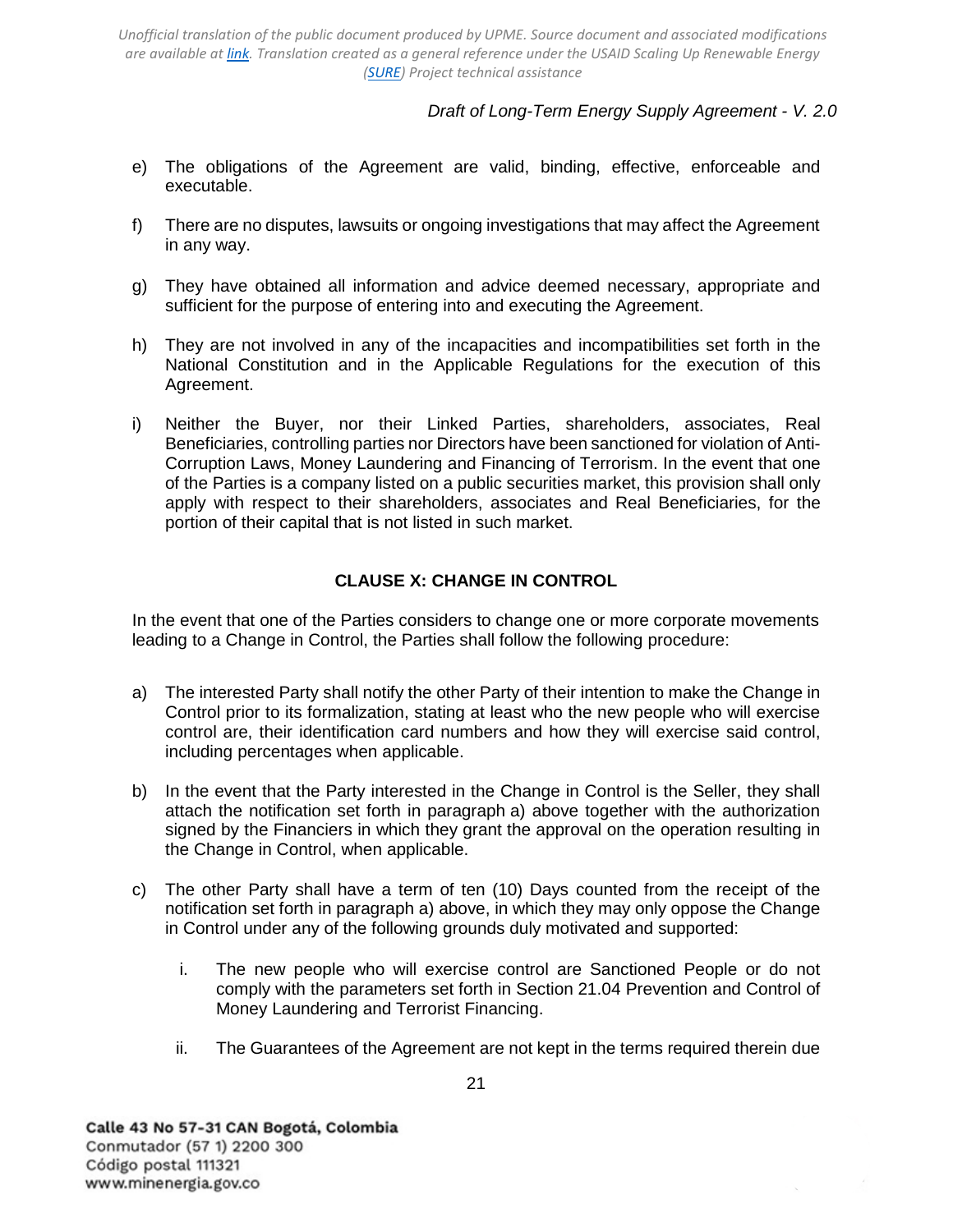*Draft of Long-Term Energy Supply Agreement - V. 2.0*

- e) The obligations of the Agreement are valid, binding, effective, enforceable and executable.
- f) There are no disputes, lawsuits or ongoing investigations that may affect the Agreement in any way.
- g) They have obtained all information and advice deemed necessary, appropriate and sufficient for the purpose of entering into and executing the Agreement.
- h) They are not involved in any of the incapacities and incompatibilities set forth in the National Constitution and in the Applicable Regulations for the execution of this Agreement.
- i) Neither the Buyer, nor their Linked Parties, shareholders, associates, Real Beneficiaries, controlling parties nor Directors have been sanctioned for violation of Anti-Corruption Laws, Money Laundering and Financing of Terrorism. In the event that one of the Parties is a company listed on a public securities market, this provision shall only apply with respect to their shareholders, associates and Real Beneficiaries, for the portion of their capital that is not listed in such market.

## **CLAUSE X: CHANGE IN CONTROL**

<span id="page-20-0"></span>In the event that one of the Parties considers to change one or more corporate movements leading to a Change in Control, the Parties shall follow the following procedure:

- a) The interested Party shall notify the other Party of their intention to make the Change in Control prior to its formalization, stating at least who the new people who will exercise control are, their identification card numbers and how they will exercise said control, including percentages when applicable.
- b) In the event that the Party interested in the Change in Control is the Seller, they shall attach the notification set forth in paragraph a) above together with the authorization signed by the Financiers in which they grant the approval on the operation resulting in the Change in Control, when applicable.
- c) The other Party shall have a term of ten (10) Days counted from the receipt of the notification set forth in paragraph a) above, in which they may only oppose the Change in Control under any of the following grounds duly motivated and supported:
	- i. The new people who will exercise control are Sanctioned People or do not comply with the parameters set forth in [Section 21.04 Prevention and](#page-38-1) [Control of](#page-38-1)  [Money Laundering and Terrorist Financing.](#page-38-1)
	- ii. The Guarantees of the Agreement are not kept in the terms required therein due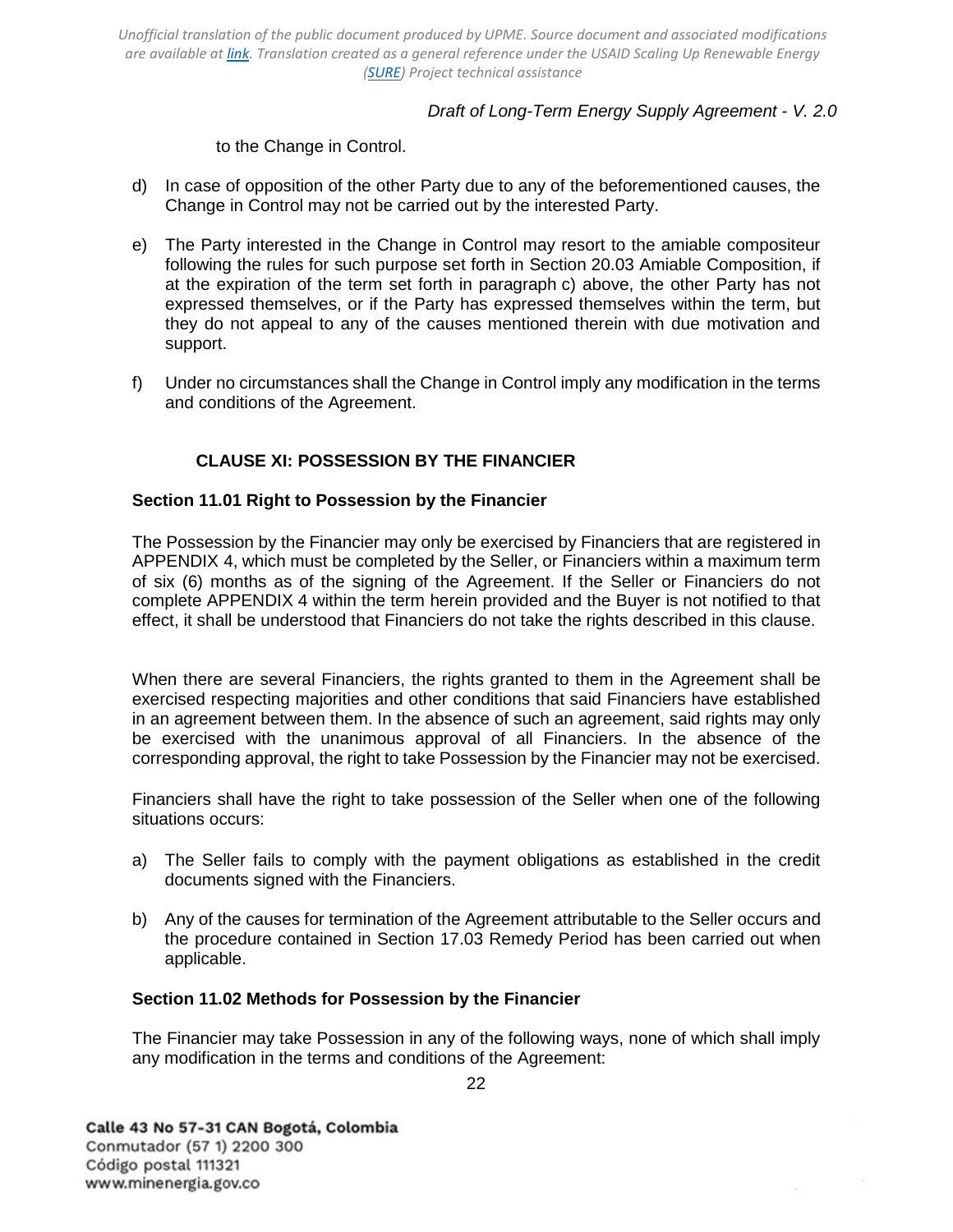## *Draft of Long-Term Energy Supply Agreement - V. 2.0*

to the Change in Control.

- d) In case of opposition of the other Party due to any of the beforementioned causes, the Change in Control may not be carried out by the interested Party.
- e) The Party interested in the Change in Control may resort to the amiable compositeur following the rules for such purpose set forth in [Section 20.03 Amiable Composition,](#page-36-0) if at the expiration of the term set forth in paragraph c) above, the other Party has not expressed themselves, or if the Party has expressed themselves within the term, but they do not appeal to any of the causes mentioned therein with due motivation and support.
- f) Under no circumstances shall the Change in Control imply any modification in the terms and conditions of the Agreement.

# **CLAUSE XI: POSSESSION BY THE FINANCIER**

## <span id="page-21-1"></span><span id="page-21-0"></span>**Section 11.01 Right to Possession by the Financier**

The Possession by the Financier may only be exercised by Financiers that are registered in [APPENDIX 4,](#page-48-0) which must be completed by the Seller, or Financiers within a maximum term of six (6) months as of the signing of the Agreement. If the Seller or Financiers do not complete [APPENDIX 4](#page-48-0) within the term herein provided and the Buyer is not notified to that effect, it shall be understood that Financiers do not take the rights described in this clause.

When there are several Financiers, the rights granted to them in the Agreement shall be exercised respecting majorities and other conditions that said Financiers have established in an agreement between them. In the absence of such an agreement, said rights may only be exercised with the unanimous approval of all Financiers. In the absence of the corresponding approval, the right to take Possession by the Financier may not be exercised.

Financiers shall have the right to take possession of the Seller when one of the following situations occurs:

- a) The Seller fails to comply with the payment obligations as established in the credit documents signed with the Financiers.
- b) Any of the causes for termination of the Agreement attributable to the Seller occurs and the procedure contained in [Section 17.03 Remedy Period](#page-32-0) has been carried out when applicable.

## <span id="page-21-2"></span>**Section 11.02 Methods for Possession by the Financier**

The Financier may take Possession in any of the following ways, none of which shall imply any modification in the terms and conditions of the Agreement: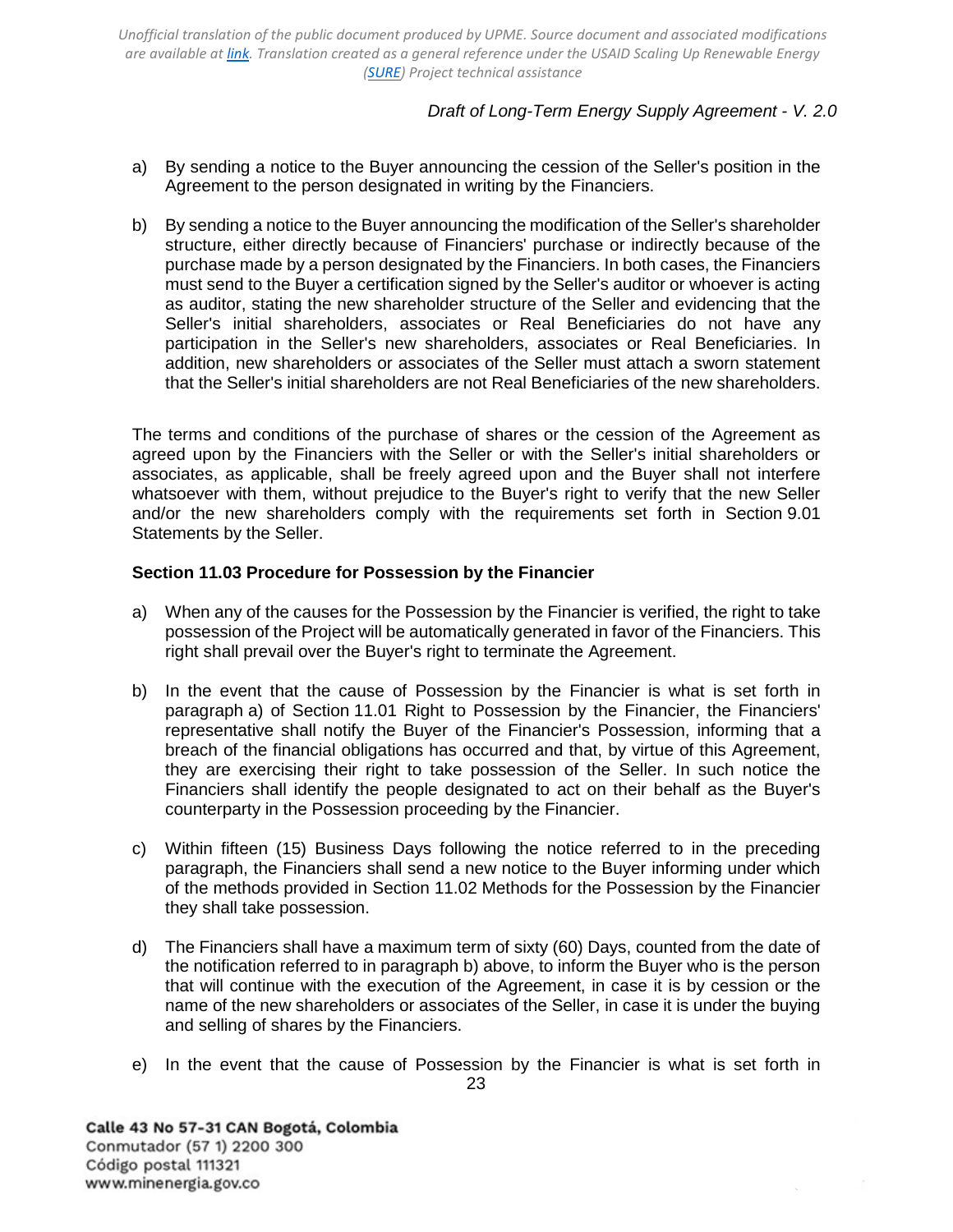# *Draft of Long-Term Energy Supply Agreement - V. 2.0*

- a) By sending a notice to the Buyer announcing the cession of the Seller's position in the Agreement to the person designated in writing by the Financiers.
- b) By sending a notice to the Buyer announcing the modification of the Seller's shareholder structure, either directly because of Financiers' purchase or indirectly because of the purchase made by a person designated by the Financiers. In both cases, the Financiers must send to the Buyer a certification signed by the Seller's auditor or whoever is acting as auditor, stating the new shareholder structure of the Seller and evidencing that the Seller's initial shareholders, associates or Real Beneficiaries do not have any participation in the Seller's new shareholders, associates or Real Beneficiaries. In addition, new shareholders or associates of the Seller must attach a sworn statement that the Seller's initial shareholders are not Real Beneficiaries of the new shareholders.

The terms and conditions of the purchase of shares or the cession of the Agreement as agreed upon by the Financiers with the Seller or with the Seller's initial shareholders or associates, as applicable, shall be freely agreed upon and the Buyer shall not interfere whatsoever with them, without prejudice to the Buyer's right to verify that the new Seller and/or the new shareholders comply with the requirements set forth in [Section 9.01](#page-18-4)  [Statements by the Seller.](#page-18-4)

### <span id="page-22-0"></span>**Section 11.03 Procedure for Possession by the Financier**

- a) When any of the causes for the Possession by the Financier is verified, the right to take possession of the Project will be automatically generated in favor of the Financiers. This right shall prevail over the Buyer's right to terminate the Agreement.
- b) In the event that the cause of Possession by the Financier is what is set forth in paragraph a) of [Section 11.01 Right to Possession by the](#page-21-1) [Financier,](#page-21-1) the Financiers' representative shall notify the Buyer of the Financier's Possession, informing that a breach of the financial obligations has occurred and that, by virtue of this Agreement, they are exercising their right to take possession of the Seller. In such notice the Financiers shall identify the people designated to act on their behalf as the Buyer's counterparty in the Possession proceeding by the Financier.
- c) Within fifteen (15) Business Days following the notice referred to in the preceding paragraph, the Financiers shall send a new notice to the Buyer informing under which of the methods provided in [Section 11.02 Methods](#page-21-2) [for the Possession by the Financier](#page-21-2) they shall take possession.
- d) The Financiers shall have a maximum term of sixty (60) Days, counted from the date of the notification referred to in paragraph b) above, to inform the Buyer who is the person that will continue with the execution of the Agreement, in case it is by cession or the name of the new shareholders or associates of the Seller, in case it is under the buying and selling of shares by the Financiers.
- 23 e) In the event that the cause of Possession by the Financier is what is set forth in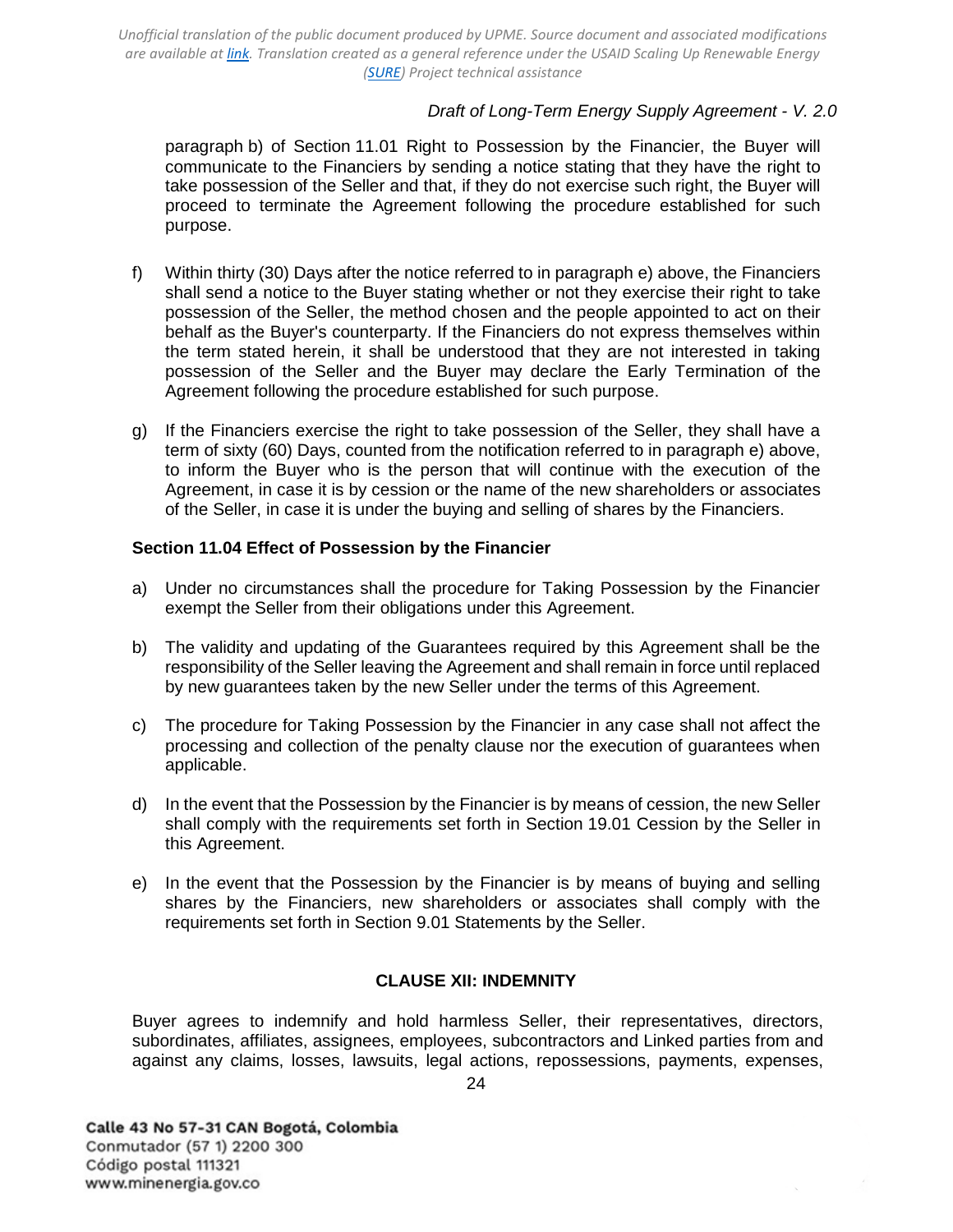## *Draft of Long-Term Energy Supply Agreement - V. 2.0*

paragraph b) of [Section 11.01 Right to Possession by the](#page-21-1) [Financier,](#page-21-1) the Buyer will communicate to the Financiers by sending a notice stating that they have the right to take possession of the Seller and that, if they do not exercise such right, the Buyer will proceed to terminate the Agreement following the procedure established for such purpose.

- f) Within thirty (30) Days after the notice referred to in paragraph e) above, the Financiers shall send a notice to the Buyer stating whether or not they exercise their right to take possession of the Seller, the method chosen and the people appointed to act on their behalf as the Buyer's counterparty. If the Financiers do not express themselves within the term stated herein, it shall be understood that they are not interested in taking possession of the Seller and the Buyer may declare the Early Termination of the Agreement following the procedure established for such purpose.
- g) If the Financiers exercise the right to take possession of the Seller, they shall have a term of sixty (60) Days, counted from the notification referred to in paragraph e) above, to inform the Buyer who is the person that will continue with the execution of the Agreement, in case it is by cession or the name of the new shareholders or associates of the Seller, in case it is under the buying and selling of shares by the Financiers.

### <span id="page-23-0"></span>**Section 11.04 Effect of Possession by the Financier**

- a) Under no circumstances shall the procedure for Taking Possession by the Financier exempt the Seller from their obligations under this Agreement.
- b) The validity and updating of the Guarantees required by this Agreement shall be the responsibility of the Seller leaving the Agreement and shall remain in force until replaced by new guarantees taken by the new Seller under the terms of this Agreement.
- c) The procedure for Taking Possession by the Financier in any case shall not affect the processing and collection of the penalty clause nor the execution of guarantees when applicable.
- d) In the event that the Possession by the Financier is by means of cession, the new Seller shall comply with the requirements set forth in [Section 19.01 Cession by the Seller](#page-33-2) in this Agreement.
- e) In the event that the Possession by the Financier is by means of buying and selling shares by the Financiers, new shareholders or associates shall comply with the requirements set forth in [Section](#page-18-4) [9.01 Statements by the Seller.](#page-18-4)

#### **CLAUSE XII: INDEMNITY**

<span id="page-23-1"></span>Buyer agrees to indemnify and hold harmless Seller, their representatives, directors, subordinates, affiliates, assignees, employees, subcontractors and Linked parties from and against any claims, losses, lawsuits, legal actions, repossessions, payments, expenses,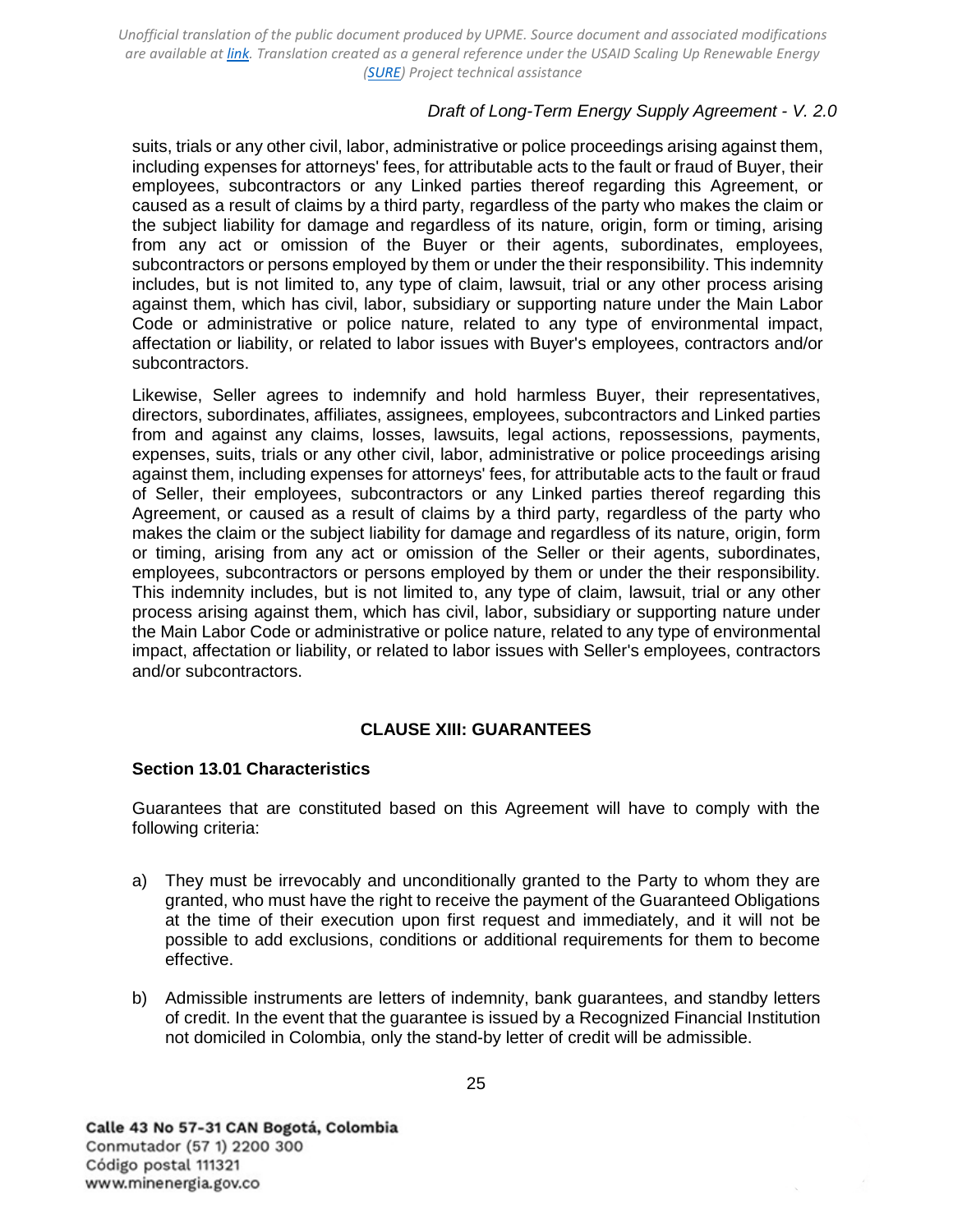## *Draft of Long-Term Energy Supply Agreement - V. 2.0*

suits, trials or any other civil, labor, administrative or police proceedings arising against them, including expenses for attorneys' fees, for attributable acts to the fault or fraud of Buyer, their employees, subcontractors or any Linked parties thereof regarding this Agreement, or caused as a result of claims by a third party, regardless of the party who makes the claim or the subject liability for damage and regardless of its nature, origin, form or timing, arising from any act or omission of the Buyer or their agents, subordinates, employees, subcontractors or persons employed by them or under the their responsibility. This indemnity includes, but is not limited to, any type of claim, lawsuit, trial or any other process arising against them, which has civil, labor, subsidiary or supporting nature under the Main Labor Code or administrative or police nature, related to any type of environmental impact, affectation or liability, or related to labor issues with Buyer's employees, contractors and/or subcontractors.

Likewise, Seller agrees to indemnify and hold harmless Buyer, their representatives, directors, subordinates, affiliates, assignees, employees, subcontractors and Linked parties from and against any claims, losses, lawsuits, legal actions, repossessions, payments, expenses, suits, trials or any other civil, labor, administrative or police proceedings arising against them, including expenses for attorneys' fees, for attributable acts to the fault or fraud of Seller, their employees, subcontractors or any Linked parties thereof regarding this Agreement, or caused as a result of claims by a third party, regardless of the party who makes the claim or the subject liability for damage and regardless of its nature, origin, form or timing, arising from any act or omission of the Seller or their agents, subordinates, employees, subcontractors or persons employed by them or under the their responsibility. This indemnity includes, but is not limited to, any type of claim, lawsuit, trial or any other process arising against them, which has civil, labor, subsidiary or supporting nature under the Main Labor Code or administrative or police nature, related to any type of environmental impact, affectation or liability, or related to labor issues with Seller's employees, contractors and/or subcontractors.

## **CLAUSE XIII: GUARANTEES**

#### <span id="page-24-1"></span><span id="page-24-0"></span>**Section 13.01 Characteristics**

Guarantees that are constituted based on this Agreement will have to comply with the following criteria:

- a) They must be irrevocably and unconditionally granted to the Party to whom they are granted, who must have the right to receive the payment of the Guaranteed Obligations at the time of their execution upon first request and immediately, and it will not be possible to add exclusions, conditions or additional requirements for them to become effective.
- b) Admissible instruments are letters of indemnity, bank guarantees, and standby letters of credit. In the event that the guarantee is issued by a Recognized Financial Institution not domiciled in Colombia, only the stand-by letter of credit will be admissible.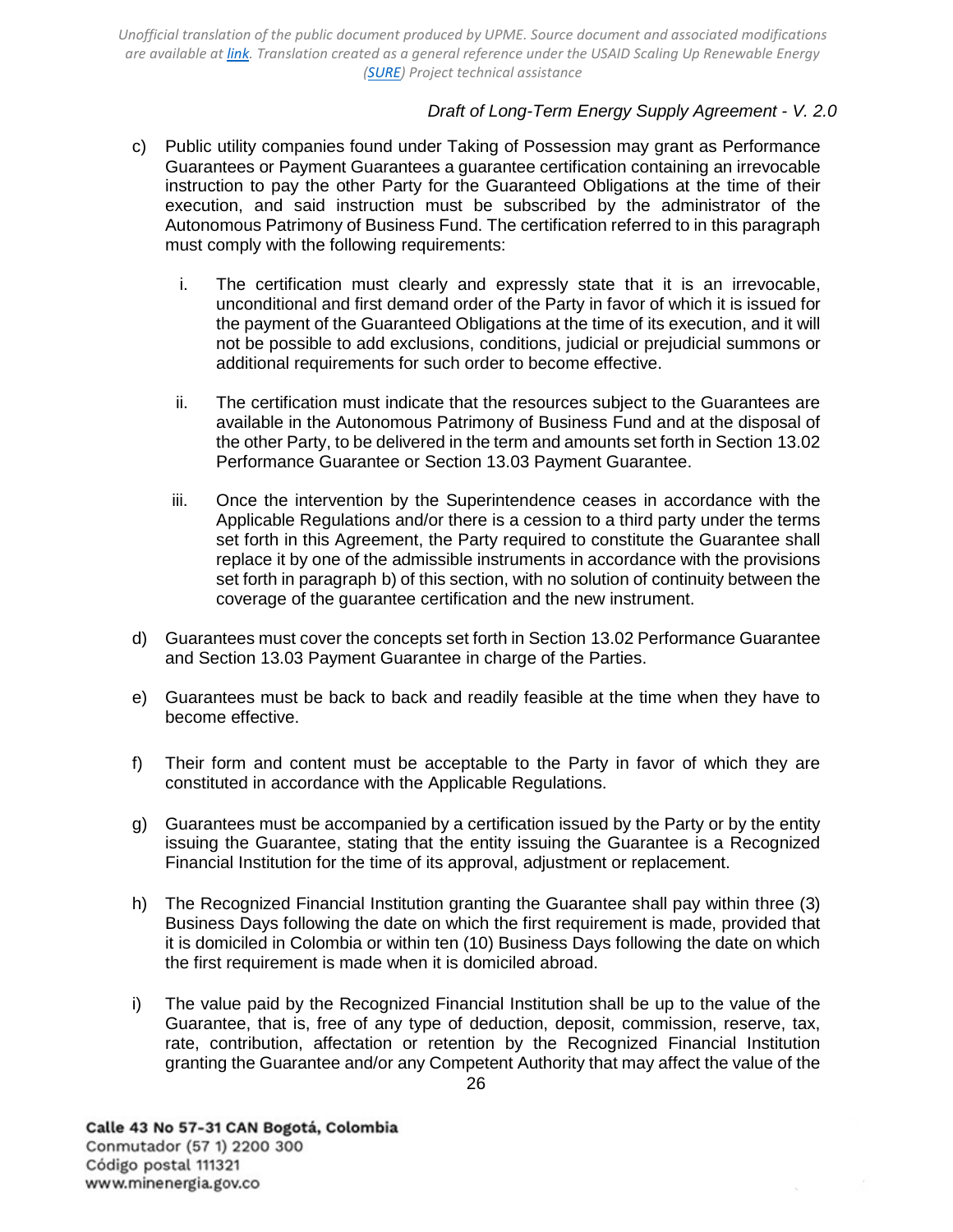## *Draft of Long-Term Energy Supply Agreement - V. 2.0*

- c) Public utility companies found under Taking of Possession may grant as Performance Guarantees or Payment Guarantees a guarantee certification containing an irrevocable instruction to pay the other Party for the Guaranteed Obligations at the time of their execution, and said instruction must be subscribed by the administrator of the Autonomous Patrimony of Business Fund. The certification referred to in this paragraph must comply with the following requirements:
	- i. The certification must clearly and expressly state that it is an irrevocable, unconditional and first demand order of the Party in favor of which it is issued for the payment of the Guaranteed Obligations at the time of its execution, and it will not be possible to add exclusions, conditions, judicial or prejudicial summons or additional requirements for such order to become effective.
	- ii. The certification must indicate that the resources subject to the Guarantees are available in the Autonomous Patrimony of Business Fund and at the disposal of the other Party, to be delivered in the term and amounts set forth in [Section 13.02](#page-26-0)  [Performance](#page-26-0) [Guarantee](#page-26-0) or [Section 13.03 Payment Guarantee.](#page-26-1)
	- iii. Once the intervention by the Superintendence ceases in accordance with the Applicable Regulations and/or there is a cession to a third party under the terms set forth in this Agreement, the Party required to constitute the Guarantee shall replace it by one of the admissible instruments in accordance with the provisions set forth in paragraph b) of this section, with no solution of continuity between the coverage of the guarantee certification and the new instrument.
- d) Guarantees must cover the concepts set forth in [Section 13.02 Performance Guarantee](#page-26-0) and [Section 13.03 Payment Guarantee](#page-26-1) in charge of the Parties.
- e) Guarantees must be back to back and readily feasible at the time when they have to become effective.
- f) Their form and content must be acceptable to the Party in favor of which they are constituted in accordance with the Applicable Regulations.
- g) Guarantees must be accompanied by a certification issued by the Party or by the entity issuing the Guarantee, stating that the entity issuing the Guarantee is a Recognized Financial Institution for the time of its approval, adjustment or replacement.
- h) The Recognized Financial Institution granting the Guarantee shall pay within three (3) Business Days following the date on which the first requirement is made, provided that it is domiciled in Colombia or within ten (10) Business Days following the date on which the first requirement is made when it is domiciled abroad.
- i) The value paid by the Recognized Financial Institution shall be up to the value of the Guarantee, that is, free of any type of deduction, deposit, commission, reserve, tax, rate, contribution, affectation or retention by the Recognized Financial Institution granting the Guarantee and/or any Competent Authority that may affect the value of the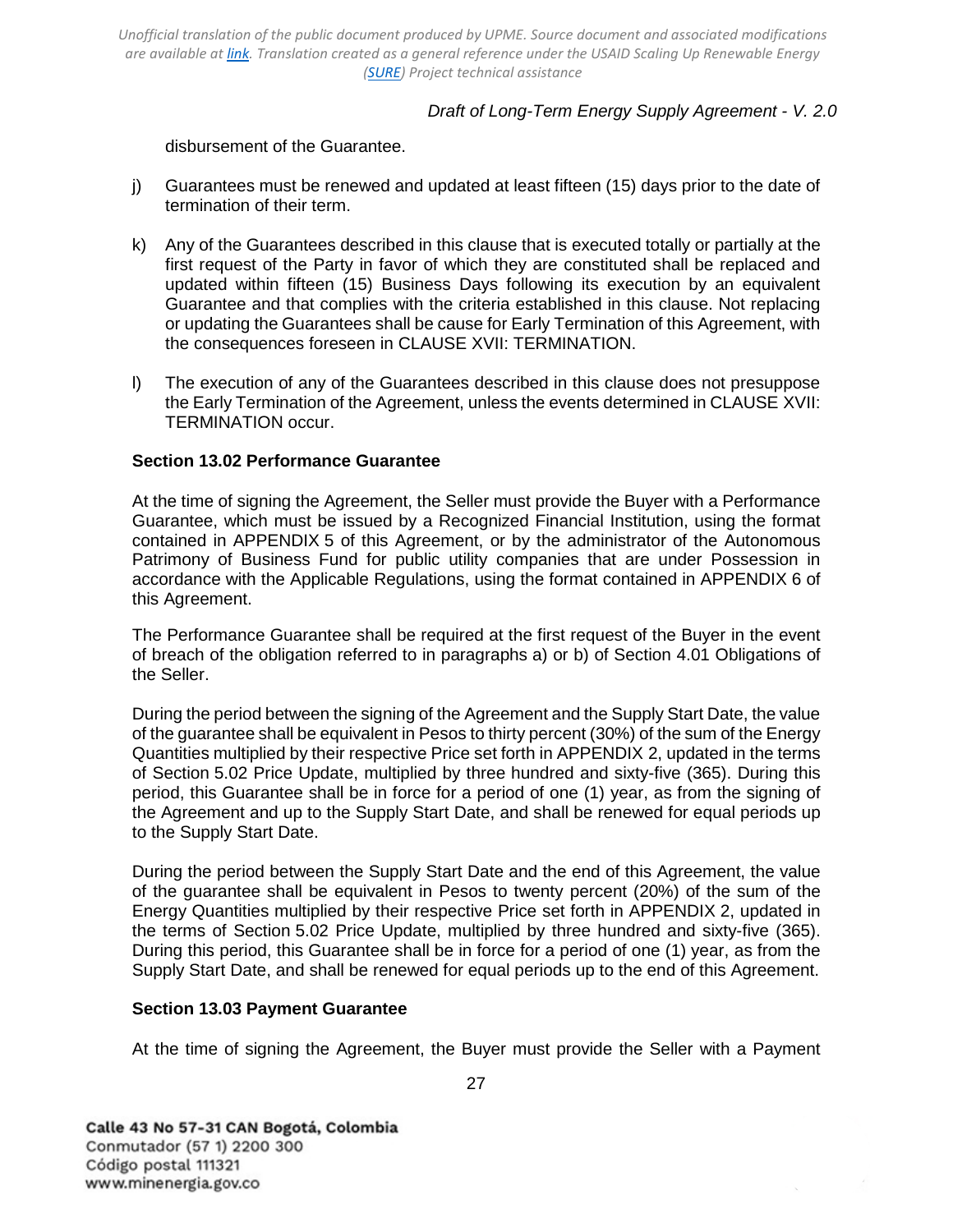### *Draft of Long-Term Energy Supply Agreement - V. 2.0*

disbursement of the Guarantee.

- j) Guarantees must be renewed and updated at least fifteen (15) days prior to the date of termination of their term.
- k) Any of the Guarantees described in this clause that is executed totally or partially at the first request of the Party in favor of which they are constituted shall be replaced and updated within fifteen (15) Business Days following its execution by an equivalent Guarantee and that complies with the criteria established in this clause. Not replacing or updating the Guarantees shall be cause for Early Termination of this Agreement, with the consequences foreseen in [CLAUSE XVII: TERMINATION.](#page-30-1)
- l) The execution of any of the Guarantees described in this clause does not presuppose the Early Termination of the Agreement, unless the events determined in [CLAUSE XVII:](#page-30-1)  [TERMINATION occur.](#page-30-1)

#### <span id="page-26-0"></span>**Section 13.02 Performance Guarantee**

At the time of signing the Agreement, the Seller must provide the Buyer with a Performance Guarantee, which must be issued by a Recognized Financial Institution, using the format contained in [APPENDIX 5](#page-49-0) of this Agreement, or by the administrator of the Autonomous Patrimony of Business Fund for public utility companies that are under Possession in accordance with the Applicable Regulations, using the format contained in [APPENDIX 6](#page-51-0) of this Agreement.

The Performance Guarantee shall be required at the first request of the Buyer in the event of breach of the obligation referred to in paragraphs a) or b) of [Section 4.01](#page-14-5) [Obligations of](#page-14-5)  [the Seller.](#page-14-5)

During the period between the signing of the Agreement and the Supply Start Date, the value of the guarantee shall be equivalent in Pesos to thirty percent (30%) of the sum of the Energy Quantities multiplied by their respective Price set forth in [APPENDIX 2,](#page-45-0) updated in the terms of [Section 5.02 Price Update,](#page-16-2) multiplied by three hundred and sixty-five (365). During this period, this Guarantee shall be in force for a period of one (1) year, as from the signing of the Agreement and up to the Supply Start Date, and shall be renewed for equal periods up to the Supply Start Date.

During the period between the Supply Start Date and the end of this Agreement, the value of the guarantee shall be equivalent in Pesos to twenty percent (20%) of the sum of the Energy Quantities multiplied by their respective Price set forth in [APPENDIX 2,](#page-45-0) updated in the terms of [Section 5.02 Price](#page-16-2) [Update,](#page-16-2) multiplied by three hundred and sixty-five (365). During this period, this Guarantee shall be in force for a period of one (1) year, as from the Supply Start Date, and shall be renewed for equal periods up to the end of this Agreement.

#### <span id="page-26-1"></span>**Section 13.03 Payment Guarantee**

At the time of signing the Agreement, the Buyer must provide the Seller with a Payment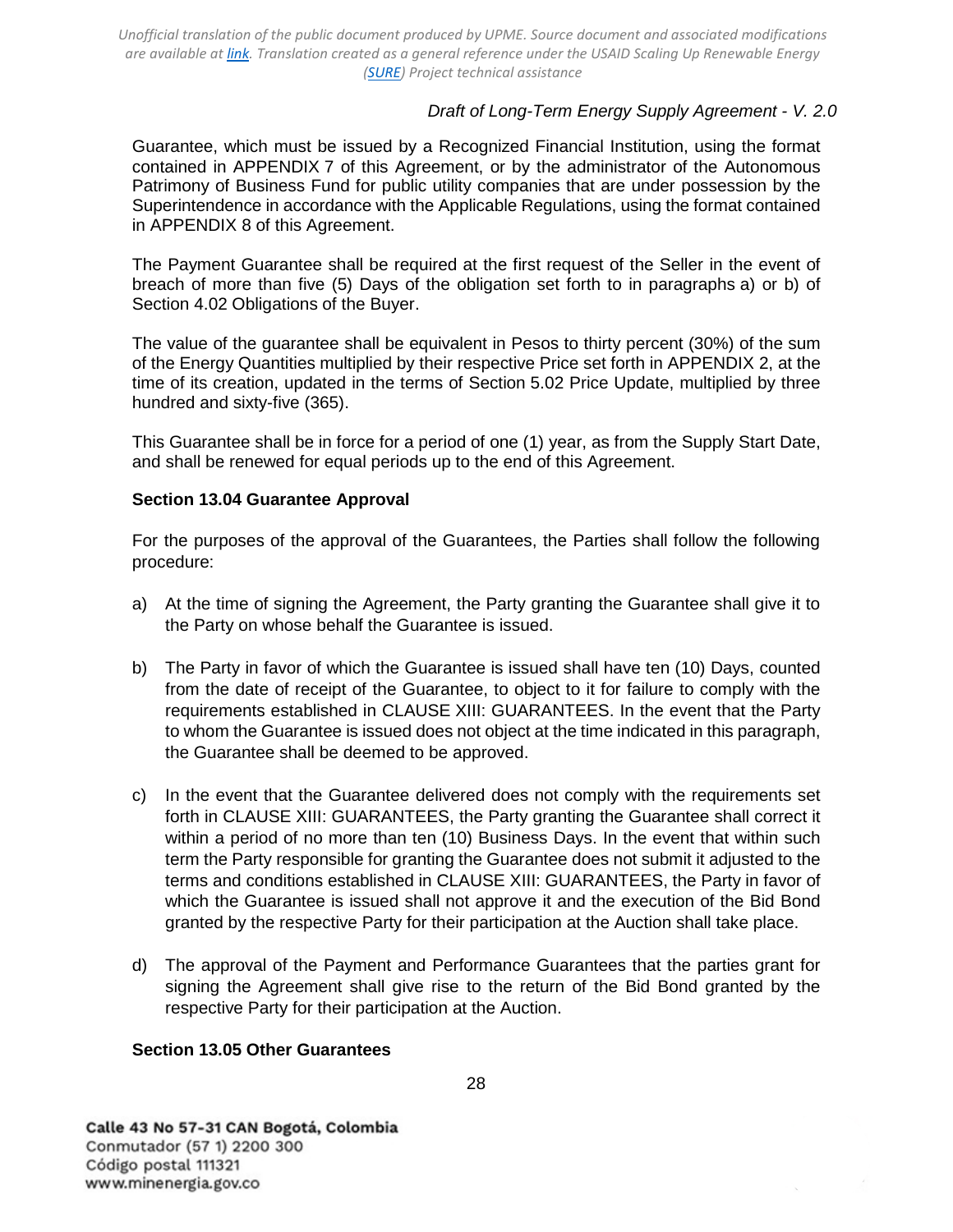## *Draft of Long-Term Energy Supply Agreement - V. 2.0*

Guarantee, which must be issued by a Recognized Financial Institution, using the format contained in [APPENDIX 7](#page-55-0) of this Agreement, or by the administrator of the Autonomous Patrimony of Business Fund for public utility companies that are under possession by the Superintendence in accordance with the Applicable Regulations, using the format contained in [APPENDIX 8](#page-57-0) of this Agreement.

The Payment Guarantee shall be required at the first request of the Seller in the event of breach of more than five (5) Days of the obligation set forth to in paragraphs a) or b) of [Section 4.02 Obligations of the Buyer.](#page-15-0)

The value of the guarantee shall be equivalent in Pesos to thirty percent (30%) of the sum of the Energy Quantities multiplied by their respective Price set forth in [APPENDIX 2,](#page-45-0) at the time of its creation, updated in the terms of [Section 5.02](#page-16-2) [Price Update,](#page-16-2) multiplied by three hundred and sixty-five (365).

This Guarantee shall be in force for a period of one (1) year, as from the Supply Start Date, and shall be renewed for equal periods up to the end of this Agreement.

### <span id="page-27-0"></span>**Section 13.04 Guarantee Approval**

For the purposes of the approval of the Guarantees, the Parties shall follow the following procedure:

- a) At the time of signing the Agreement, the Party granting the Guarantee shall give it to the Party on whose behalf the Guarantee is issued.
- b) The Party in favor of which the Guarantee is issued shall have ten (10) Days, counted from the date of receipt of the Guarantee, to object to it for failure to comply with the requirements established in [CLAUSE XIII: GUARANTEES.](#page-24-0) In the event that the Party to whom the Guarantee is issued does not object at the time indicated in this paragraph, the Guarantee shall be deemed to be approved.
- c) In the event that the Guarantee delivered does not comply with the requirements set forth in [CLAUSE XIII: GUARANTEES,](#page-24-0) the Party granting the Guarantee shall correct it within a period of no more than ten (10) Business Days. In the event that within such term the Party responsible for granting the Guarantee does not submit it adjusted to the terms and conditions established in [CLAUSE XIII: GUARANTEES,](#page-24-0) the Party in favor of which the Guarantee is issued shall not approve it and the execution of the Bid Bond granted by the respective Party for their participation at the Auction shall take place.
- d) The approval of the Payment and Performance Guarantees that the parties grant for signing the Agreement shall give rise to the return of the Bid Bond granted by the respective Party for their participation at the Auction.

## <span id="page-27-1"></span>**Section 13.05 Other Guarantees**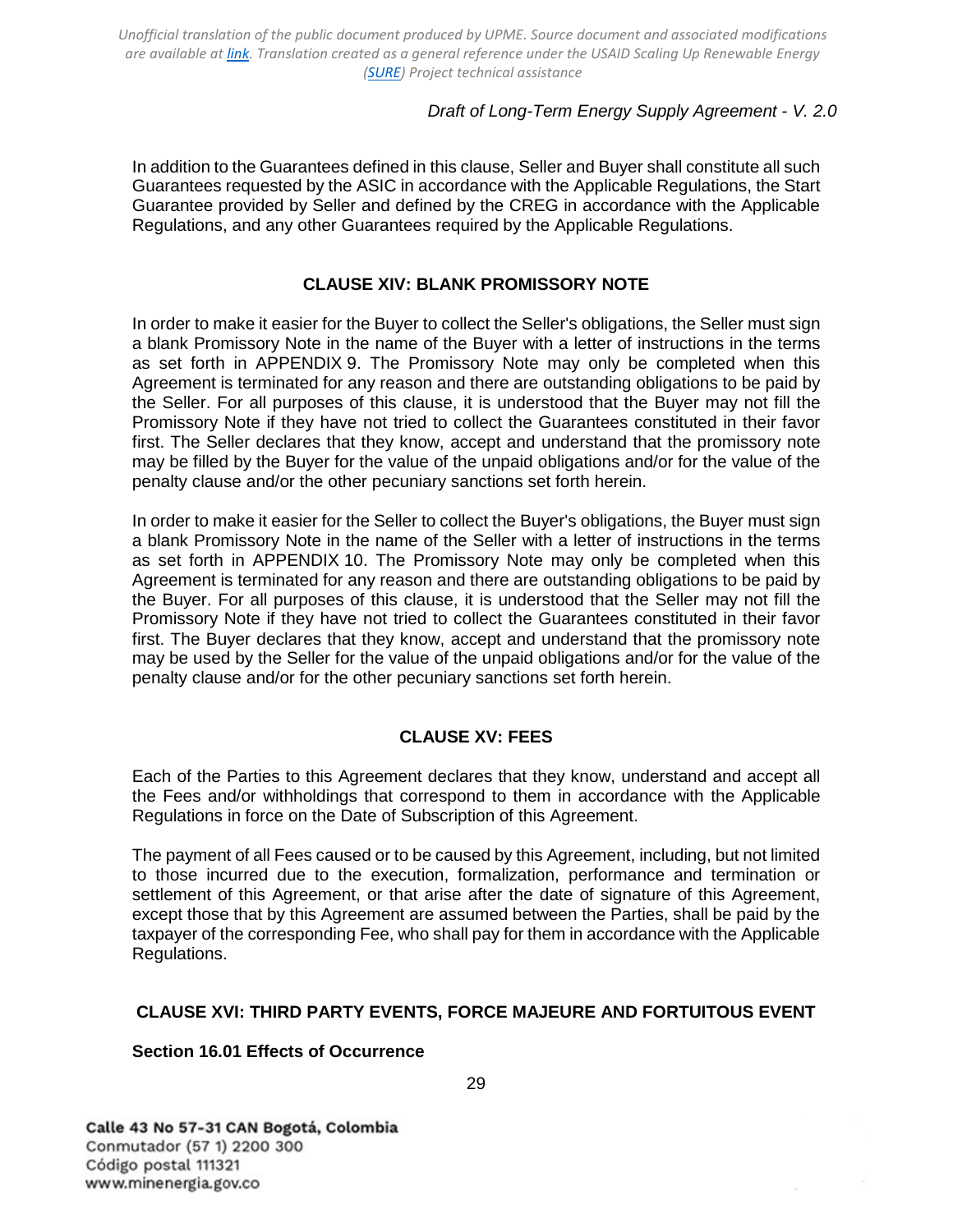## *Draft of Long-Term Energy Supply Agreement - V. 2.0*

In addition to the Guarantees defined in this clause, Seller and Buyer shall constitute all such Guarantees requested by the ASIC in accordance with the Applicable Regulations, the Start Guarantee provided by Seller and defined by the CREG in accordance with the Applicable Regulations, and any other Guarantees required by the Applicable Regulations.

## **CLAUSE XIV: BLANK PROMISSORY NOTE**

<span id="page-28-0"></span>In order to make it easier for the Buyer to collect the Seller's obligations, the Seller must sign a blank Promissory Note in the name of the Buyer with a letter of instructions in the terms as set forth in [APPENDIX 9.](#page-61-0) The Promissory Note may only be completed when this Agreement is terminated for any reason and there are outstanding obligations to be paid by the Seller. For all purposes of this clause, it is understood that the Buyer may not fill the Promissory Note if they have not tried to collect the Guarantees constituted in their favor first. The Seller declares that they know, accept and understand that the promissory note may be filled by the Buyer for the value of the unpaid obligations and/or for the value of the penalty clause and/or the other pecuniary sanctions set forth herein.

In order to make it easier for the Seller to collect the Buyer's obligations, the Buyer must sign a blank Promissory Note in the name of the Seller with a letter of instructions in the terms as set forth in [APPENDIX 10.](#page-64-0) The Promissory Note may only be completed when this Agreement is terminated for any reason and there are outstanding obligations to be paid by the Buyer. For all purposes of this clause, it is understood that the Seller may not fill the Promissory Note if they have not tried to collect the Guarantees constituted in their favor first. The Buyer declares that they know, accept and understand that the promissory note may be used by the Seller for the value of the unpaid obligations and/or for the value of the penalty clause and/or for the other pecuniary sanctions set forth herein.

## **CLAUSE XV: FEES**

<span id="page-28-1"></span>Each of the Parties to this Agreement declares that they know, understand and accept all the Fees and/or withholdings that correspond to them in accordance with the Applicable Regulations in force on the Date of Subscription of this Agreement.

The payment of all Fees caused or to be caused by this Agreement, including, but not limited to those incurred due to the execution, formalization, performance and termination or settlement of this Agreement, or that arise after the date of signature of this Agreement, except those that by this Agreement are assumed between the Parties, shall be paid by the taxpayer of the corresponding Fee, who shall pay for them in accordance with the Applicable Regulations.

## <span id="page-28-2"></span>**CLAUSE XVI: THIRD PARTY EVENTS, FORCE MAJEURE AND FORTUITOUS EVENT**

#### <span id="page-28-3"></span>**Section 16.01 Effects of Occurrence**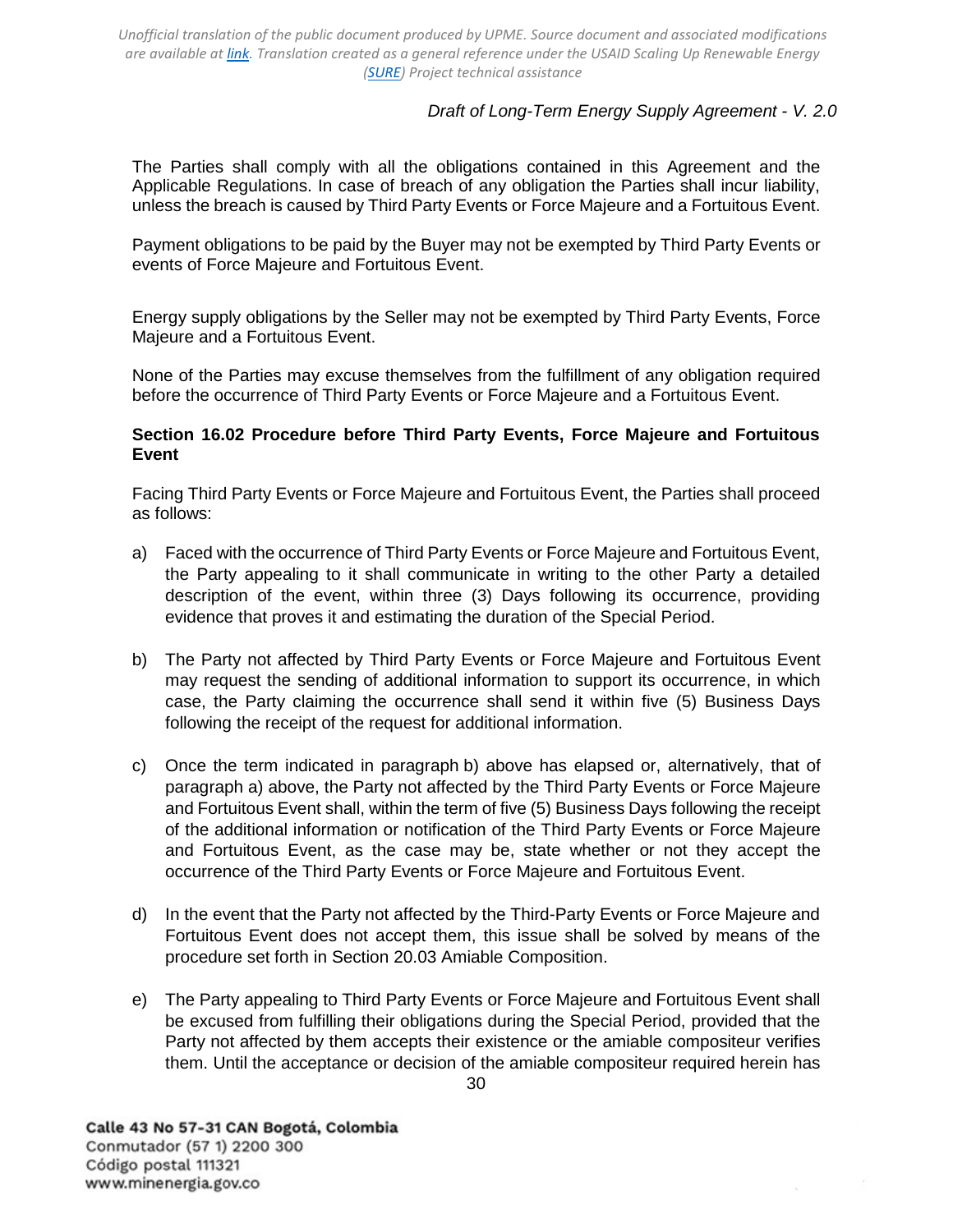# *Draft of Long-Term Energy Supply Agreement - V. 2.0*

The Parties shall comply with all the obligations contained in this Agreement and the Applicable Regulations. In case of breach of any obligation the Parties shall incur liability, unless the breach is caused by Third Party Events or Force Majeure and a Fortuitous Event.

Payment obligations to be paid by the Buyer may not be exempted by Third Party Events or events of Force Majeure and Fortuitous Event.

Energy supply obligations by the Seller may not be exempted by Third Party Events, Force Majeure and a Fortuitous Event.

None of the Parties may excuse themselves from the fulfillment of any obligation required before the occurrence of Third Party Events or Force Majeure and a Fortuitous Event.

### <span id="page-29-0"></span>**Section 16.02 Procedure before Third Party Events, Force Majeure and Fortuitous Event**

Facing Third Party Events or Force Majeure and Fortuitous Event, the Parties shall proceed as follows:

- a) Faced with the occurrence of Third Party Events or Force Majeure and Fortuitous Event, the Party appealing to it shall communicate in writing to the other Party a detailed description of the event, within three (3) Days following its occurrence, providing evidence that proves it and estimating the duration of the Special Period.
- b) The Party not affected by Third Party Events or Force Majeure and Fortuitous Event may request the sending of additional information to support its occurrence, in which case, the Party claiming the occurrence shall send it within five (5) Business Days following the receipt of the request for additional information.
- c) Once the term indicated in paragraph b) above has elapsed or, alternatively, that of paragraph a) above, the Party not affected by the Third Party Events or Force Majeure and Fortuitous Event shall, within the term of five (5) Business Days following the receipt of the additional information or notification of the Third Party Events or Force Majeure and Fortuitous Event, as the case may be, state whether or not they accept the occurrence of the Third Party Events or Force Majeure and Fortuitous Event.
- d) In the event that the Party not affected by the Third-Party Events or Force Majeure and Fortuitous Event does not accept them, this issue shall be solved by means of the procedure set forth in [Section 20.03 Amiable Composition.](#page-36-0)
- e) The Party appealing to Third Party Events or Force Majeure and Fortuitous Event shall be excused from fulfilling their obligations during the Special Period, provided that the Party not affected by them accepts their existence or the amiable compositeur verifies them. Until the acceptance or decision of the amiable compositeur required herein has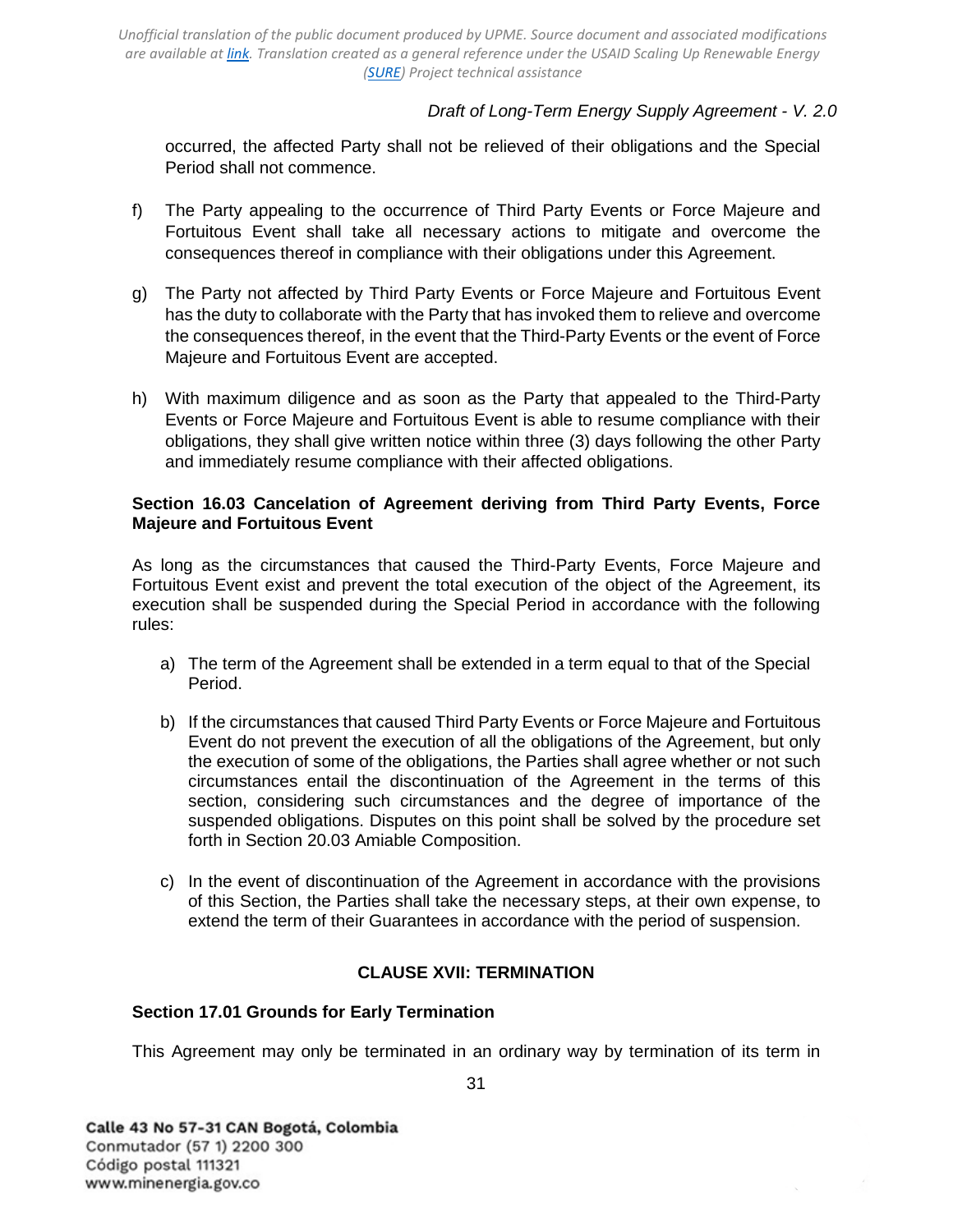# *Draft of Long-Term Energy Supply Agreement - V. 2.0*

occurred, the affected Party shall not be relieved of their obligations and the Special Period shall not commence.

- f) The Party appealing to the occurrence of Third Party Events or Force Majeure and Fortuitous Event shall take all necessary actions to mitigate and overcome the consequences thereof in compliance with their obligations under this Agreement.
- g) The Party not affected by Third Party Events or Force Majeure and Fortuitous Event has the duty to collaborate with the Party that has invoked them to relieve and overcome the consequences thereof, in the event that the Third-Party Events or the event of Force Majeure and Fortuitous Event are accepted.
- h) With maximum diligence and as soon as the Party that appealed to the Third-Party Events or Force Majeure and Fortuitous Event is able to resume compliance with their obligations, they shall give written notice within three (3) days following the other Party and immediately resume compliance with their affected obligations.

### <span id="page-30-0"></span>**Section 16.03 Cancelation of Agreement deriving from Third Party Events, Force Majeure and Fortuitous Event**

As long as the circumstances that caused the Third-Party Events, Force Majeure and Fortuitous Event exist and prevent the total execution of the object of the Agreement, its execution shall be suspended during the Special Period in accordance with the following rules:

- a) The term of the Agreement shall be extended in a term equal to that of the Special Period.
- b) If the circumstances that caused Third Party Events or Force Majeure and Fortuitous Event do not prevent the execution of all the obligations of the Agreement, but only the execution of some of the obligations, the Parties shall agree whether or not such circumstances entail the discontinuation of the Agreement in the terms of this section, considering such circumstances and the degree of importance of the suspended obligations. Disputes on this point shall be solved by the procedure set forth in [Section 20.03 Amiable](#page-36-0) [Composition.](#page-36-0)
- c) In the event of discontinuation of the Agreement in accordance with the provisions of this Section, the Parties shall take the necessary steps, at their own expense, to extend the term of their Guarantees in accordance with the period of suspension.

## **CLAUSE XVII: TERMINATION**

## <span id="page-30-2"></span><span id="page-30-1"></span>**Section 17.01 Grounds for Early Termination**

This Agreement may only be terminated in an ordinary way by termination of its term in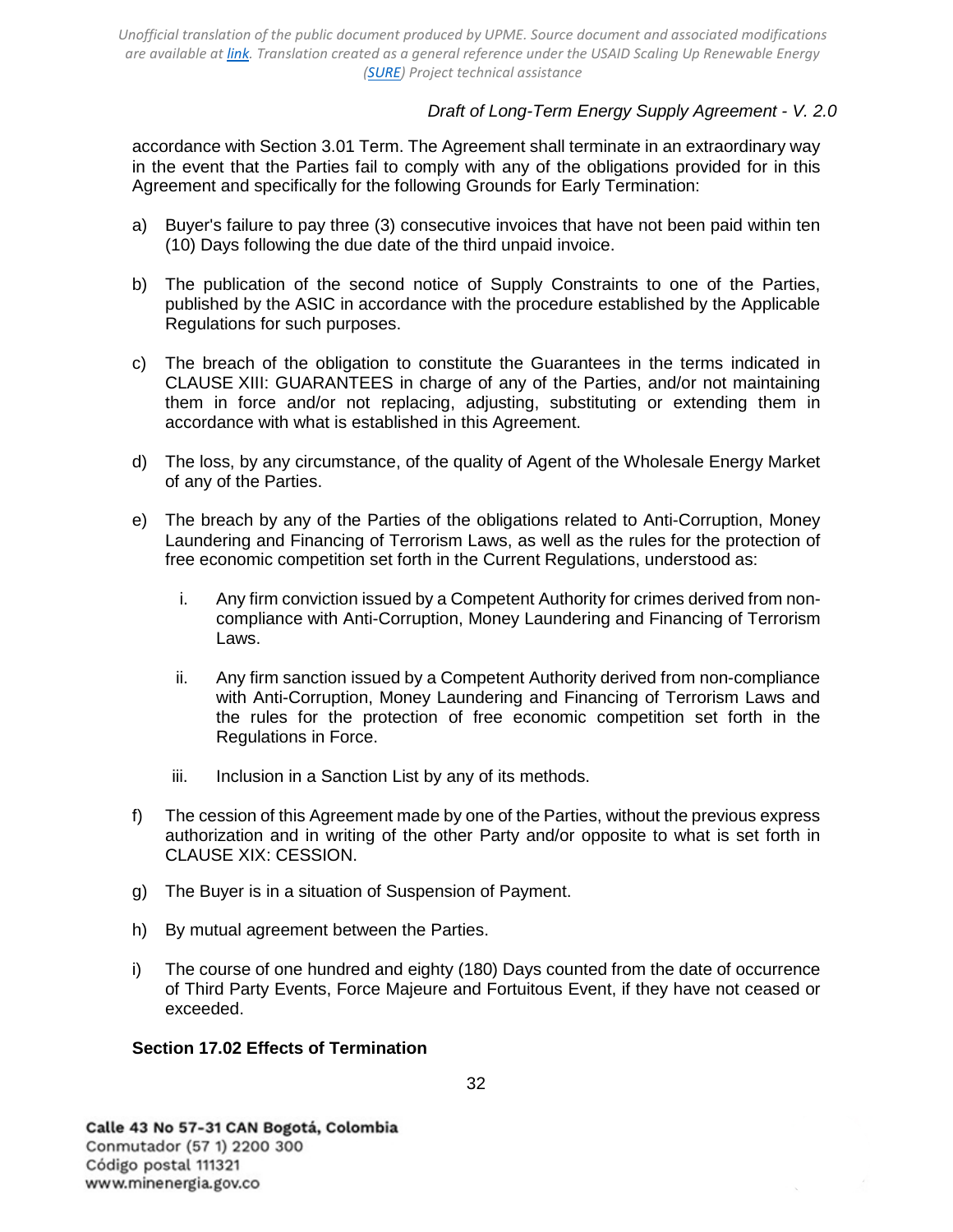# *Draft of Long-Term Energy Supply Agreement - V. 2.0*

accordance with [Section 3.01 Term.](#page-14-2) The Agreement shall terminate in an extraordinary way in the event that the Parties fail to comply with any of the obligations provided for in this Agreement and specifically for the following Grounds for Early Termination:

- a) Buyer's failure to pay three (3) consecutive invoices that have not been paid within ten (10) Days following the due date of the third unpaid invoice.
- b) The publication of the second notice of Supply Constraints to one of the Parties, published by the ASIC in accordance with the procedure established by the Applicable Regulations for such purposes.
- c) The breach of the obligation to constitute the Guarantees in the terms indicated in [CLAUSE XIII: GUARANTEES](#page-24-0) in charge of any of the Parties, and/or not maintaining them in force and/or not replacing, adjusting, substituting or extending them in accordance with what is established in this Agreement.
- d) The loss, by any circumstance, of the quality of Agent of the Wholesale Energy Market of any of the Parties.
- e) The breach by any of the Parties of the obligations related to Anti-Corruption, Money Laundering and Financing of Terrorism Laws, as well as the rules for the protection of free economic competition set forth in the Current Regulations, understood as:
	- i. Any firm conviction issued by a Competent Authority for crimes derived from noncompliance with Anti-Corruption, Money Laundering and Financing of Terrorism Laws.
	- ii. Any firm sanction issued by a Competent Authority derived from non-compliance with Anti-Corruption, Money Laundering and Financing of Terrorism Laws and the rules for the protection of free economic competition set forth in the Regulations in Force.
	- iii. Inclusion in a Sanction List by any of its methods.
- f) The cession of this Agreement made by one of the Parties, without the previous express authorization and in writing of the other Party and/or opposite to what is set forth in [CLAUSE XIX: CESSION.](#page-33-1)
- g) The Buyer is in a situation of Suspension of Payment.
- h) By mutual agreement between the Parties.
- i) The course of one hundred and eighty (180) Days counted from the date of occurrence of Third Party Events, Force Majeure and Fortuitous Event, if they have not ceased or exceeded.

## <span id="page-31-0"></span>**Section 17.02 Effects of Termination**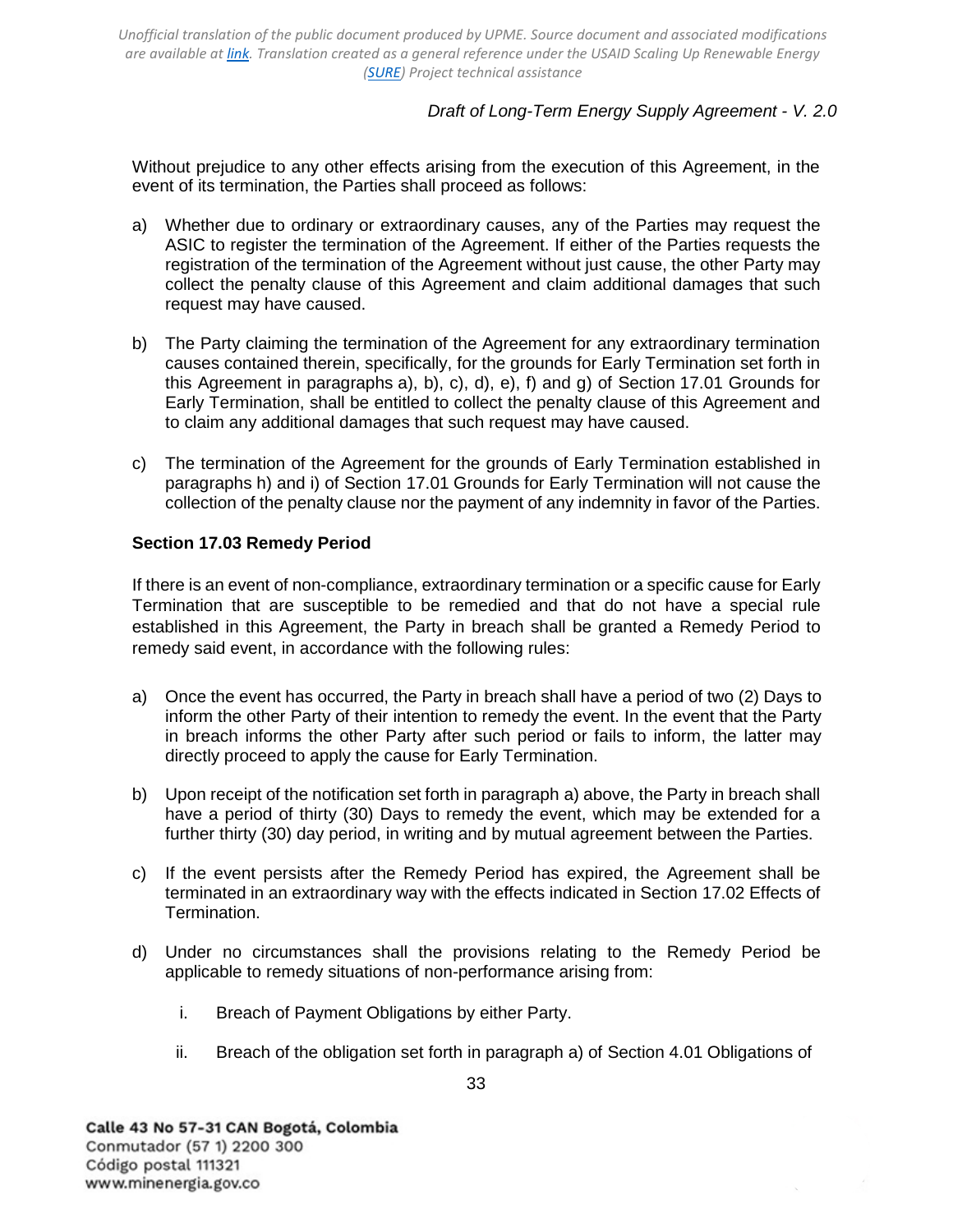# *Draft of Long-Term Energy Supply Agreement - V. 2.0*

Without prejudice to any other effects arising from the execution of this Agreement, in the event of its termination, the Parties shall proceed as follows:

- a) Whether due to ordinary or extraordinary causes, any of the Parties may request the ASIC to register the termination of the Agreement. If either of the Parties requests the registration of the termination of the Agreement without just cause, the other Party may collect the penalty clause of this Agreement and claim additional damages that such request may have caused.
- b) The Party claiming the termination of the Agreement for any extraordinary termination causes contained therein, specifically, for the grounds for Early Termination set forth in this Agreement in paragraphs a), b), c), d), e), f) and g) of [Section 17.01 Grounds for](#page-30-2)  [Early Termination,](#page-30-2) shall be entitled to collect the penalty clause of this Agreement and to claim any additional damages that such request may have caused.
- c) The termination of the Agreement for the grounds of Early Termination established in paragraphs h) and i) of Section [17.01 Grounds for Early Termination](#page-30-2) will not cause the collection of the penalty clause nor the payment of any indemnity in favor of the Parties.

## <span id="page-32-0"></span>**Section 17.03 Remedy Period**

If there is an event of non-compliance, extraordinary termination or a specific cause for Early Termination that are susceptible to be remedied and that do not have a special rule established in this Agreement, the Party in breach shall be granted a Remedy Period to remedy said event, in accordance with the following rules:

- a) Once the event has occurred, the Party in breach shall have a period of two (2) Days to inform the other Party of their intention to remedy the event. In the event that the Party in breach informs the other Party after such period or fails to inform, the latter may directly proceed to apply the cause for Early Termination.
- b) Upon receipt of the notification set forth in paragraph a) above, the Party in breach shall have a period of thirty (30) Days to remedy the event, which may be extended for a further thirty (30) day period, in writing and by mutual agreement between the Parties.
- c) If the event persists after the Remedy Period has expired, the Agreement shall be terminated in an extraordinary way with the effects indicated in [Section 17.02 Effects of](#page-31-0) [Termination.](#page-31-0)
- d) Under no circumstances shall the provisions relating to the Remedy Period be applicable to remedy situations of non-performance arising from:
	- i. Breach of Payment Obligations by either Party.
	- ii. Breach of the obligation set forth in paragraph a) of [Section 4.01](#page-14-5) [Obligations of](#page-14-5)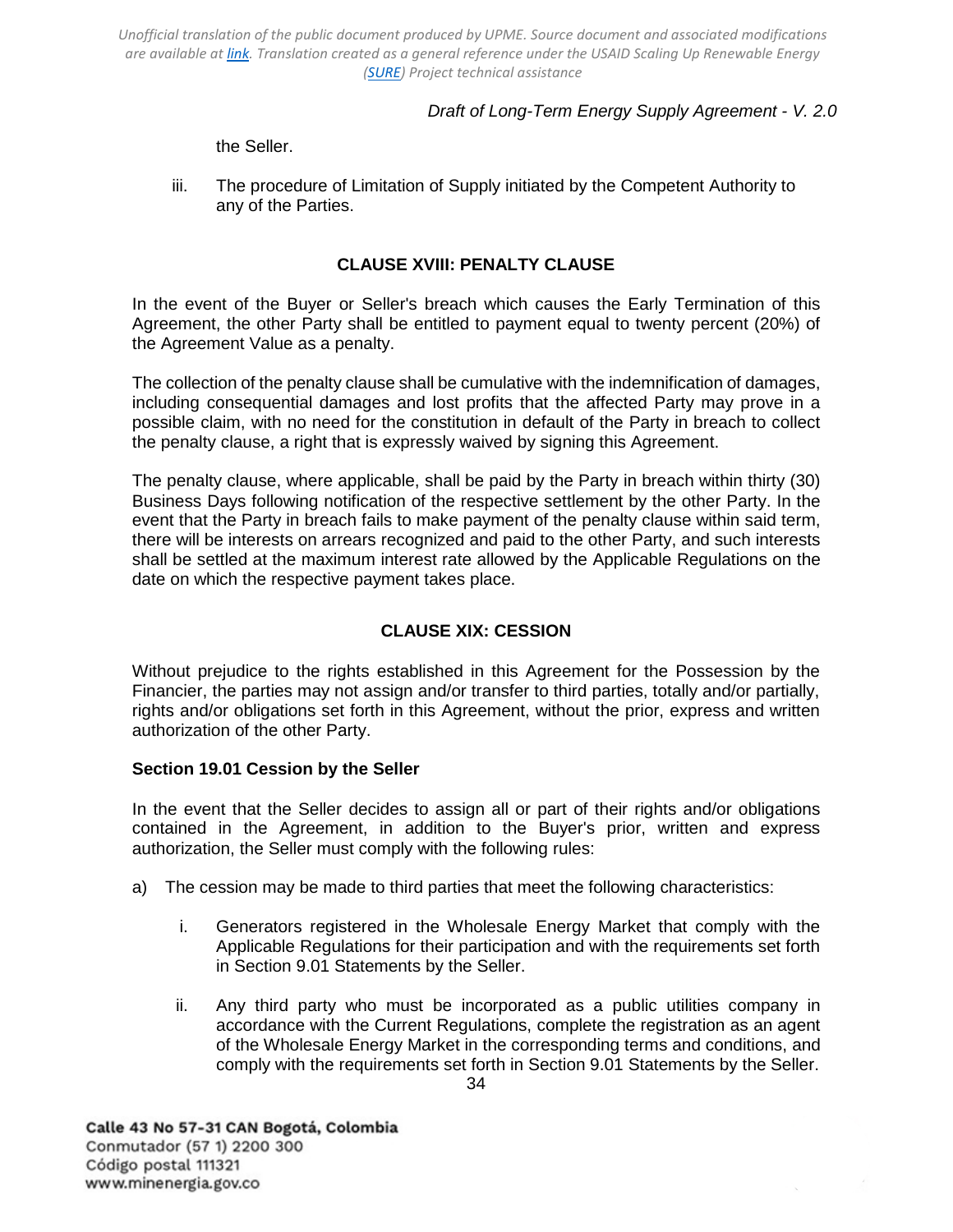# *Draft of Long-Term Energy Supply Agreement - V. 2.0*

[the Seller.](#page-14-5)

iii. The procedure of Limitation of Supply initiated by the Competent Authority to any of the Parties.

## **CLAUSE XVIII: PENALTY CLAUSE**

<span id="page-33-0"></span>In the event of the Buyer or Seller's breach which causes the Early Termination of this Agreement, the other Party shall be entitled to payment equal to twenty percent (20%) of the Agreement Value as a penalty.

The collection of the penalty clause shall be cumulative with the indemnification of damages, including consequential damages and lost profits that the affected Party may prove in a possible claim, with no need for the constitution in default of the Party in breach to collect the penalty clause, a right that is expressly waived by signing this Agreement.

The penalty clause, where applicable, shall be paid by the Party in breach within thirty (30) Business Days following notification of the respective settlement by the other Party. In the event that the Party in breach fails to make payment of the penalty clause within said term, there will be interests on arrears recognized and paid to the other Party, and such interests shall be settled at the maximum interest rate allowed by the Applicable Regulations on the date on which the respective payment takes place.

# **CLAUSE XIX: CESSION**

<span id="page-33-1"></span>Without prejudice to the rights established in this Agreement for the Possession by the Financier, the parties may not assign and/or transfer to third parties, totally and/or partially, rights and/or obligations set forth in this Agreement, without the prior, express and written authorization of the other Party.

## <span id="page-33-2"></span>**Section 19.01 Cession by the Seller**

In the event that the Seller decides to assign all or part of their rights and/or obligations contained in the Agreement, in addition to the Buyer's prior, written and express authorization, the Seller must comply with the following rules:

- a) The cession may be made to third parties that meet the following characteristics:
	- i. Generators registered in the Wholesale Energy Market that comply with the Applicable Regulations for their participation and with the requirements set forth in [Section 9.01 Statements by the Seller.](#page-18-4)
	- ii. Any third party who must be incorporated as a public utilities company in accordance with the Current Regulations, complete the registration as an agent of the Wholesale Energy Market in the corresponding terms and conditions, and comply with the requirements set forth in [Section 9.01](#page-18-4) [Statements by the Seller.](#page-18-4)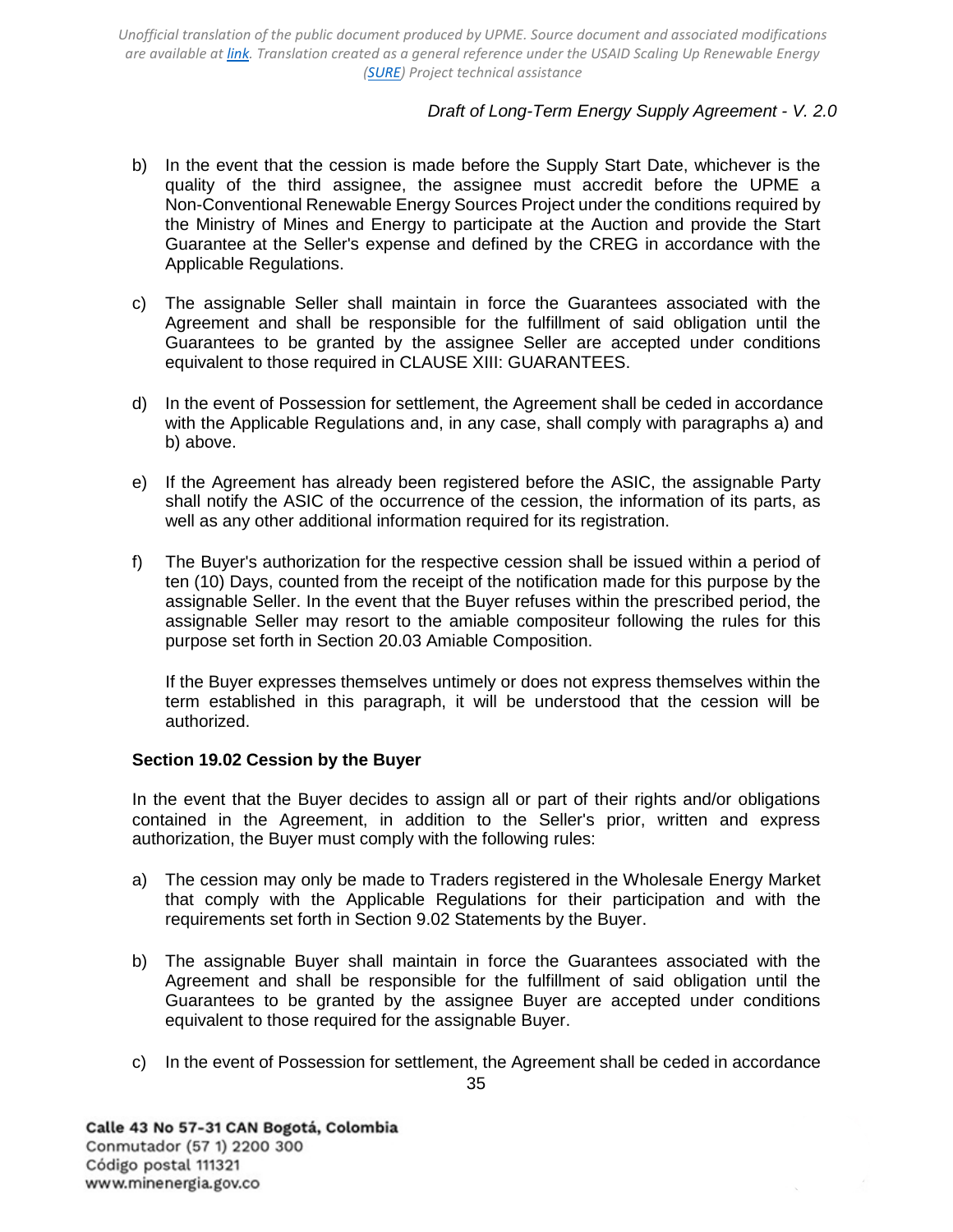# *Draft of Long-Term Energy Supply Agreement - V. 2.0*

- b) In the event that the cession is made before the Supply Start Date, whichever is the quality of the third assignee, the assignee must accredit before the UPME a Non-Conventional Renewable Energy Sources Project under the conditions required by the Ministry of Mines and Energy to participate at the Auction and provide the Start Guarantee at the Seller's expense and defined by the CREG in accordance with the Applicable Regulations.
- c) The assignable Seller shall maintain in force the Guarantees associated with the Agreement and shall be responsible for the fulfillment of said obligation until the Guarantees to be granted by the assignee Seller are accepted under conditions equivalent to those required in [CLAUSE XIII: GUARANTEES.](#page-24-0)
- d) In the event of Possession for settlement, the Agreement shall be ceded in accordance with the Applicable Regulations and, in any case, shall comply with paragraphs a) and b) above.
- e) If the Agreement has already been registered before the ASIC, the assignable Party shall notify the ASIC of the occurrence of the cession, the information of its parts, as well as any other additional information required for its registration.
- f) The Buyer's authorization for the respective cession shall be issued within a period of ten (10) Days, counted from the receipt of the notification made for this purpose by the assignable Seller. In the event that the Buyer refuses within the prescribed period, the assignable Seller may resort to the amiable compositeur following the rules for this purpose set forth in [Section 20.03 Amiable](#page-36-0) [Composition.](#page-36-0)

If the Buyer expresses themselves untimely or does not express themselves within the term established in this paragraph, it will be understood that the cession will be authorized.

## <span id="page-34-0"></span>**Section 19.02 Cession by the Buyer**

In the event that the Buyer decides to assign all or part of their rights and/or obligations contained in the Agreement, in addition to the Seller's prior, written and express authorization, the Buyer must comply with the following rules:

- a) The cession may only be made to Traders registered in the Wholesale Energy Market that comply with the Applicable Regulations for their participation and with the requirements set forth in [Section 9.02 Statements by the Buyer.](#page-19-0)
- b) The assignable Buyer shall maintain in force the Guarantees associated with the Agreement and shall be responsible for the fulfillment of said obligation until the Guarantees to be granted by the assignee Buyer are accepted under conditions equivalent to those required for the assignable Buyer.
- c) In the event of Possession for settlement, the Agreement shall be ceded in accordance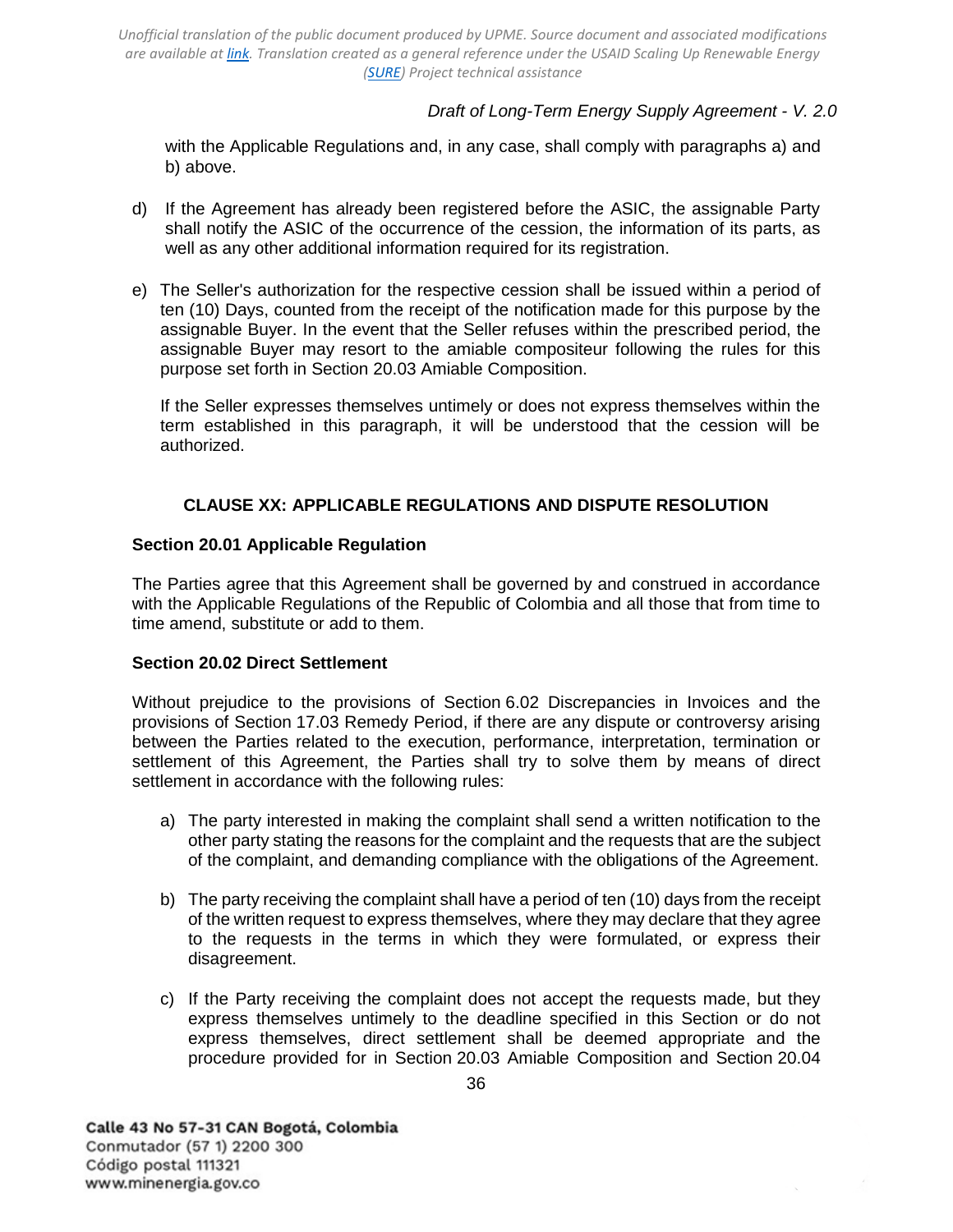## *Draft of Long-Term Energy Supply Agreement - V. 2.0*

with the Applicable Regulations and, in any case, shall comply with paragraphs a) and b) above.

- d) If the Agreement has already been registered before the ASIC, the assignable Party shall notify the ASIC of the occurrence of the cession, the information of its parts, as well as any other additional information required for its registration.
- e) The Seller's authorization for the respective cession shall be issued within a period of ten (10) Days, counted from the receipt of the notification made for this purpose by the assignable Buyer. In the event that the Seller refuses within the prescribed period, the assignable Buyer may resort to the amiable compositeur following the rules for this purpose set forth in Section 20.03 Amiable Composition.

If the Seller expresses themselves untimely or does not express themselves within the term established in this paragraph, it will be understood that the cession will be authorized.

## **CLAUSE XX: APPLICABLE REGULATIONS AND DISPUTE RESOLUTION**

### <span id="page-35-1"></span><span id="page-35-0"></span>**Section 20.01 Applicable Regulation**

The Parties agree that this Agreement shall be governed by and construed in accordance with the Applicable Regulations of the Republic of Colombia and all those that from time to time amend, substitute or add to them.

#### <span id="page-35-2"></span>**Section 20.02 Direct Settlement**

Without prejudice to the provisions of [Section 6.02 Discrepancies in Invoices](#page-17-0) and the provisions of [Section 17.03 Remedy Period,](#page-32-0) if there are any dispute or controversy arising between the Parties related to the execution, performance, interpretation, termination or settlement of this Agreement, the Parties shall try to solve them by means of direct settlement in accordance with the following rules:

- a) The party interested in making the complaint shall send a written notification to the other party stating the reasons for the complaint and the requests that are the subject of the complaint, and demanding compliance with the obligations of the Agreement.
- b) The party receiving the complaint shall have a period of ten (10) days from the receipt of the written request to express themselves, where they may declare that they agree to the requests in the terms in which they were formulated, or express their disagreement.
- c) If the Party receiving the complaint does not accept the requests made, but they express themselves untimely to the deadline specified in this Section or do not express themselves, direct settlement shall be deemed appropriate and the procedure provided for in [Section 20.03](#page-36-0) [Amiable Composition](#page-36-0) and [Section 20.04](#page-37-0)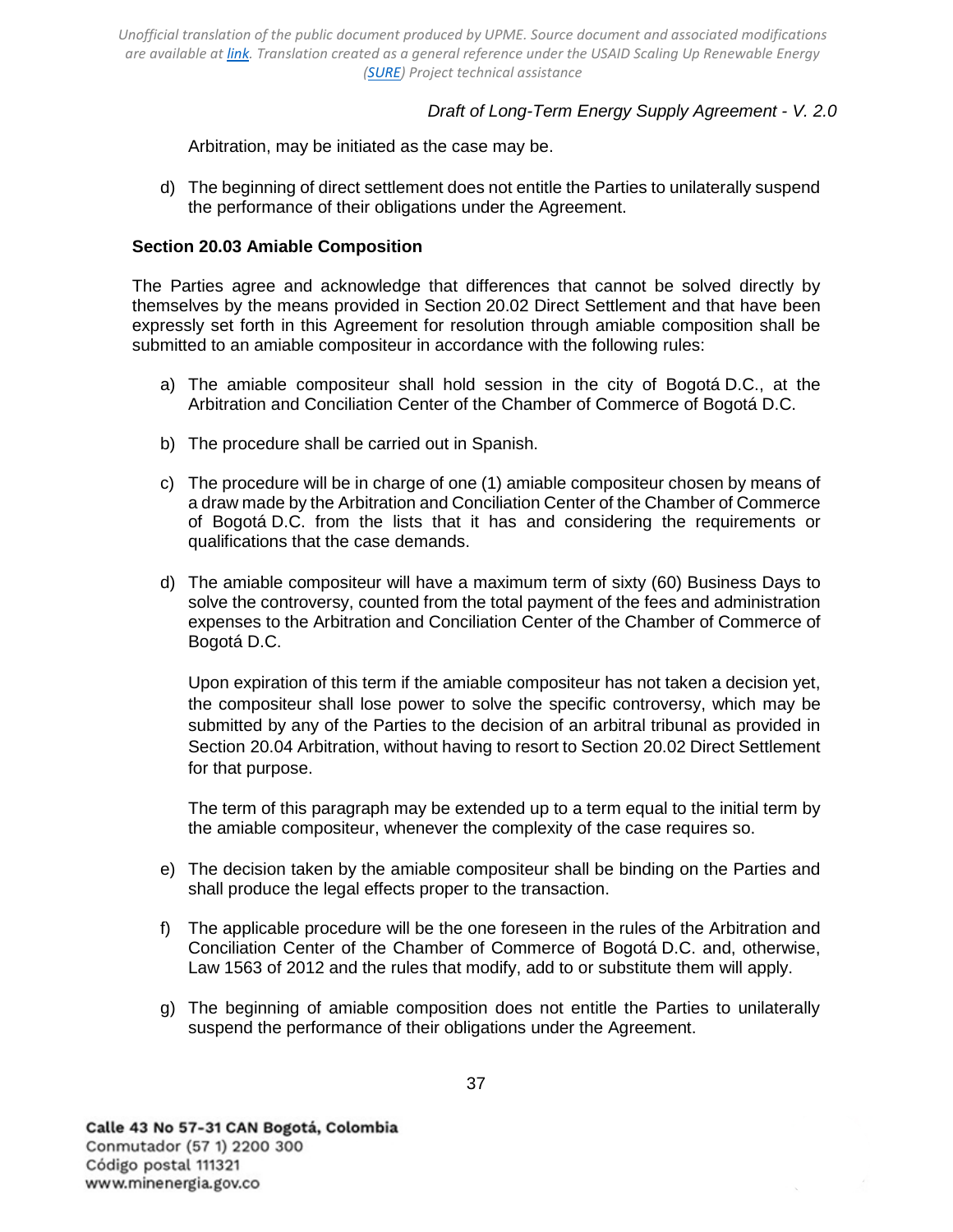# *Draft of Long-Term Energy Supply Agreement - V. 2.0*

[Arbitration,](#page-37-0) may be initiated as the case may be.

d) The beginning of direct settlement does not entitle the Parties to unilaterally suspend the performance of their obligations under the Agreement.

### <span id="page-36-0"></span>**Section 20.03 Amiable Composition**

The Parties agree and acknowledge that differences that cannot be solved directly by themselves by the means provided in [Section 20.02 Direct](#page-35-2) [Settlement](#page-35-2) and that have been expressly set forth in this Agreement for resolution through amiable composition shall be submitted to an amiable compositeur in accordance with the following rules:

- a) The amiable compositeur shall hold session in the city of Bogotá D.C., at the Arbitration and Conciliation Center of the Chamber of Commerce of Bogotá D.C.
- b) The procedure shall be carried out in Spanish.
- c) The procedure will be in charge of one (1) amiable compositeur chosen by means of a draw made by the Arbitration and Conciliation Center of the Chamber of Commerce of Bogotá D.C. from the lists that it has and considering the requirements or qualifications that the case demands.
- d) The amiable compositeur will have a maximum term of sixty (60) Business Days to solve the controversy, counted from the total payment of the fees and administration expenses to the Arbitration and Conciliation Center of the Chamber of Commerce of Bogotá D.C.

Upon expiration of this term if the amiable compositeur has not taken a decision yet, the compositeur shall lose power to solve the specific controversy, which may be submitted by any of the Parties to the decision of an arbitral tribunal as provided in [Section 20.04 Arbitration,](#page-37-0) without having to resort to [Section 20.02 Direct Settlement](#page-35-2) for that purpose.

The term of this paragraph may be extended up to a term equal to the initial term by the amiable compositeur, whenever the complexity of the case requires so.

- e) The decision taken by the amiable compositeur shall be binding on the Parties and shall produce the legal effects proper to the transaction.
- f) The applicable procedure will be the one foreseen in the rules of the Arbitration and Conciliation Center of the Chamber of Commerce of Bogotá D.C. and, otherwise, Law 1563 of 2012 and the rules that modify, add to or substitute them will apply.
- g) The beginning of amiable composition does not entitle the Parties to unilaterally suspend the performance of their obligations under the Agreement.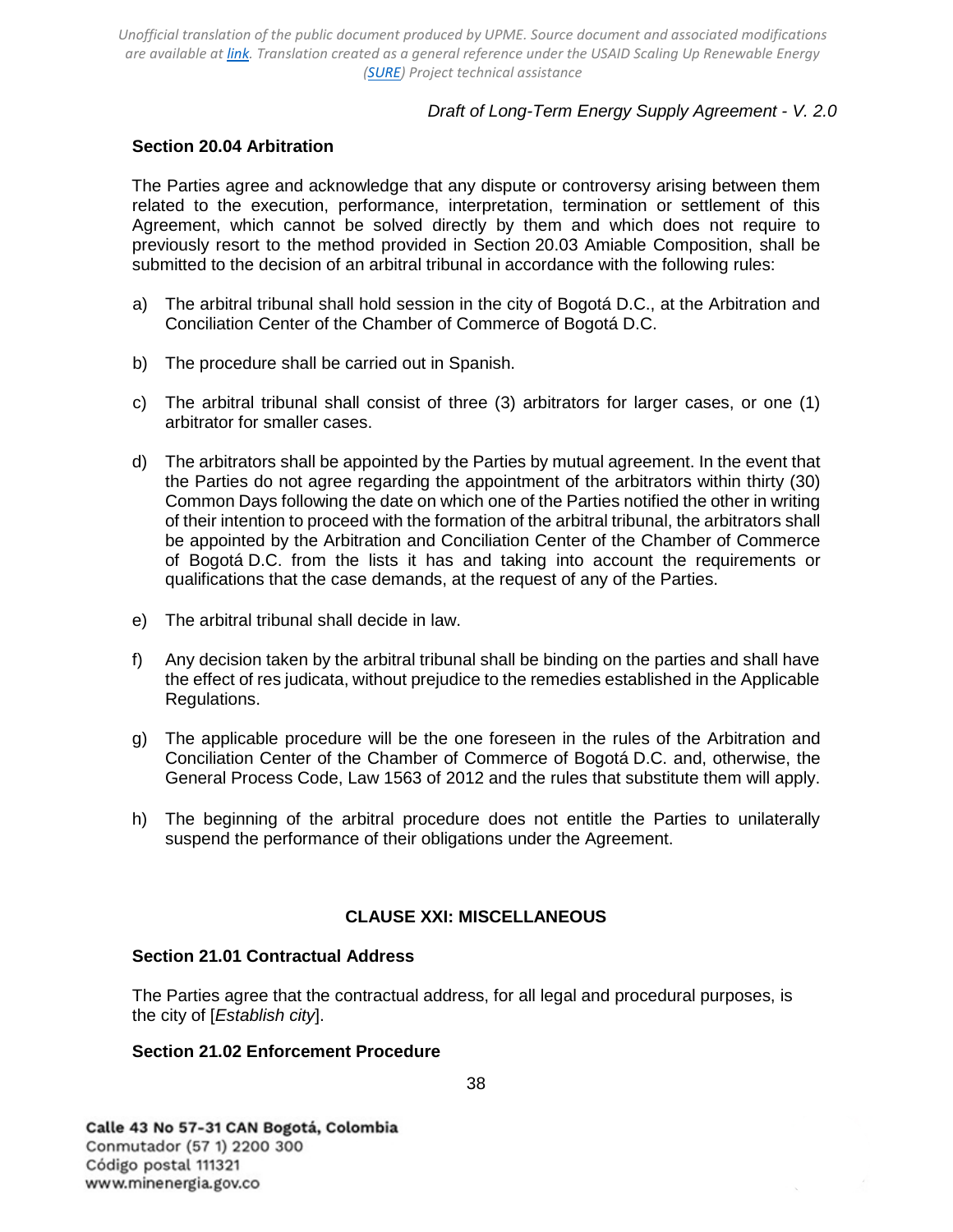## *Draft of Long-Term Energy Supply Agreement - V. 2.0*

### <span id="page-37-0"></span>**Section 20.04 Arbitration**

The Parties agree and acknowledge that any dispute or controversy arising between them related to the execution, performance, interpretation, termination or settlement of this Agreement, which cannot be solved directly by them and which does not require to previously resort to the method provided in [Section 20.03 Amiable](#page-36-0) [Composition,](#page-36-0) shall be submitted to the decision of an arbitral tribunal in accordance with the following rules:

- a) The arbitral tribunal shall hold session in the city of Bogotá D.C., at the Arbitration and Conciliation Center of the Chamber of Commerce of Bogotá D.C.
- b) The procedure shall be carried out in Spanish.
- c) The arbitral tribunal shall consist of three (3) arbitrators for larger cases, or one (1) arbitrator for smaller cases.
- d) The arbitrators shall be appointed by the Parties by mutual agreement. In the event that the Parties do not agree regarding the appointment of the arbitrators within thirty (30) Common Days following the date on which one of the Parties notified the other in writing of their intention to proceed with the formation of the arbitral tribunal, the arbitrators shall be appointed by the Arbitration and Conciliation Center of the Chamber of Commerce of Bogotá D.C. from the lists it has and taking into account the requirements or qualifications that the case demands, at the request of any of the Parties.
- e) The arbitral tribunal shall decide in law.
- f) Any decision taken by the arbitral tribunal shall be binding on the parties and shall have the effect of res judicata, without prejudice to the remedies established in the Applicable Regulations.
- g) The applicable procedure will be the one foreseen in the rules of the Arbitration and Conciliation Center of the Chamber of Commerce of Bogotá D.C. and, otherwise, the General Process Code, Law 1563 of 2012 and the rules that substitute them will apply.
- h) The beginning of the arbitral procedure does not entitle the Parties to unilaterally suspend the performance of their obligations under the Agreement.

#### **CLAUSE XXI: MISCELLANEOUS**

#### <span id="page-37-2"></span><span id="page-37-1"></span>**Section 21.01 Contractual Address**

The Parties agree that the contractual address, for all legal and procedural purposes, is the city of [*Establish city*].

## <span id="page-37-3"></span>**Section 21.02 Enforcement Procedure**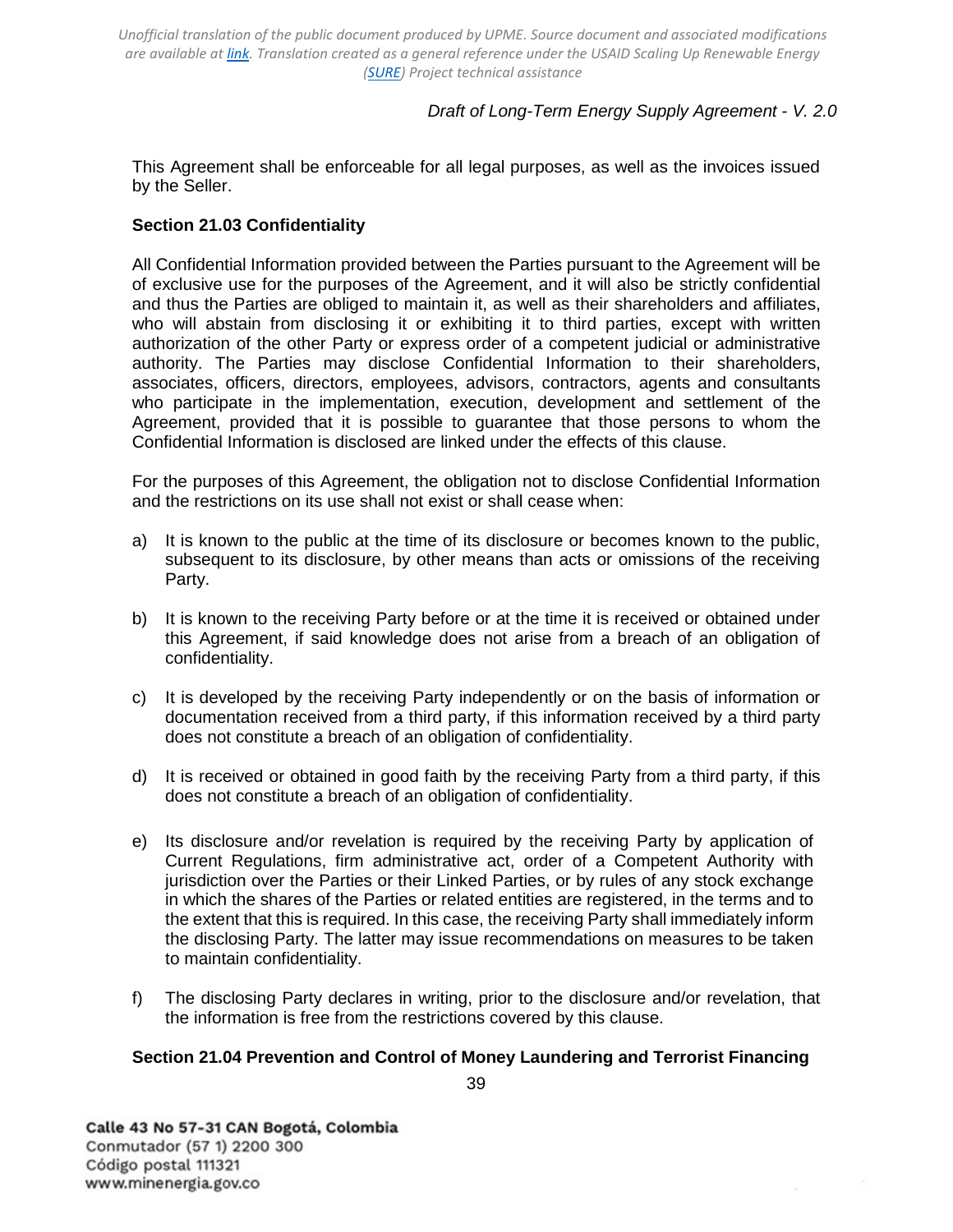# *Draft of Long-Term Energy Supply Agreement - V. 2.0*

This Agreement shall be enforceable for all legal purposes, as well as the invoices issued by the Seller.

### <span id="page-38-0"></span>**Section 21.03 Confidentiality**

All Confidential Information provided between the Parties pursuant to the Agreement will be of exclusive use for the purposes of the Agreement, and it will also be strictly confidential and thus the Parties are obliged to maintain it, as well as their shareholders and affiliates, who will abstain from disclosing it or exhibiting it to third parties, except with written authorization of the other Party or express order of a competent judicial or administrative authority. The Parties may disclose Confidential Information to their shareholders, associates, officers, directors, employees, advisors, contractors, agents and consultants who participate in the implementation, execution, development and settlement of the Agreement, provided that it is possible to guarantee that those persons to whom the Confidential Information is disclosed are linked under the effects of this clause.

For the purposes of this Agreement, the obligation not to disclose Confidential Information and the restrictions on its use shall not exist or shall cease when:

- a) It is known to the public at the time of its disclosure or becomes known to the public, subsequent to its disclosure, by other means than acts or omissions of the receiving Party.
- b) It is known to the receiving Party before or at the time it is received or obtained under this Agreement, if said knowledge does not arise from a breach of an obligation of confidentiality.
- c) It is developed by the receiving Party independently or on the basis of information or documentation received from a third party, if this information received by a third party does not constitute a breach of an obligation of confidentiality.
- d) It is received or obtained in good faith by the receiving Party from a third party, if this does not constitute a breach of an obligation of confidentiality.
- e) Its disclosure and/or revelation is required by the receiving Party by application of Current Regulations, firm administrative act, order of a Competent Authority with jurisdiction over the Parties or their Linked Parties, or by rules of any stock exchange in which the shares of the Parties or related entities are registered, in the terms and to the extent that this is required. In this case, the receiving Party shall immediately inform the disclosing Party. The latter may issue recommendations on measures to be taken to maintain confidentiality.
- f) The disclosing Party declares in writing, prior to the disclosure and/or revelation, that the information is free from the restrictions covered by this clause.

### <span id="page-38-1"></span>**Section 21.04 Prevention and Control of Money Laundering and Terrorist Financing**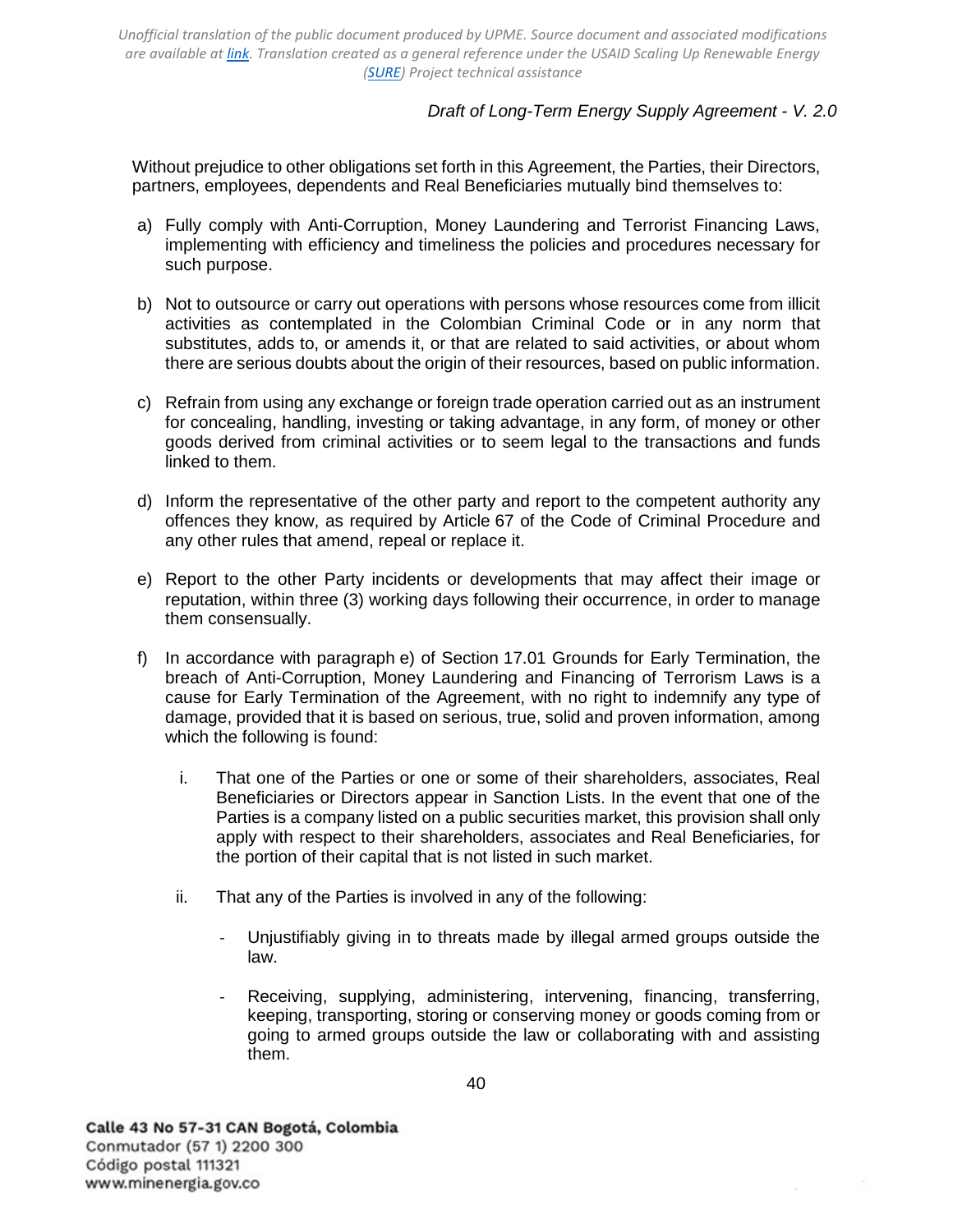# *Draft of Long-Term Energy Supply Agreement - V. 2.0*

Without prejudice to other obligations set forth in this Agreement, the Parties, their Directors, partners, employees, dependents and Real Beneficiaries mutually bind themselves to:

- a) Fully comply with Anti-Corruption, Money Laundering and Terrorist Financing Laws, implementing with efficiency and timeliness the policies and procedures necessary for such purpose.
- b) Not to outsource or carry out operations with persons whose resources come from illicit activities as contemplated in the Colombian Criminal Code or in any norm that substitutes, adds to, or amends it, or that are related to said activities, or about whom there are serious doubts about the origin of their resources, based on public information.
- c) Refrain from using any exchange or foreign trade operation carried out as an instrument for concealing, handling, investing or taking advantage, in any form, of money or other goods derived from criminal activities or to seem legal to the transactions and funds linked to them.
- d) Inform the representative of the other party and report to the competent authority any offences they know, as required by Article 67 of the Code of Criminal Procedure and any other rules that amend, repeal or replace it.
- e) Report to the other Party incidents or developments that may affect their image or reputation, within three (3) working days following their occurrence, in order to manage them consensually.
- f) In accordance with paragraph e) of [Section 17.01 Grounds for Early](#page-30-2) [Termination,](#page-30-2) the breach of Anti-Corruption, Money Laundering and Financing of Terrorism Laws is a cause for Early Termination of the Agreement, with no right to indemnify any type of damage, provided that it is based on serious, true, solid and proven information, among which the following is found:
	- i. That one of the Parties or one or some of their shareholders, associates, Real Beneficiaries or Directors appear in Sanction Lists. In the event that one of the Parties is a company listed on a public securities market, this provision shall only apply with respect to their shareholders, associates and Real Beneficiaries, for the portion of their capital that is not listed in such market.
	- ii. That any of the Parties is involved in any of the following:
		- Unjustifiably giving in to threats made by illegal armed groups outside the law.
		- Receiving, supplying, administering, intervening, financing, transferring, keeping, transporting, storing or conserving money or goods coming from or going to armed groups outside the law or collaborating with and assisting them.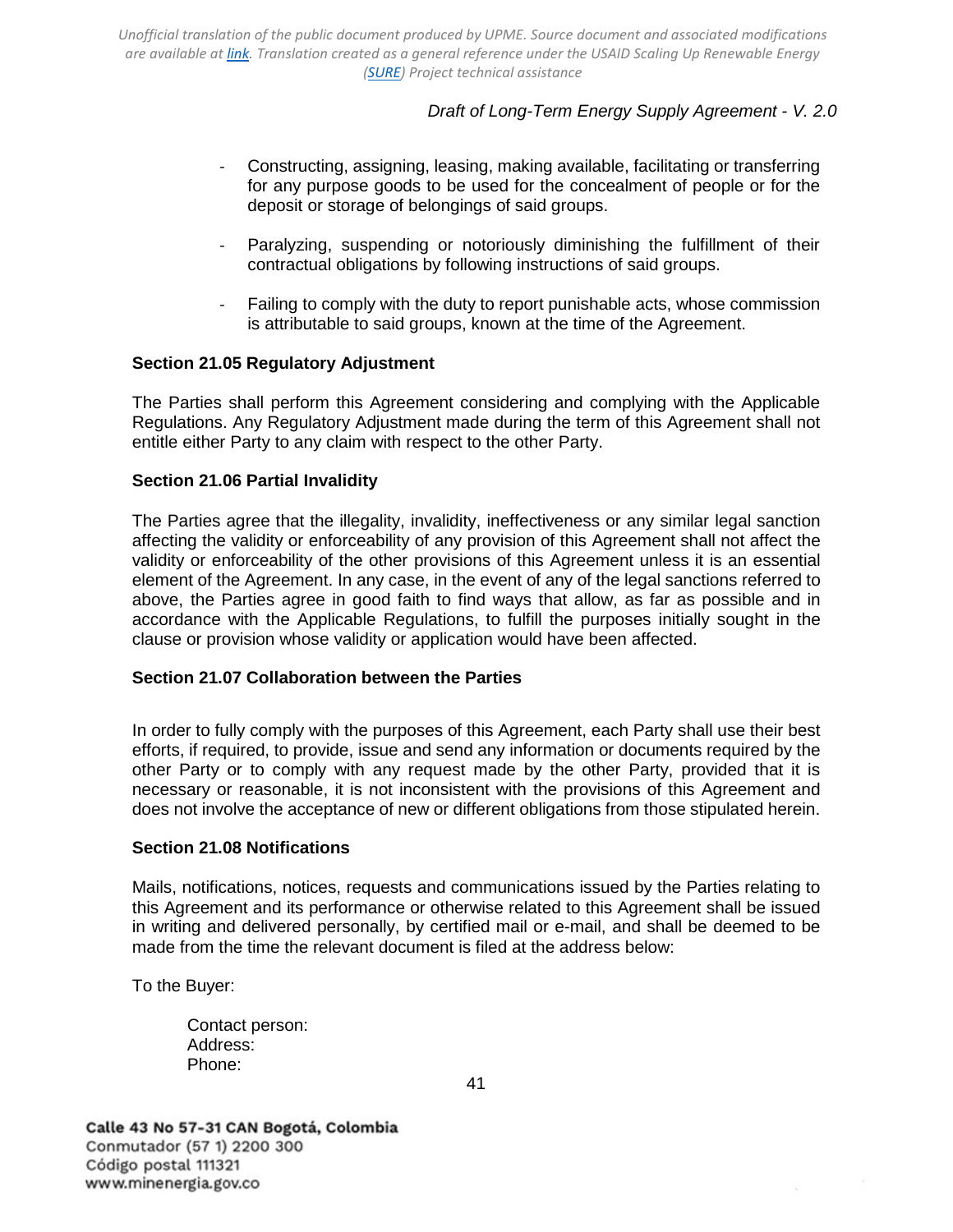# *Draft of Long-Term Energy Supply Agreement - V. 2.0*

- Constructing, assigning, leasing, making available, facilitating or transferring for any purpose goods to be used for the concealment of people or for the deposit or storage of belongings of said groups.
- Paralyzing, suspending or notoriously diminishing the fulfillment of their contractual obligations by following instructions of said groups.
- Failing to comply with the duty to report punishable acts, whose commission is attributable to said groups, known at the time of the Agreement.

### <span id="page-40-0"></span>**Section 21.05 Regulatory Adjustment**

The Parties shall perform this Agreement considering and complying with the Applicable Regulations. Any Regulatory Adjustment made during the term of this Agreement shall not entitle either Party to any claim with respect to the other Party.

### <span id="page-40-1"></span>**Section 21.06 Partial Invalidity**

The Parties agree that the illegality, invalidity, ineffectiveness or any similar legal sanction affecting the validity or enforceability of any provision of this Agreement shall not affect the validity or enforceability of the other provisions of this Agreement unless it is an essential element of the Agreement. In any case, in the event of any of the legal sanctions referred to above, the Parties agree in good faith to find ways that allow, as far as possible and in accordance with the Applicable Regulations, to fulfill the purposes initially sought in the clause or provision whose validity or application would have been affected.

#### <span id="page-40-2"></span>**Section 21.07 Collaboration between the Parties**

In order to fully comply with the purposes of this Agreement, each Party shall use their best efforts, if required, to provide, issue and send any information or documents required by the other Party or to comply with any request made by the other Party, provided that it is necessary or reasonable, it is not inconsistent with the provisions of this Agreement and does not involve the acceptance of new or different obligations from those stipulated herein.

#### <span id="page-40-3"></span>**Section 21.08 Notifications**

Mails, notifications, notices, requests and communications issued by the Parties relating to this Agreement and its performance or otherwise related to this Agreement shall be issued in writing and delivered personally, by certified mail or e-mail, and shall be deemed to be made from the time the relevant document is filed at the address below:

To the Buyer:

Contact person: Address: Phone: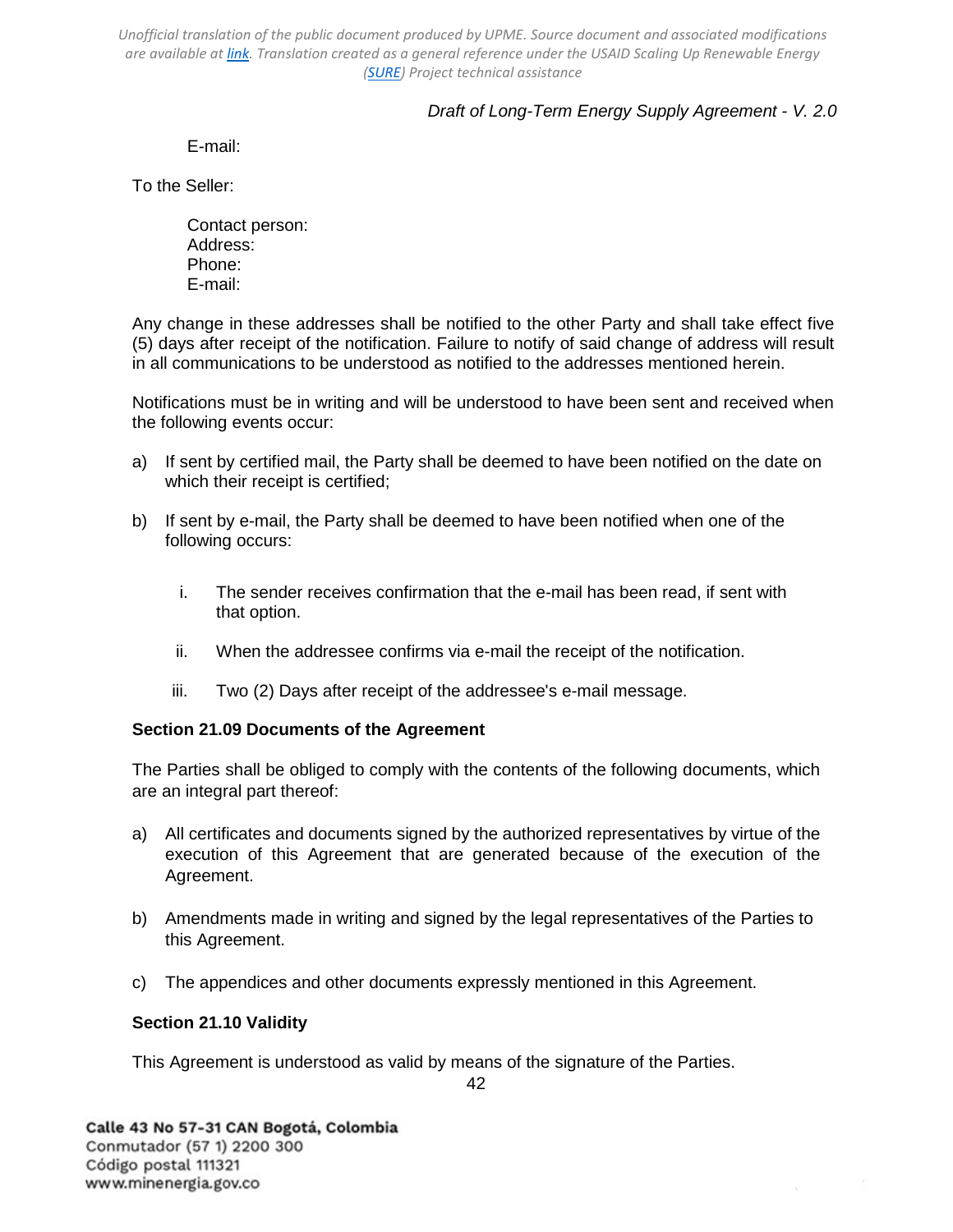# *Draft of Long-Term Energy Supply Agreement - V. 2.0*

E-mail:

To the Seller:

Contact person: Address: Phone: E-mail:

Any change in these addresses shall be notified to the other Party and shall take effect five (5) days after receipt of the notification. Failure to notify of said change of address will result in all communications to be understood as notified to the addresses mentioned herein.

Notifications must be in writing and will be understood to have been sent and received when the following events occur:

- a) If sent by certified mail, the Party shall be deemed to have been notified on the date on which their receipt is certified;
- b) If sent by e-mail, the Party shall be deemed to have been notified when one of the following occurs:
	- i. The sender receives confirmation that the e-mail has been read, if sent with that option.
	- ii. When the addressee confirms via e-mail the receipt of the notification.
	- iii. Two (2) Days after receipt of the addressee's e-mail message.

## <span id="page-41-0"></span>**Section 21.09 Documents of the Agreement**

The Parties shall be obliged to comply with the contents of the following documents, which are an integral part thereof:

- a) All certificates and documents signed by the authorized representatives by virtue of the execution of this Agreement that are generated because of the execution of the Agreement.
- b) Amendments made in writing and signed by the legal representatives of the Parties to this Agreement.
- c) The appendices and other documents expressly mentioned in this Agreement.

## <span id="page-41-1"></span>**Section 21.10 Validity**

This Agreement is understood as valid by means of the signature of the Parties.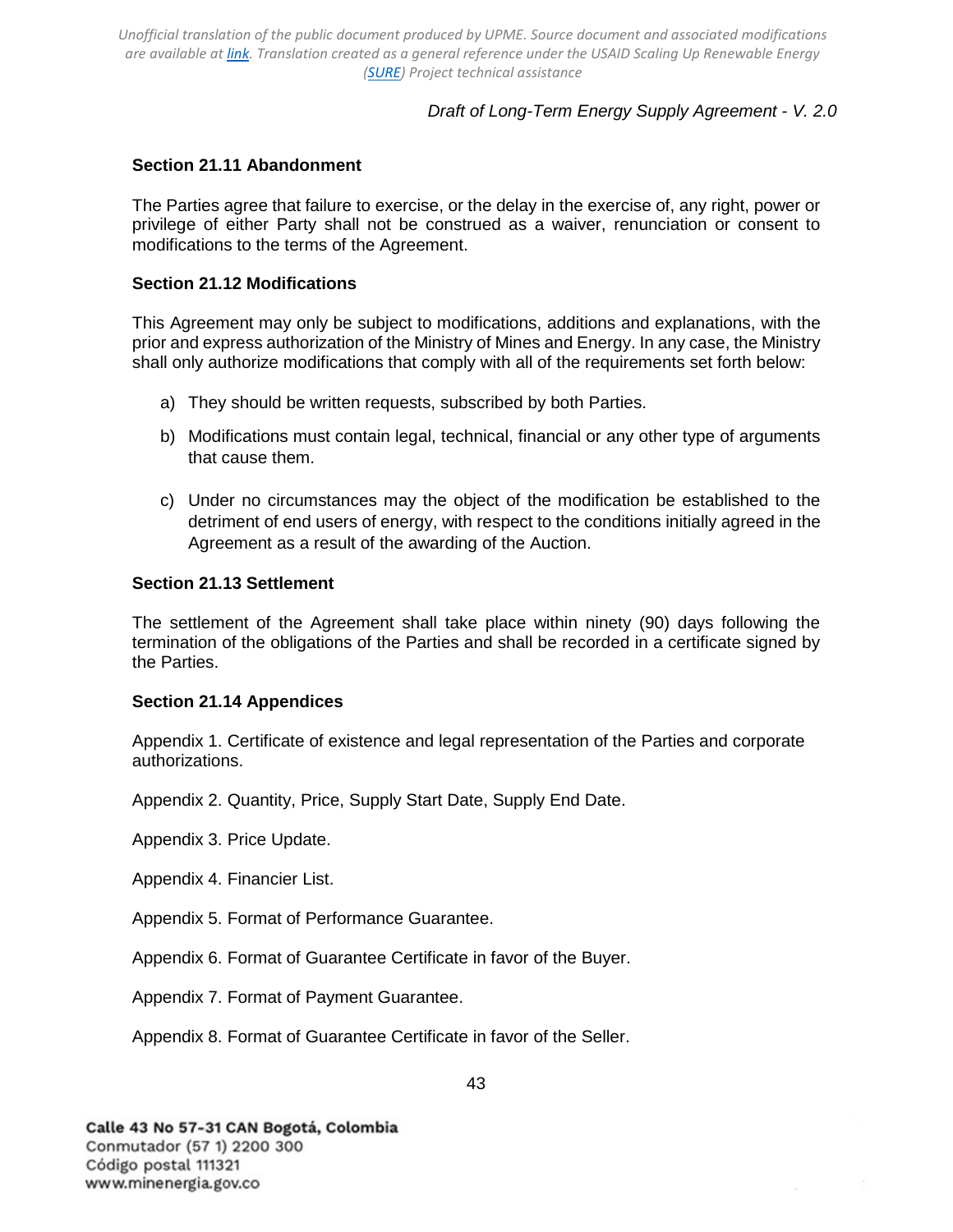## *Draft of Long-Term Energy Supply Agreement - V. 2.0*

### <span id="page-42-0"></span>**Section 21.11 Abandonment**

The Parties agree that failure to exercise, or the delay in the exercise of, any right, power or privilege of either Party shall not be construed as a waiver, renunciation or consent to modifications to the terms of the Agreement.

### <span id="page-42-1"></span>**Section 21.12 Modifications**

This Agreement may only be subject to modifications, additions and explanations, with the prior and express authorization of the Ministry of Mines and Energy. In any case, the Ministry shall only authorize modifications that comply with all of the requirements set forth below:

- a) They should be written requests, subscribed by both Parties.
- b) Modifications must contain legal, technical, financial or any other type of arguments that cause them.
- c) Under no circumstances may the object of the modification be established to the detriment of end users of energy, with respect to the conditions initially agreed in the Agreement as a result of the awarding of the Auction.

#### <span id="page-42-2"></span>**Section 21.13 Settlement**

The settlement of the Agreement shall take place within ninety (90) days following the termination of the obligations of the Parties and shall be recorded in a certificate signed by the Parties.

#### <span id="page-42-3"></span>**Section 21.14 Appendices**

Appendix 1. Certificate of existence and legal representation of the Parties and corporate authorizations.

Appendix 2. Quantity, Price, Supply Start Date, Supply End Date.

Appendix 3. Price Update.

Appendix 4. Financier List.

Appendix 5. Format of Performance Guarantee.

Appendix 6. Format of Guarantee Certificate in favor of the Buyer.

Appendix 7. Format of Payment Guarantee.

Appendix 8. Format of Guarantee Certificate in favor of the Seller.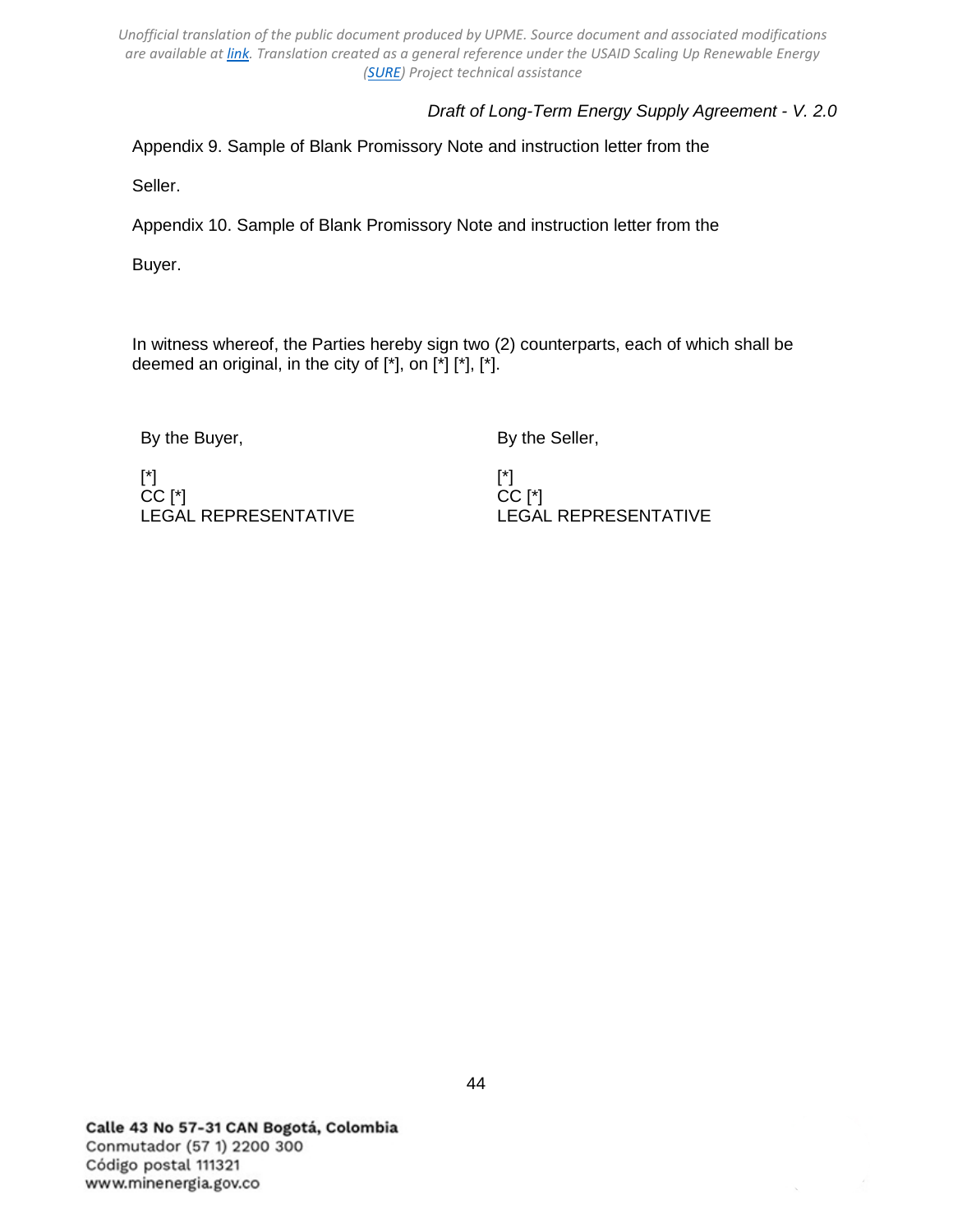# *Draft of Long-Term Energy Supply Agreement - V. 2.0*

Appendix 9. Sample of Blank Promissory Note and instruction letter from the

Seller.

Appendix 10. Sample of Blank Promissory Note and instruction letter from the

Buyer.

In witness whereof, the Parties hereby sign two (2) counterparts, each of which shall be deemed an original, in the city of  $[$ \*], on  $[$ \*] $[$ \*],  $[$ \*].

By the Buyer,

By the Seller,

[\*] CC [\*] LEGAL REPRESENTATIVE

[\*] CC [\*] LEGAL REPRESENTATIVE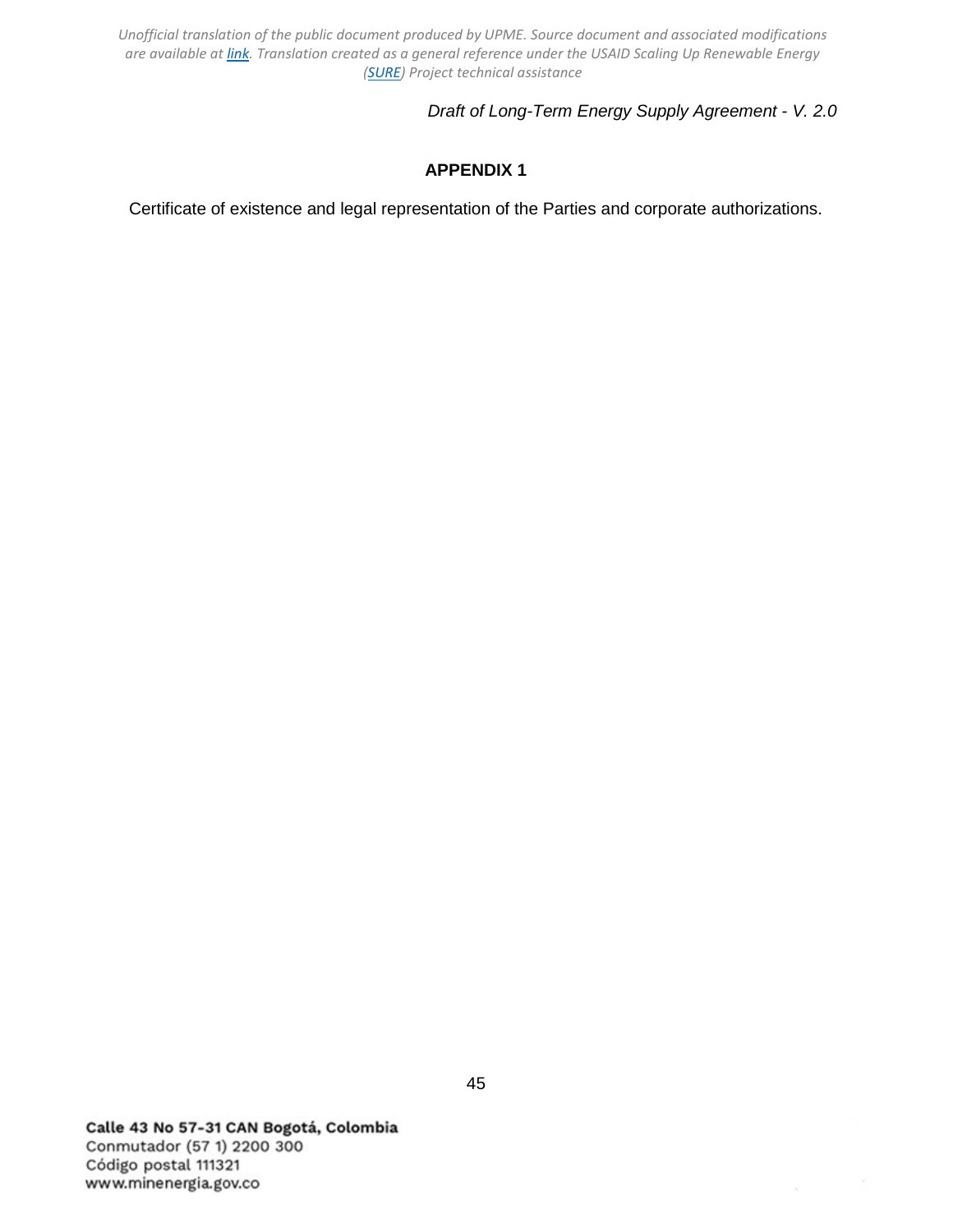## *Draft of Long-Term Energy Supply Agreement - V. 2.0*

# **APPENDIX 1**

<span id="page-44-0"></span>Certificate of existence and legal representation of the Parties and corporate authorizations.

Calle 43 No 57-31 CAN Bogotá, Colombia Conmutador (57 1) 2200 300 Código postal 111321 www.minenergia.gov.co

 $\lambda$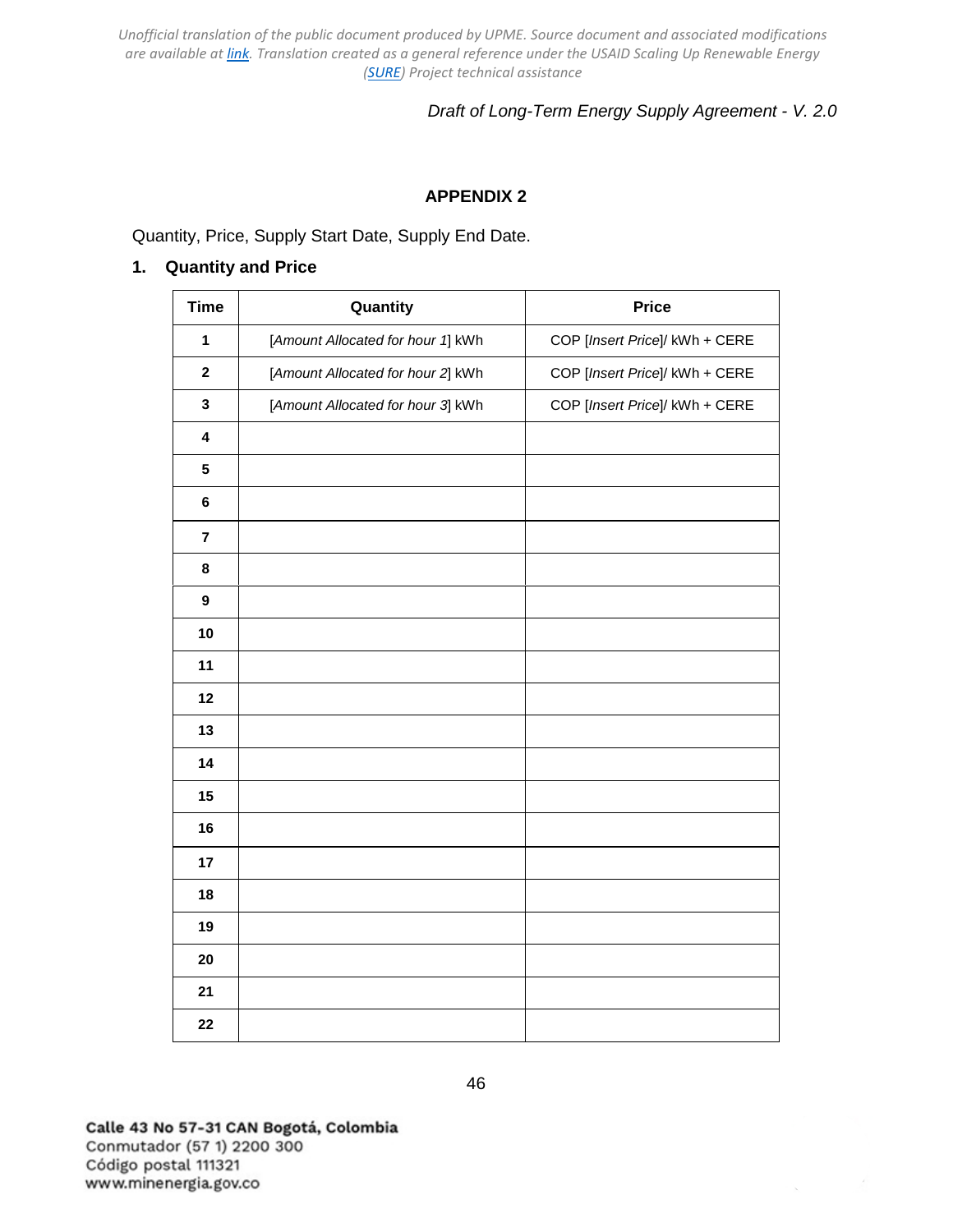## *Draft of Long-Term Energy Supply Agreement - V. 2.0*

## **APPENDIX 2**

<span id="page-45-0"></span>Quantity, Price, Supply Start Date, Supply End Date.

### **1. Quantity and Price**

| <b>Time</b>             | Quantity                          | <b>Price</b>                   |
|-------------------------|-----------------------------------|--------------------------------|
| 1                       | [Amount Allocated for hour 1] kWh | COP [Insert Price]/ kWh + CERE |
| $\overline{\mathbf{2}}$ | [Amount Allocated for hour 2] kWh | COP [Insert Price]/ kWh + CERE |
| 3                       | [Amount Allocated for hour 3] kWh | COP [Insert Price]/ kWh + CERE |
| $\overline{\mathbf{4}}$ |                                   |                                |
| 5                       |                                   |                                |
| 6                       |                                   |                                |
| $\overline{\mathbf{7}}$ |                                   |                                |
| 8                       |                                   |                                |
| $\boldsymbol{9}$        |                                   |                                |
| 10                      |                                   |                                |
| 11                      |                                   |                                |
| 12                      |                                   |                                |
| 13                      |                                   |                                |
| 14                      |                                   |                                |
| 15                      |                                   |                                |
| 16                      |                                   |                                |
| 17                      |                                   |                                |
| 18                      |                                   |                                |
| 19                      |                                   |                                |
| 20                      |                                   |                                |
| 21                      |                                   |                                |
| 22                      |                                   |                                |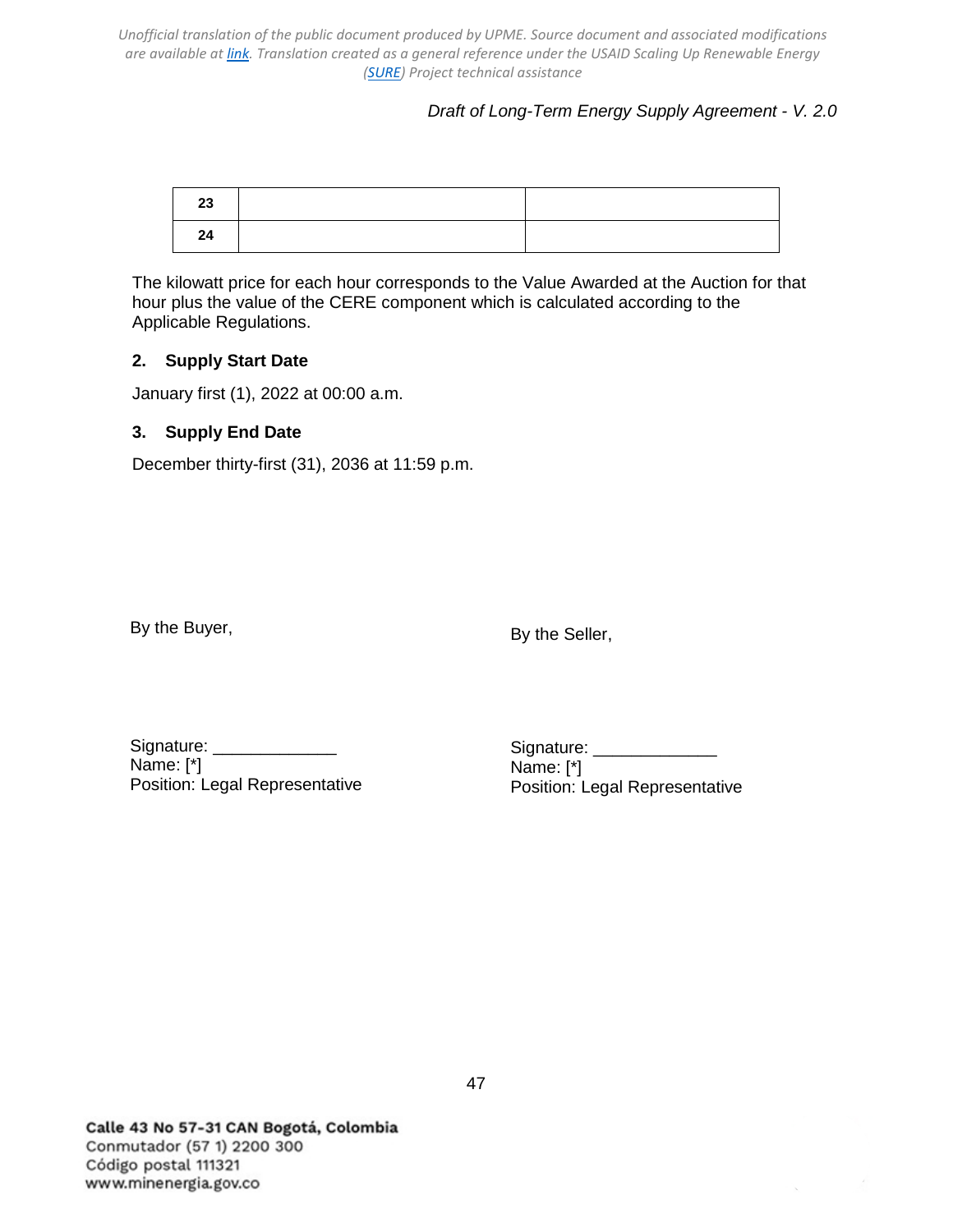*Draft of Long-Term Energy Supply Agreement - V. 2.0*

| 23 |  |
|----|--|
| 24 |  |

The kilowatt price for each hour corresponds to the Value Awarded at the Auction for that hour plus the value of the CERE component which is calculated according to the Applicable Regulations.

## **2. Supply Start Date**

January first (1), 2022 at 00:00 a.m.

## **3. Supply End Date**

December thirty-first (31), 2036 at 11:59 p.m.

By the Buyer,

By the Seller,

Signature: Name: [\*] Position: Legal Representative

Signature: \_\_\_\_\_\_\_\_\_\_ Name: [\*] Position: Legal Representative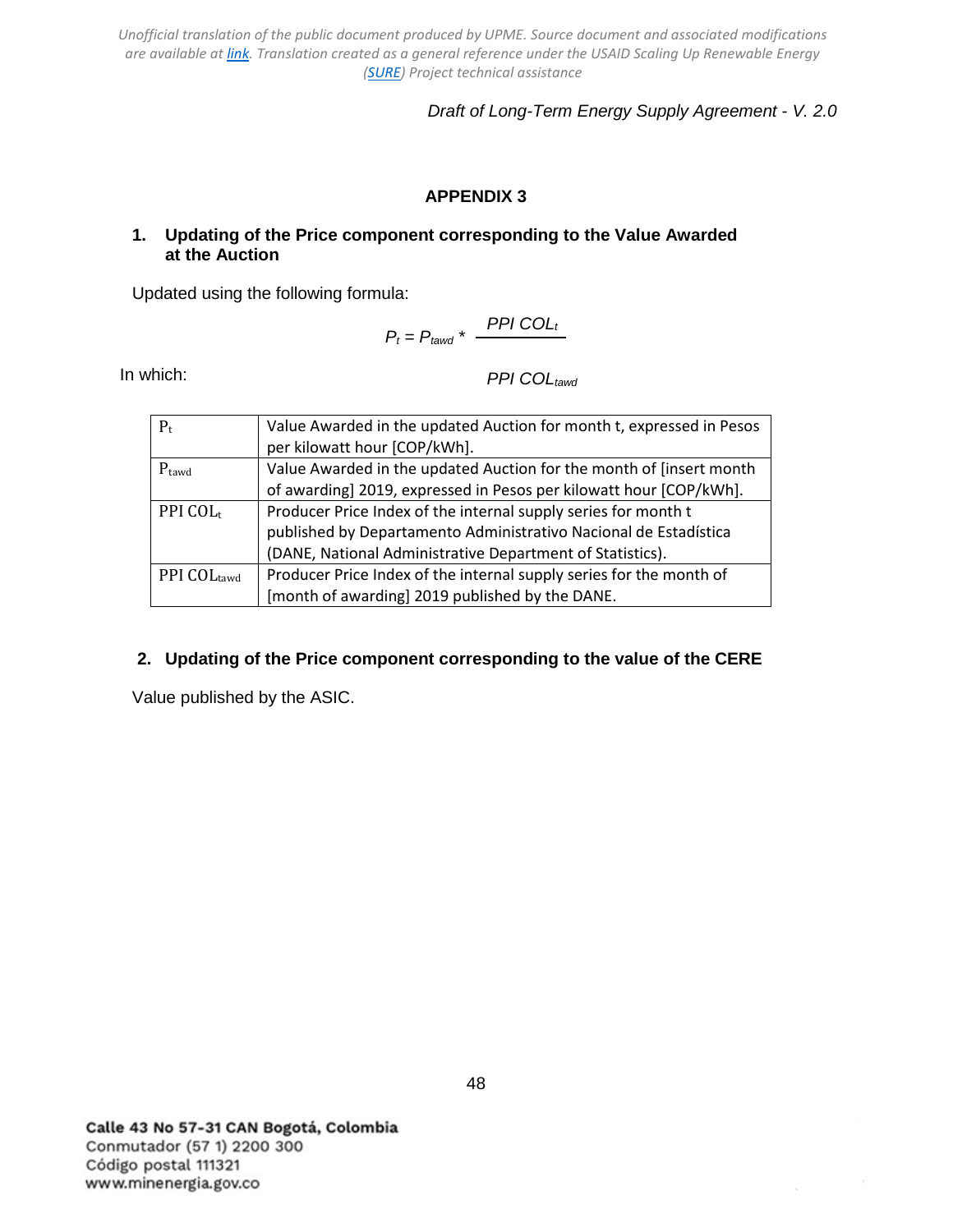*Draft of Long-Term Energy Supply Agreement - V. 2.0*

# **APPENDIX 3**

## <span id="page-47-0"></span>**1. Updating of the Price component corresponding to the Value Awarded at the Auction**

Updated using the following formula:

$$
P_t = P_{tawd} * \frac{PPI COL_t}{}
$$

In which:

*PPI COLtawd*

| $P_t$                | Value Awarded in the updated Auction for month t, expressed in Pesos |  |
|----------------------|----------------------------------------------------------------------|--|
|                      | per kilowatt hour [COP/kWh].                                         |  |
| $P_{\text{tawd}}$    | Value Awarded in the updated Auction for the month of [insert month  |  |
|                      | of awarding] 2019, expressed in Pesos per kilowatt hour [COP/kWh].   |  |
| PPI COL <sub>t</sub> | Producer Price Index of the internal supply series for month t       |  |
|                      | published by Departamento Administrativo Nacional de Estadística     |  |
|                      | (DANE, National Administrative Department of Statistics).            |  |
| PPI COLtawd          | Producer Price Index of the internal supply series for the month of  |  |
|                      | [month of awarding] 2019 published by the DANE.                      |  |

## **2. Updating of the Price component corresponding to the value of the CERE**

Value published by the ASIC.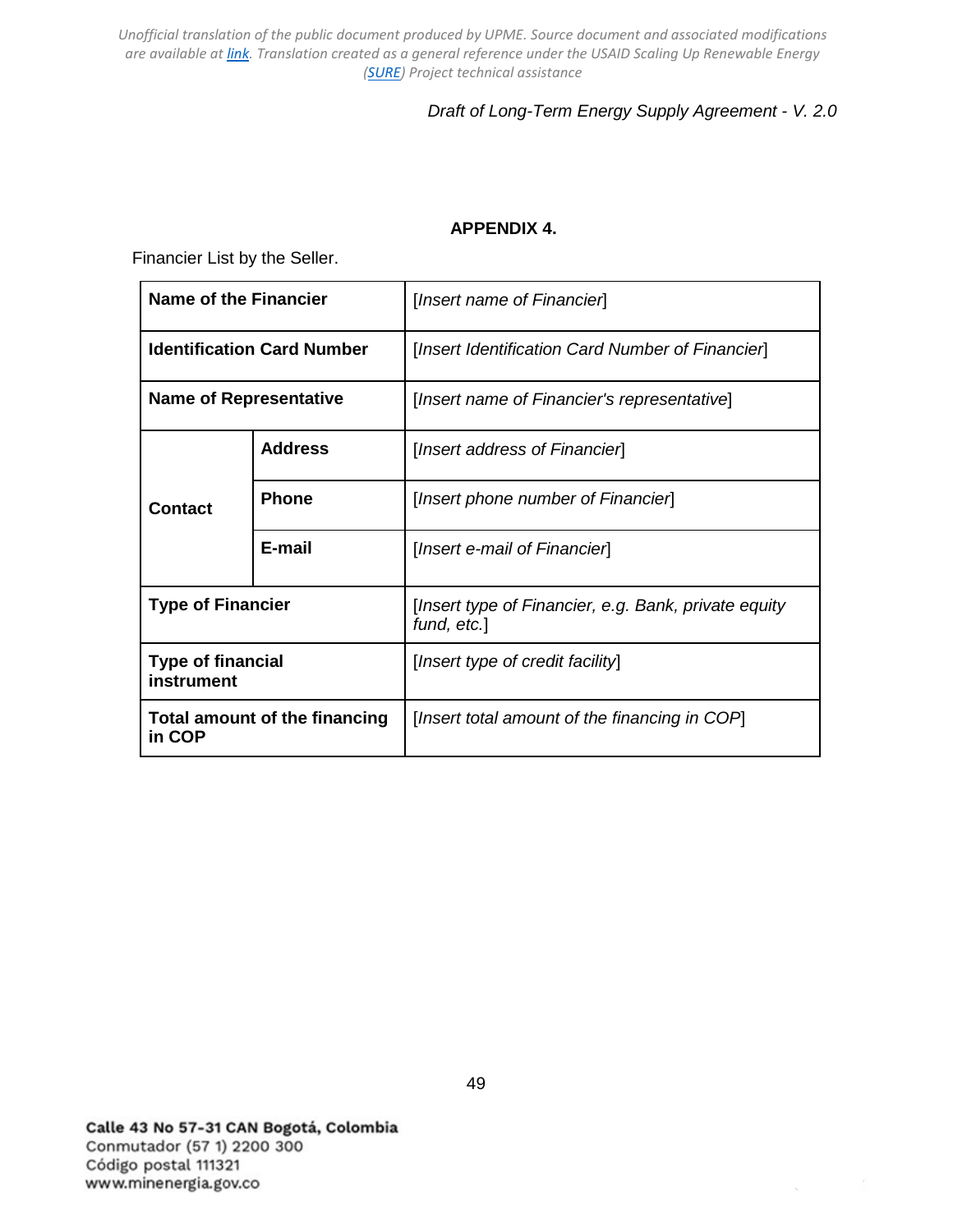# *Draft of Long-Term Energy Supply Agreement - V. 2.0*

### **APPENDIX 4.**

<span id="page-48-0"></span>Financier List by the Seller.

| <b>Name of the Financier</b>            |                | [Insert name of Financier]                                          |  |
|-----------------------------------------|----------------|---------------------------------------------------------------------|--|
| <b>Identification Card Number</b>       |                | [Insert Identification Card Number of Financier]                    |  |
| <b>Name of Representative</b>           |                | [Insert name of Financier's representative]                         |  |
|                                         | <b>Address</b> | [Insert address of Financier]                                       |  |
| Contact                                 | <b>Phone</b>   | [Insert phone number of Financier]                                  |  |
|                                         | E-mail         | [Insert e-mail of Financier]                                        |  |
| <b>Type of Financier</b>                |                | [Insert type of Financier, e.g. Bank, private equity<br>fund, etc.] |  |
| <b>Type of financial</b><br>instrument  |                | [Insert type of credit facility]                                    |  |
| Total amount of the financing<br>in COP |                | [Insert total amount of the financing in COP]                       |  |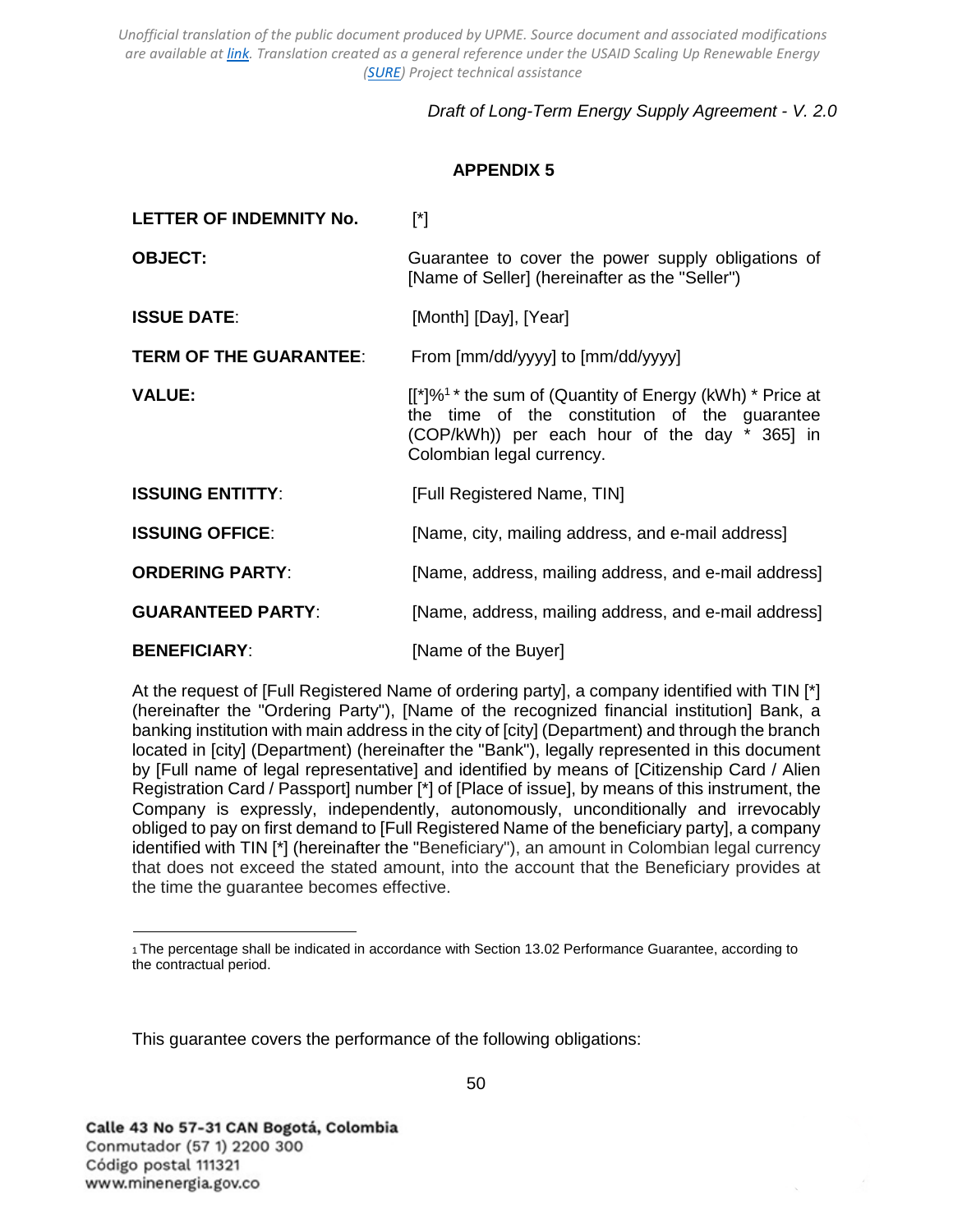# *Draft of Long-Term Energy Supply Agreement - V. 2.0*

## **APPENDIX 5**

<span id="page-49-0"></span>

| LETTER OF INDEMNITY No.       | $[^*]$                                                                                                                                                                                                  |
|-------------------------------|---------------------------------------------------------------------------------------------------------------------------------------------------------------------------------------------------------|
| <b>OBJECT:</b>                | Guarantee to cover the power supply obligations of<br>[Name of Seller] (hereinafter as the "Seller")                                                                                                    |
| <b>ISSUE DATE:</b>            | [Month] [Day], [Year]                                                                                                                                                                                   |
| <b>TERM OF THE GUARANTEE:</b> | From [mm/dd/yyyy] to [mm/dd/yyyy]                                                                                                                                                                       |
| <b>VALUE:</b>                 | $[I^*]\%$ <sup>1</sup> * the sum of (Quantity of Energy (kWh) * Price at<br>the time of the constitution of the guarantee<br>(COP/kWh)) per each hour of the day * 365] in<br>Colombian legal currency. |
| <b>ISSUING ENTITTY:</b>       | [Full Registered Name, TIN]                                                                                                                                                                             |
| <b>ISSUING OFFICE:</b>        | [Name, city, mailing address, and e-mail address]                                                                                                                                                       |
| <b>ORDERING PARTY:</b>        | [Name, address, mailing address, and e-mail address]                                                                                                                                                    |
| <b>GUARANTEED PARTY:</b>      | [Name, address, mailing address, and e-mail address]                                                                                                                                                    |
| <b>BENEFICIARY:</b>           | [Name of the Buyer]                                                                                                                                                                                     |

At the request of [Full Registered Name of ordering party], a company identified with TIN [\*] (hereinafter the "Ordering Party"), [Name of the recognized financial institution] Bank, a banking institution with main address in the city of [city] (Department) and through the branch located in [city] (Department) (hereinafter the "Bank"), legally represented in this document by [Full name of legal representative] and identified by means of [Citizenship Card / Alien Registration Card / Passport] number [\*] of [Place of issue], by means of this instrument, the Company is expressly, independently, autonomously, unconditionally and irrevocably obliged to pay on first demand to [Full Registered Name of the beneficiary party], a company identified with TIN [\*] (hereinafter the "Beneficiary"), an amount in Colombian legal currency that does not exceed the stated amount, into the account that the Beneficiary provides at the time the guarantee becomes effective.

This guarantee covers the performance of the following obligations:

<sup>1</sup>[The percentage shall be indicated in accordance with Section 13.02 Performance Guarantee,](#page-26-0) according to the contractual period.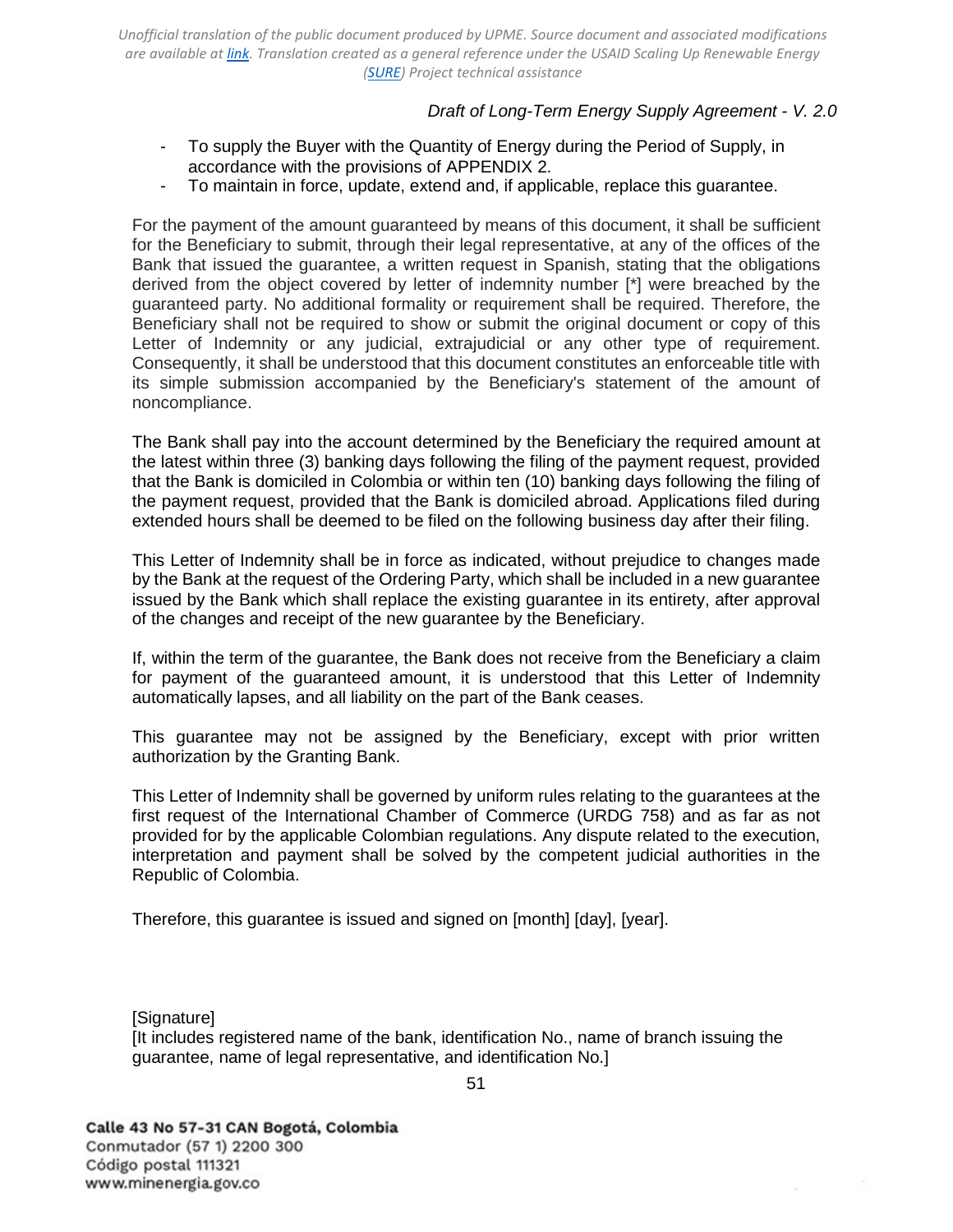### *Draft of Long-Term Energy Supply Agreement - V. 2.0*

- To supply the Buyer with the Quantity of Energy during the Period of Supply, in accordance with the provisions of [APPENDIX 2.](#page-45-0)
- To maintain in force, update, extend and, if applicable, replace this guarantee.

For the payment of the amount guaranteed by means of this document, it shall be sufficient for the Beneficiary to submit, through their legal representative, at any of the offices of the Bank that issued the guarantee, a written request in Spanish, stating that the obligations derived from the object covered by letter of indemnity number [\*] were breached by the guaranteed party. No additional formality or requirement shall be required. Therefore, the Beneficiary shall not be required to show or submit the original document or copy of this Letter of Indemnity or any judicial, extrajudicial or any other type of requirement. Consequently, it shall be understood that this document constitutes an enforceable title with its simple submission accompanied by the Beneficiary's statement of the amount of noncompliance.

The Bank shall pay into the account determined by the Beneficiary the required amount at the latest within three (3) banking days following the filing of the payment request, provided that the Bank is domiciled in Colombia or within ten (10) banking days following the filing of the payment request, provided that the Bank is domiciled abroad. Applications filed during extended hours shall be deemed to be filed on the following business day after their filing.

This Letter of Indemnity shall be in force as indicated, without prejudice to changes made by the Bank at the request of the Ordering Party, which shall be included in a new guarantee issued by the Bank which shall replace the existing guarantee in its entirety, after approval of the changes and receipt of the new guarantee by the Beneficiary.

If, within the term of the guarantee, the Bank does not receive from the Beneficiary a claim for payment of the guaranteed amount, it is understood that this Letter of Indemnity automatically lapses, and all liability on the part of the Bank ceases.

This guarantee may not be assigned by the Beneficiary, except with prior written authorization by the Granting Bank.

This Letter of Indemnity shall be governed by uniform rules relating to the guarantees at the first request of the International Chamber of Commerce (URDG 758) and as far as not provided for by the applicable Colombian regulations. Any dispute related to the execution, interpretation and payment shall be solved by the competent judicial authorities in the Republic of Colombia.

Therefore, this guarantee is issued and signed on [month] [day], [year].

[Signature]

[It includes registered name of the bank, identification No., name of branch issuing the guarantee, name of legal representative, and identification No.]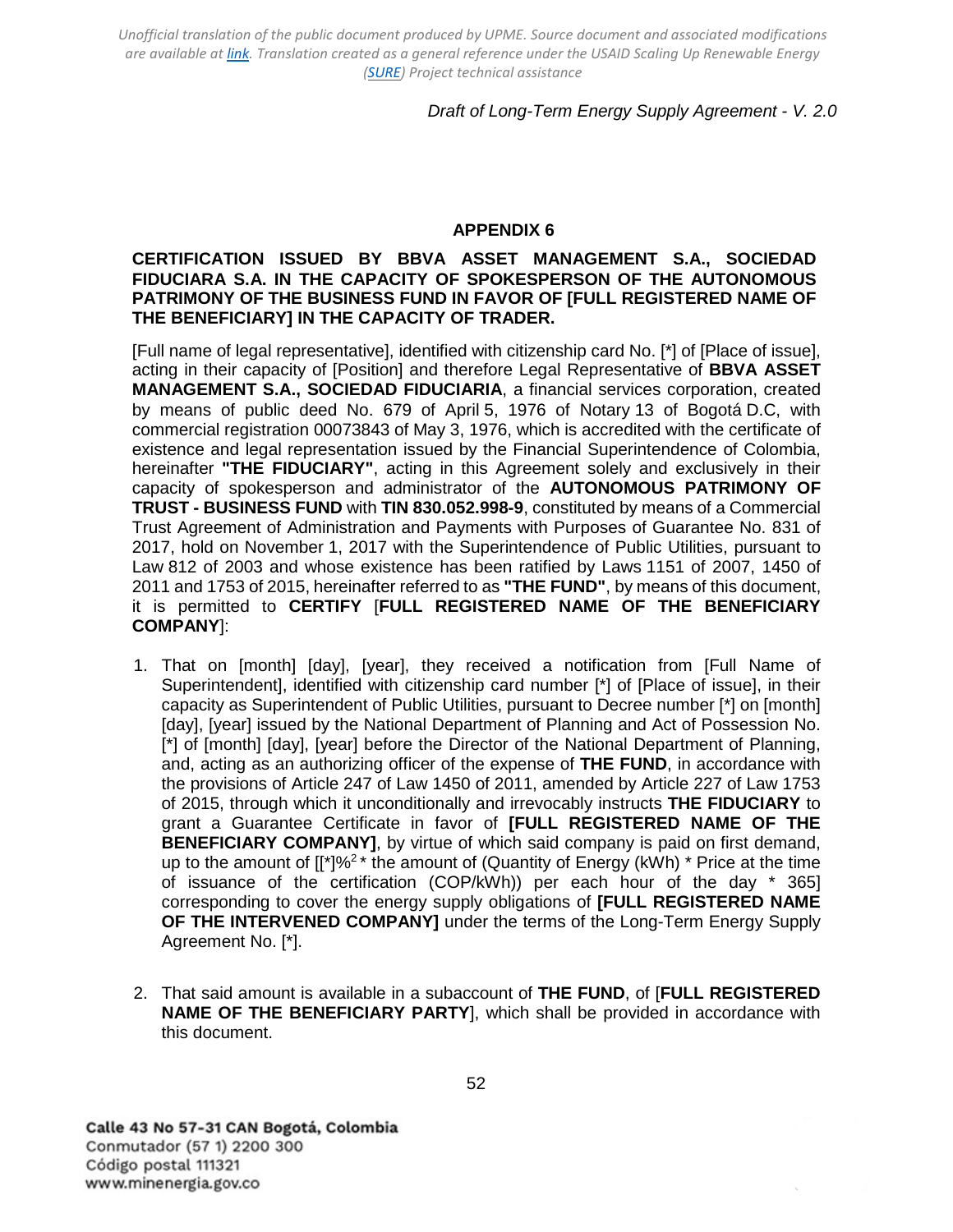## *Draft of Long-Term Energy Supply Agreement - V. 2.0*

#### **APPENDIX 6**

### <span id="page-51-0"></span>**CERTIFICATION ISSUED BY BBVA ASSET MANAGEMENT S.A., SOCIEDAD FIDUCIARA S.A. IN THE CAPACITY OF SPOKESPERSON OF THE AUTONOMOUS PATRIMONY OF THE BUSINESS FUND IN FAVOR OF [FULL REGISTERED NAME OF THE BENEFICIARY] IN THE CAPACITY OF TRADER.**

[Full name of legal representative], identified with citizenship card No. [\*] of [Place of issue], acting in their capacity of [Position] and therefore Legal Representative of **BBVA ASSET MANAGEMENT S.A., SOCIEDAD FIDUCIARIA**, a financial services corporation, created by means of public deed No. 679 of April 5, 1976 of Notary 13 of Bogotá D.C, with commercial registration 00073843 of May 3, 1976, which is accredited with the certificate of existence and legal representation issued by the Financial Superintendence of Colombia, hereinafter **"THE FIDUCIARY"**, acting in this Agreement solely and exclusively in their capacity of spokesperson and administrator of the **AUTONOMOUS PATRIMONY OF TRUST - BUSINESS FUND** with **TIN 830.052.998-9**, constituted by means of a Commercial Trust Agreement of Administration and Payments with Purposes of Guarantee No. 831 of 2017, hold on November 1, 2017 with the Superintendence of Public Utilities, pursuant to Law 812 of 2003 and whose existence has been ratified by Laws 1151 of 2007, 1450 of 2011 and 1753 of 2015, hereinafter referred to as **"THE FUND"**, by means of this document, it is permitted to **CERTIFY** [**FULL REGISTERED NAME OF THE BENEFICIARY COMPANY**]:

- 1. That on [month] [day], [year], they received a notification from [Full Name of Superintendent], identified with citizenship card number [\*] of [Place of issue], in their capacity as Superintendent of Public Utilities, pursuant to Decree number [\*] on [month] [day], [year] issued by the National Department of Planning and Act of Possession No. [\*] of [month] [day], [year] before the Director of the National Department of Planning, and, acting as an authorizing officer of the expense of **THE FUND**, in accordance with the provisions of Article 247 of Law 1450 of 2011, amended by Article 227 of Law 1753 of 2015, through which it unconditionally and irrevocably instructs **THE FIDUCIARY** to grant a Guarantee Certificate in favor of **[FULL REGISTERED NAME OF THE BENEFICIARY COMPANY]**, by virtue of which said company is paid on first demand, up to the amount of  $[[<sup>*</sup>]<sup>9</sup>2<sup>*</sup>$  the amount of (Quantity of Energy (kWh) \* Price at the time of issuance of the certification (COP/kWh)) per each hour of the day \* 365] corresponding to cover the energy supply obligations of **[FULL REGISTERED NAME OF THE INTERVENED COMPANY]** under the terms of the Long-Term Energy Supply Agreement No. [\*].
- 2. That said amount is available in a subaccount of **THE FUND**, of [**FULL REGISTERED NAME OF THE BENEFICIARY PARTY**], which shall be provided in accordance with this document.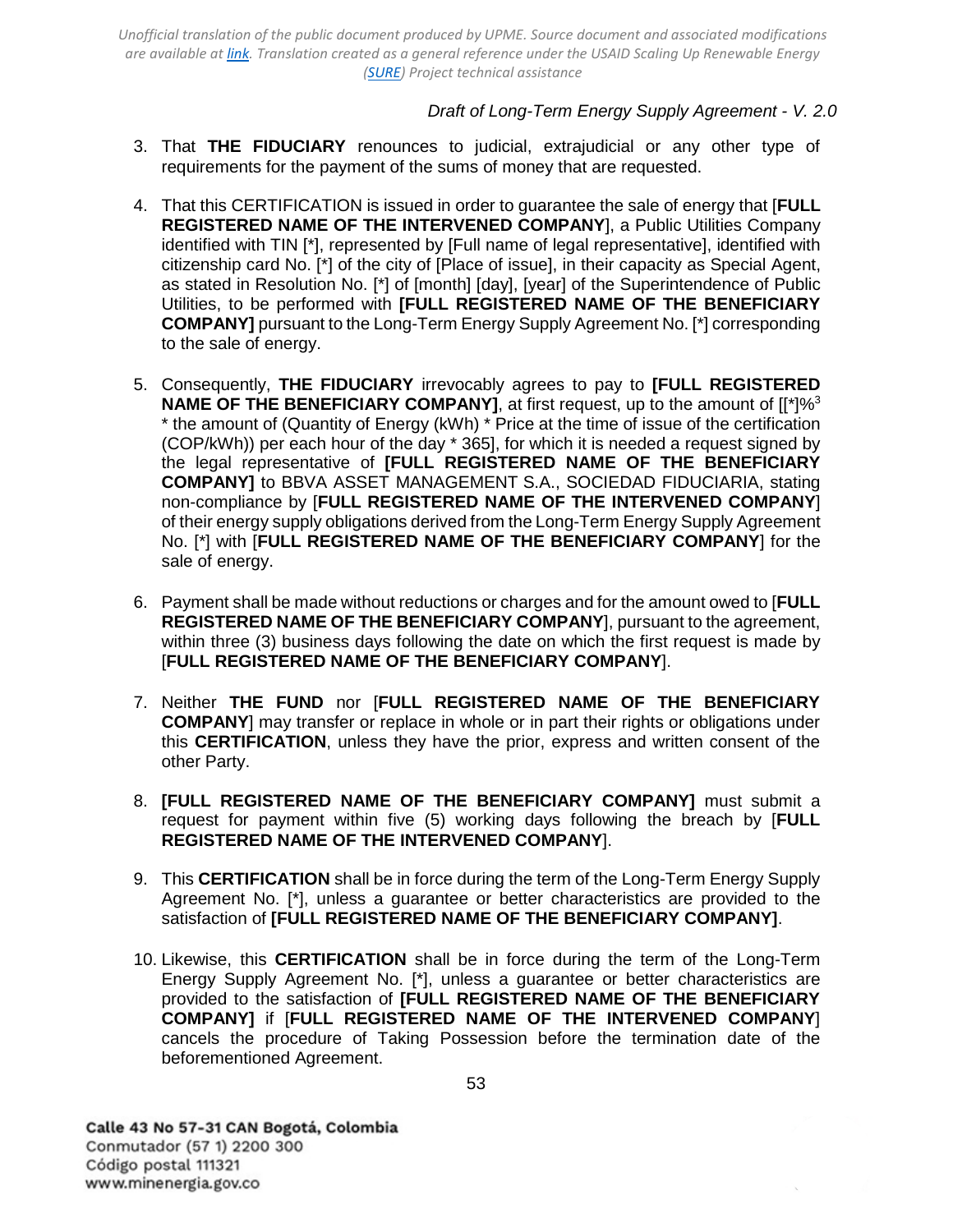## *Draft of Long-Term Energy Supply Agreement - V. 2.0*

- 3. That **THE FIDUCIARY** renounces to judicial, extrajudicial or any other type of requirements for the payment of the sums of money that are requested.
- 4. That this CERTIFICATION is issued in order to guarantee the sale of energy that [**FULL REGISTERED NAME OF THE INTERVENED COMPANY**], a Public Utilities Company identified with TIN [\*], represented by [Full name of legal representative], identified with citizenship card No. [\*] of the city of [Place of issue], in their capacity as Special Agent, as stated in Resolution No. [\*] of [month] [day], [year] of the Superintendence of Public Utilities, to be performed with **[FULL REGISTERED NAME OF THE BENEFICIARY COMPANY]** pursuant to the Long-Term Energy Supply Agreement No. [\*] corresponding to the sale of energy.
- 5. Consequently, **THE FIDUCIARY** irrevocably agrees to pay to **[FULL REGISTERED NAME OF THE BENEFICIARY COMPANY]**, at first request, up to the amount of  $[I^*]\%$ <sup>3</sup> \* the amount of (Quantity of Energy (kWh) \* Price at the time of issue of the certification (COP/kWh)) per each hour of the day \* 365], for which it is needed a request signed by the legal representative of **[FULL REGISTERED NAME OF THE BENEFICIARY COMPANY]** to BBVA ASSET MANAGEMENT S.A., SOCIEDAD FIDUCIARIA, stating non-compliance by [**FULL REGISTERED NAME OF THE INTERVENED COMPANY**] of their energy supply obligations derived from the Long-Term Energy Supply Agreement No. [\*] with [**FULL REGISTERED NAME OF THE BENEFICIARY COMPANY**] for the sale of energy.
- 6. Payment shall be made without reductions or charges and for the amount owed to [**FULL REGISTERED NAME OF THE BENEFICIARY COMPANY**], pursuant to the agreement, within three (3) business days following the date on which the first request is made by [**FULL REGISTERED NAME OF THE BENEFICIARY COMPANY**].
- 7. Neither **THE FUND** nor [**FULL REGISTERED NAME OF THE BENEFICIARY COMPANY**] may transfer or replace in whole or in part their rights or obligations under this **CERTIFICATION**, unless they have the prior, express and written consent of the other Party.
- 8. **[FULL REGISTERED NAME OF THE BENEFICIARY COMPANY]** must submit a request for payment within five (5) working days following the breach by [**FULL REGISTERED NAME OF THE INTERVENED COMPANY**].
- 9. This **CERTIFICATION** shall be in force during the term of the Long-Term Energy Supply Agreement No. [\*], unless a guarantee or better characteristics are provided to the satisfaction of **[FULL REGISTERED NAME OF THE BENEFICIARY COMPANY]**.
- 10. Likewise, this **CERTIFICATION** shall be in force during the term of the Long-Term Energy Supply Agreement No. [\*], unless a guarantee or better characteristics are provided to the satisfaction of **[FULL REGISTERED NAME OF THE BENEFICIARY COMPANY]** if [**FULL REGISTERED NAME OF THE INTERVENED COMPANY**] cancels the procedure of Taking Possession before the termination date of the beforementioned Agreement.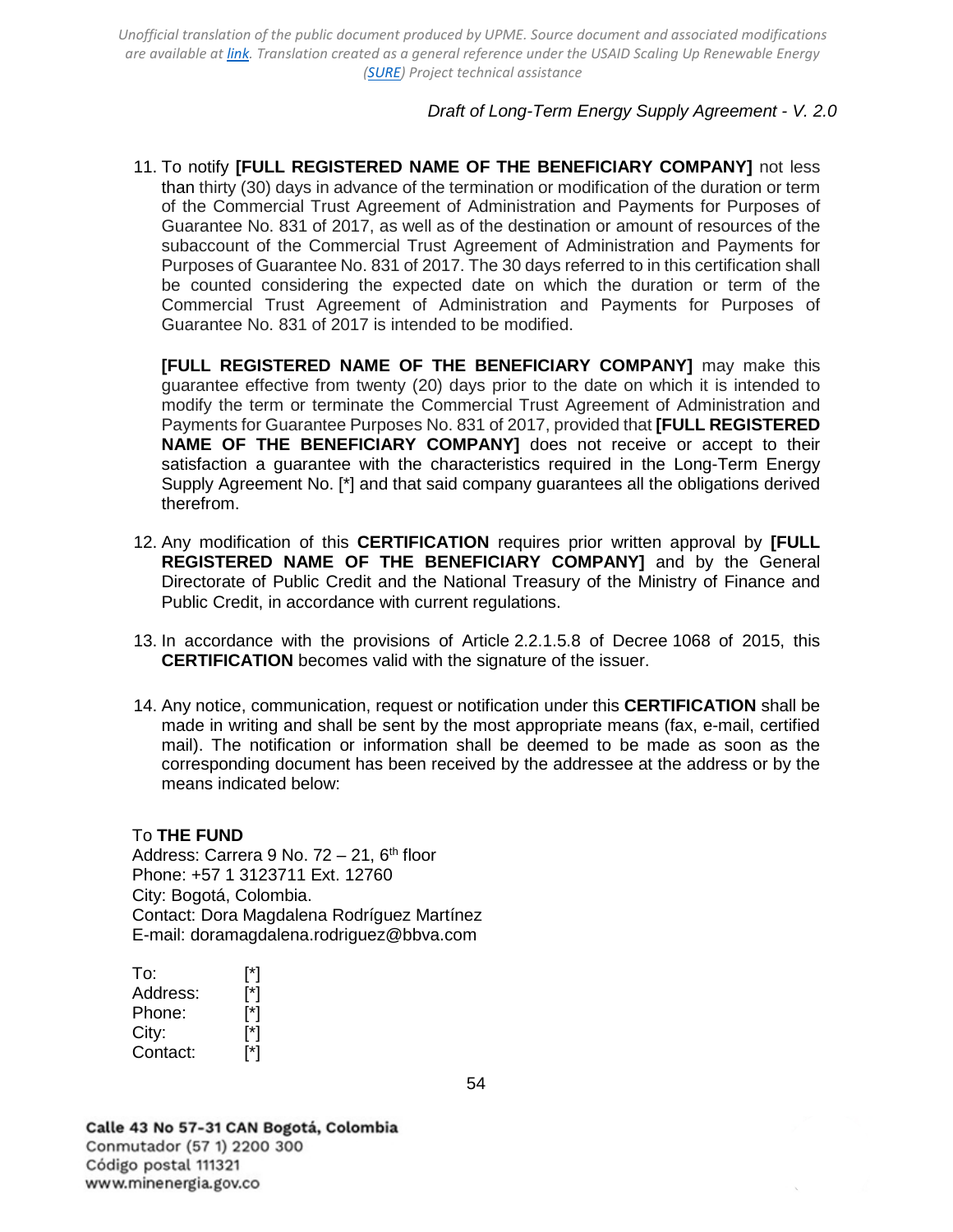### *Draft of Long-Term Energy Supply Agreement - V. 2.0*

11. To notify **[FULL REGISTERED NAME OF THE BENEFICIARY COMPANY]** not less than thirty (30) days in advance of the termination or modification of the duration or term of the Commercial Trust Agreement of Administration and Payments for Purposes of Guarantee No. 831 of 2017, as well as of the destination or amount of resources of the subaccount of the Commercial Trust Agreement of Administration and Payments for Purposes of Guarantee No. 831 of 2017. The 30 days referred to in this certification shall be counted considering the expected date on which the duration or term of the Commercial Trust Agreement of Administration and Payments for Purposes of Guarantee No. 831 of 2017 is intended to be modified.

**[FULL REGISTERED NAME OF THE BENEFICIARY COMPANY]** may make this guarantee effective from twenty (20) days prior to the date on which it is intended to modify the term or terminate the Commercial Trust Agreement of Administration and Payments for Guarantee Purposes No. 831 of 2017, provided that **[FULL REGISTERED NAME OF THE BENEFICIARY COMPANY]** does not receive or accept to their satisfaction a guarantee with the characteristics required in the Long-Term Energy Supply Agreement No. [\*] and that said company guarantees all the obligations derived therefrom.

- 12. Any modification of this **CERTIFICATION** requires prior written approval by **[FULL REGISTERED NAME OF THE BENEFICIARY COMPANY]** and by the General Directorate of Public Credit and the National Treasury of the Ministry of Finance and Public Credit, in accordance with current regulations.
- 13. In accordance with the provisions of Article 2.2.1.5.8 of Decree 1068 of 2015, this **CERTIFICATION** becomes valid with the signature of the issuer.
- 14. Any notice, communication, request or notification under this **CERTIFICATION** shall be made in writing and shall be sent by the most appropriate means (fax, e-mail, certified mail). The notification or information shall be deemed to be made as soon as the corresponding document has been received by the addressee at the address or by the means indicated below:

#### To **THE FUND**

Address: Carrera 9 No.  $72 - 21$ ,  $6<sup>th</sup>$  floor Phone: +57 1 3123711 Ext. 12760 City: Bogotá, Colombia. Contact: Dora Magdalena Rodríguez Martínez E-mail: [doramagdalena.rodriguez@bbva.com](mailto:doramagdalena.rodriguez@bbva.com)

To: [\*]<br>Address: [\*] Address: Phone: [\*] City: [<sup>\*</sup>] Contact: [\*]

Calle 43 No 57-31 CAN Bogotá, Colombia Conmutador (57 1) 2200 300 Código postal 111321 www.minenergia.gov.co

54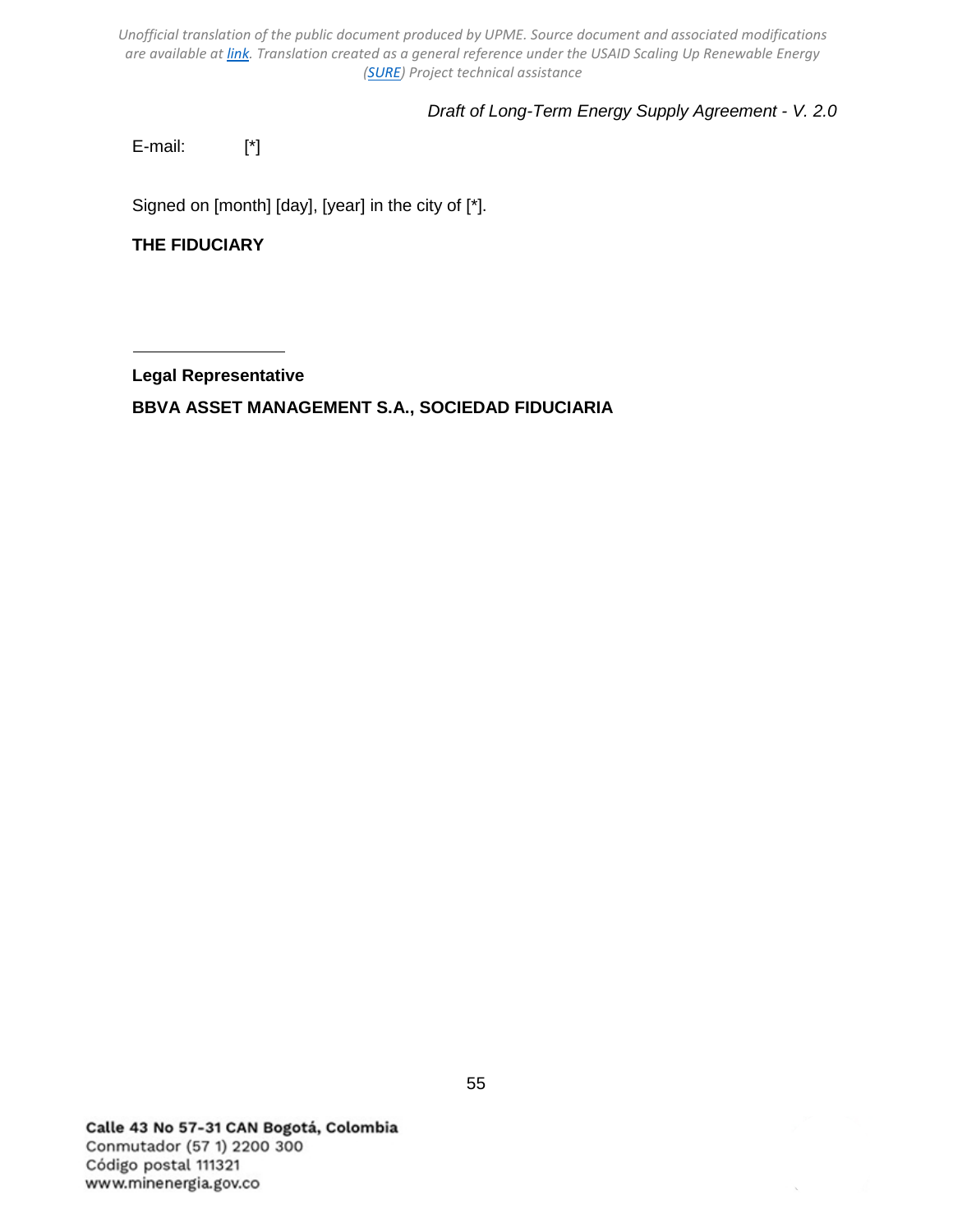# *Draft of Long-Term Energy Supply Agreement - V. 2.0*

E-mail: [\*]

Signed on [month] [day], [year] in the city of [\*].

**THE FIDUCIARY**

**Legal Representative**

**BBVA ASSET MANAGEMENT S.A., SOCIEDAD FIDUCIARIA**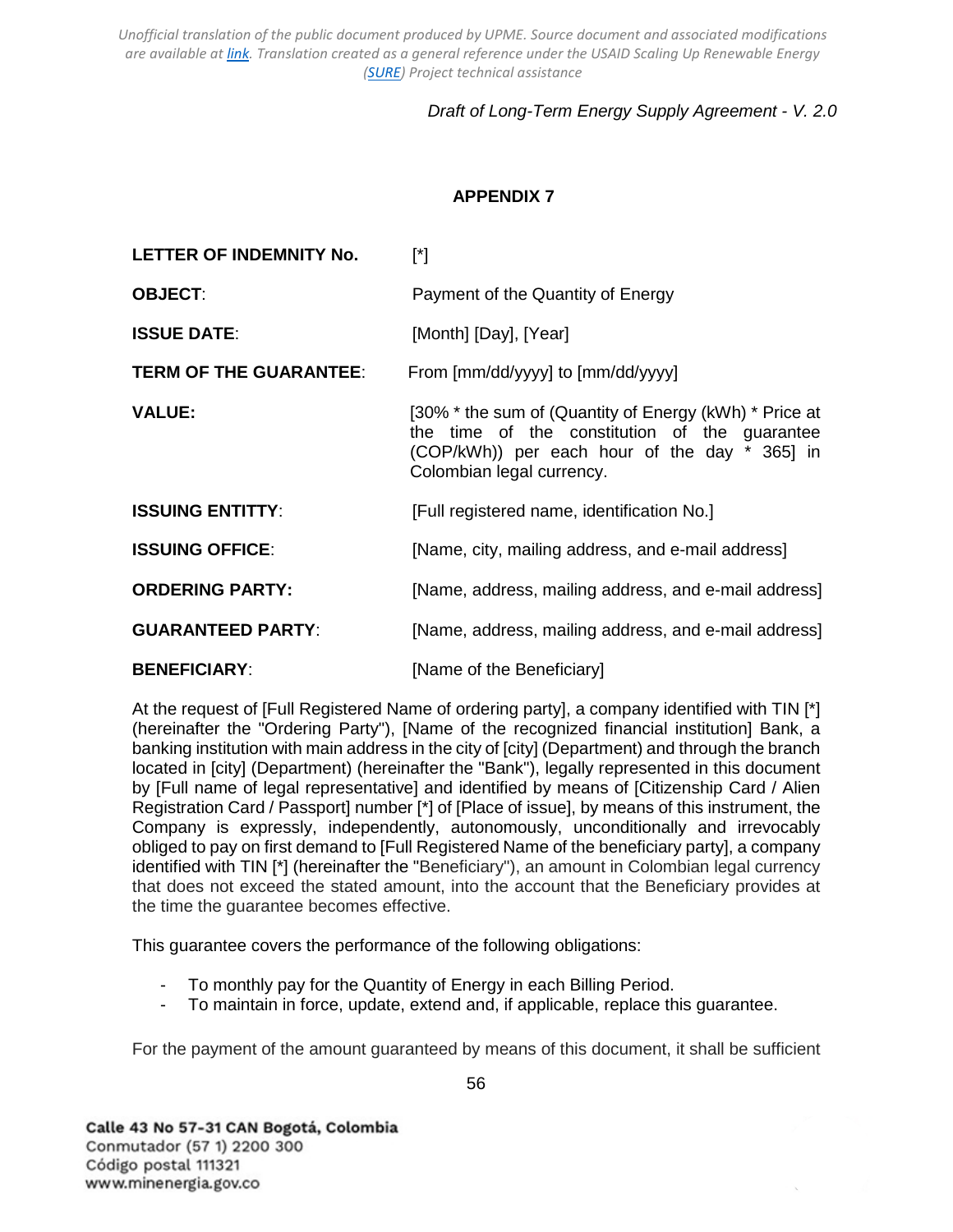# *Draft of Long-Term Energy Supply Agreement - V. 2.0*

# **APPENDIX 7**

<span id="page-55-0"></span>

| LETTER OF INDEMNITY No.       | $[^*]$                                                                                                                                                                                |
|-------------------------------|---------------------------------------------------------------------------------------------------------------------------------------------------------------------------------------|
| <b>OBJECT:</b>                | Payment of the Quantity of Energy                                                                                                                                                     |
| <b>ISSUE DATE:</b>            | [Month] [Day], [Year]                                                                                                                                                                 |
| <b>TERM OF THE GUARANTEE:</b> | From [mm/dd/yyyy] to [mm/dd/yyyy]                                                                                                                                                     |
| <b>VALUE:</b>                 | [30% * the sum of (Quantity of Energy (kWh) * Price at<br>the time of the constitution of the guarantee<br>(COP/kWh)) per each hour of the day * 365] in<br>Colombian legal currency. |
| <b>ISSUING ENTITTY:</b>       | [Full registered name, identification No.]                                                                                                                                            |
| <b>ISSUING OFFICE:</b>        | [Name, city, mailing address, and e-mail address]                                                                                                                                     |
| <b>ORDERING PARTY:</b>        | [Name, address, mailing address, and e-mail address]                                                                                                                                  |
| <b>GUARANTEED PARTY:</b>      | [Name, address, mailing address, and e-mail address]                                                                                                                                  |
| <b>BENEFICIARY:</b>           | [Name of the Beneficiary]                                                                                                                                                             |

At the request of [Full Registered Name of ordering party], a company identified with TIN [\*] (hereinafter the "Ordering Party"), [Name of the recognized financial institution] Bank, a banking institution with main address in the city of [city] (Department) and through the branch located in [city] (Department) (hereinafter the "Bank"), legally represented in this document by [Full name of legal representative] and identified by means of [Citizenship Card / Alien Registration Card / Passport] number [\*] of [Place of issue], by means of this instrument, the Company is expressly, independently, autonomously, unconditionally and irrevocably obliged to pay on first demand to [Full Registered Name of the beneficiary party], a company identified with TIN [\*] (hereinafter the "Beneficiary"), an amount in Colombian legal currency that does not exceed the stated amount, into the account that the Beneficiary provides at the time the guarantee becomes effective.

This guarantee covers the performance of the following obligations:

- To monthly pay for the Quantity of Energy in each Billing Period.
- To maintain in force, update, extend and, if applicable, replace this guarantee.

For the payment of the amount guaranteed by means of this document, it shall be sufficient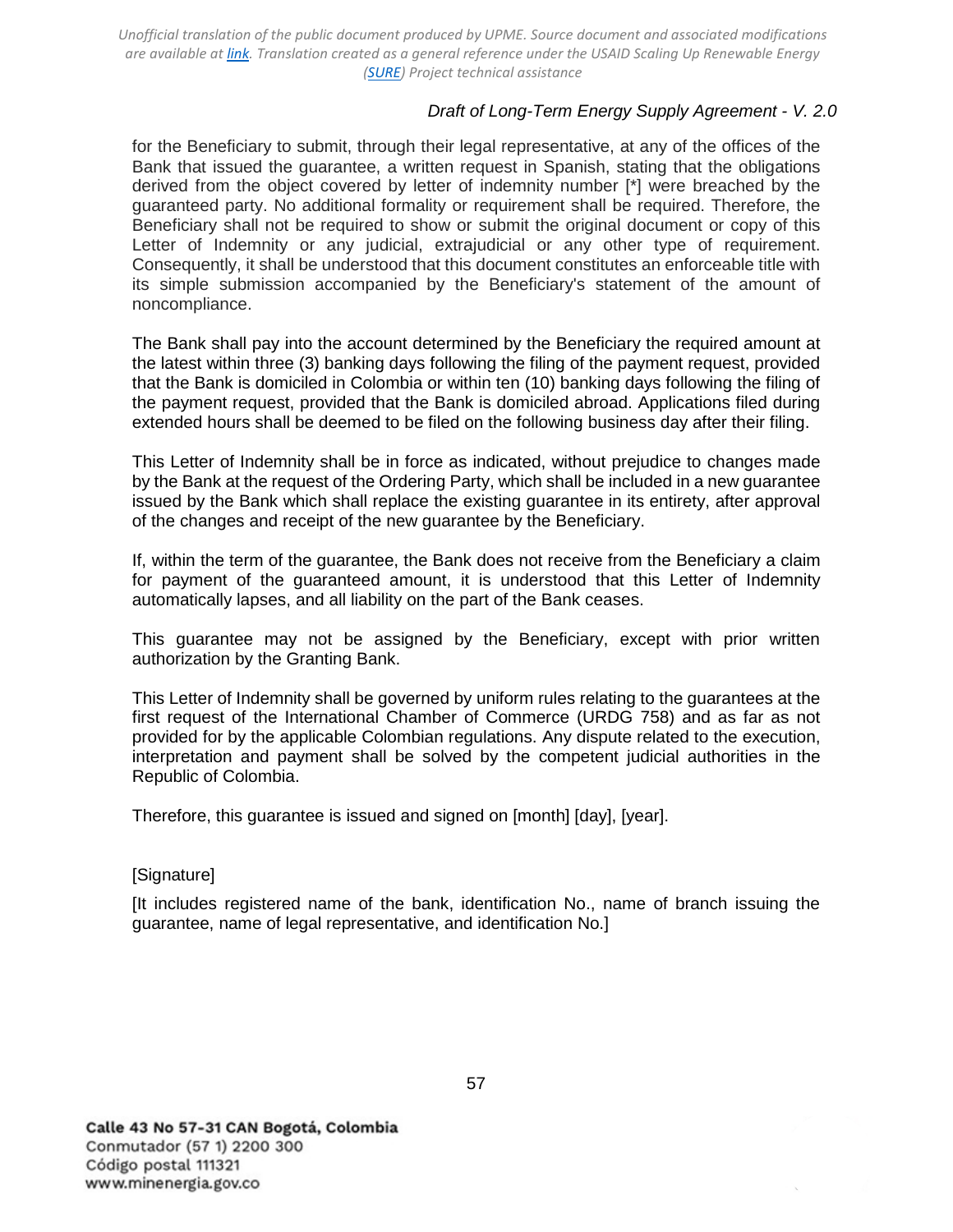## *Draft of Long-Term Energy Supply Agreement - V. 2.0*

for the Beneficiary to submit, through their legal representative, at any of the offices of the Bank that issued the guarantee, a written request in Spanish, stating that the obligations derived from the object covered by letter of indemnity number [\*] were breached by the guaranteed party. No additional formality or requirement shall be required. Therefore, the Beneficiary shall not be required to show or submit the original document or copy of this Letter of Indemnity or any judicial, extrajudicial or any other type of requirement. Consequently, it shall be understood that this document constitutes an enforceable title with its simple submission accompanied by the Beneficiary's statement of the amount of noncompliance.

The Bank shall pay into the account determined by the Beneficiary the required amount at the latest within three (3) banking days following the filing of the payment request, provided that the Bank is domiciled in Colombia or within ten (10) banking days following the filing of the payment request, provided that the Bank is domiciled abroad. Applications filed during extended hours shall be deemed to be filed on the following business day after their filing.

This Letter of Indemnity shall be in force as indicated, without prejudice to changes made by the Bank at the request of the Ordering Party, which shall be included in a new guarantee issued by the Bank which shall replace the existing guarantee in its entirety, after approval of the changes and receipt of the new guarantee by the Beneficiary.

If, within the term of the guarantee, the Bank does not receive from the Beneficiary a claim for payment of the guaranteed amount, it is understood that this Letter of Indemnity automatically lapses, and all liability on the part of the Bank ceases.

This guarantee may not be assigned by the Beneficiary, except with prior written authorization by the Granting Bank.

This Letter of Indemnity shall be governed by uniform rules relating to the guarantees at the first request of the International Chamber of Commerce (URDG 758) and as far as not provided for by the applicable Colombian regulations. Any dispute related to the execution, interpretation and payment shall be solved by the competent judicial authorities in the Republic of Colombia.

Therefore, this guarantee is issued and signed on [month] [day], [year].

#### [Signature]

[It includes registered name of the bank, identification No., name of branch issuing the guarantee, name of legal representative, and identification No.]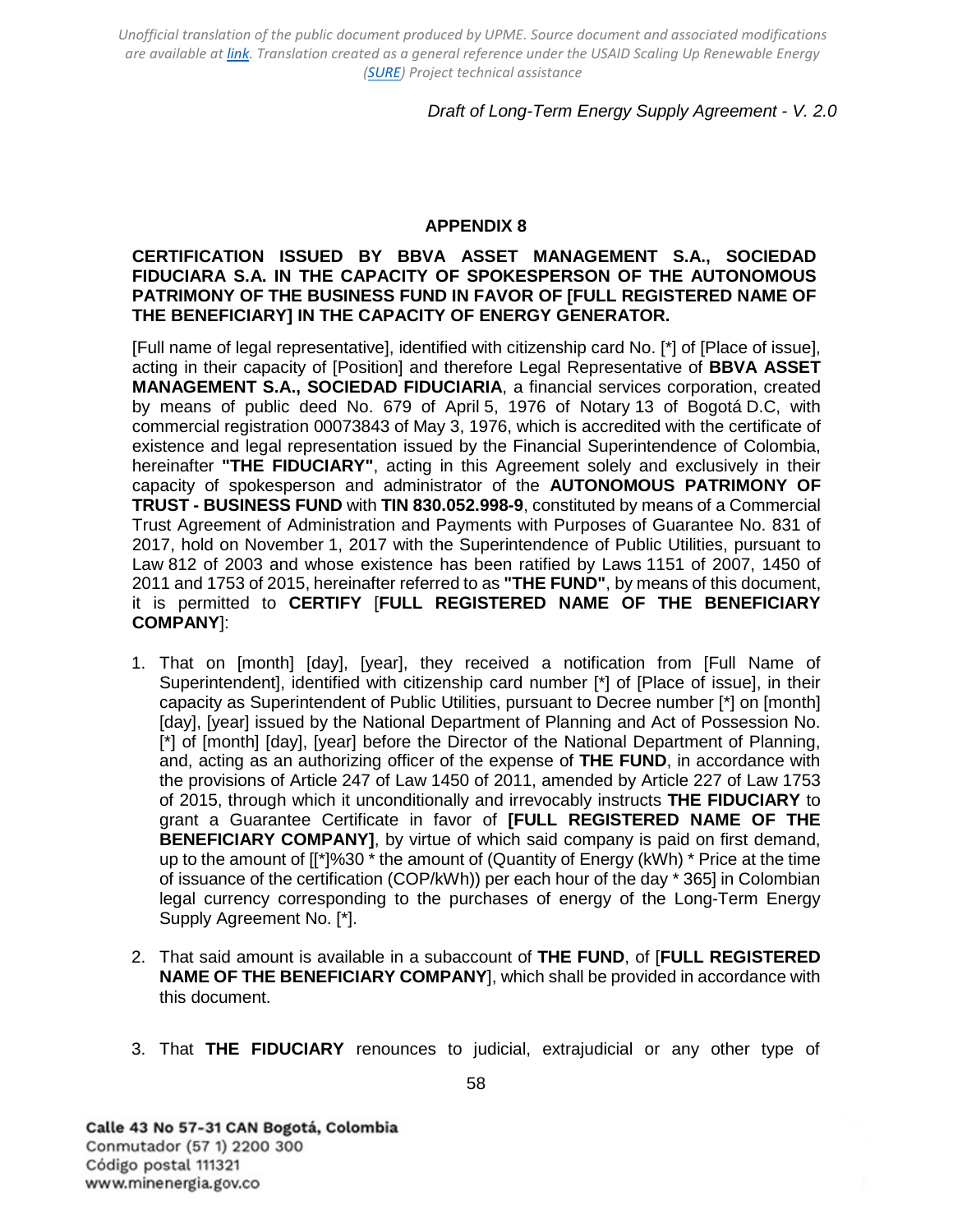## *Draft of Long-Term Energy Supply Agreement - V. 2.0*

#### **APPENDIX 8**

### <span id="page-57-0"></span>**CERTIFICATION ISSUED BY BBVA ASSET MANAGEMENT S.A., SOCIEDAD FIDUCIARA S.A. IN THE CAPACITY OF SPOKESPERSON OF THE AUTONOMOUS PATRIMONY OF THE BUSINESS FUND IN FAVOR OF [FULL REGISTERED NAME OF THE BENEFICIARY] IN THE CAPACITY OF ENERGY GENERATOR.**

[Full name of legal representative], identified with citizenship card No. [\*] of [Place of issue], acting in their capacity of [Position] and therefore Legal Representative of **BBVA ASSET MANAGEMENT S.A., SOCIEDAD FIDUCIARIA**, a financial services corporation, created by means of public deed No. 679 of April 5, 1976 of Notary 13 of Bogotá D.C, with commercial registration 00073843 of May 3, 1976, which is accredited with the certificate of existence and legal representation issued by the Financial Superintendence of Colombia, hereinafter **"THE FIDUCIARY"**, acting in this Agreement solely and exclusively in their capacity of spokesperson and administrator of the **AUTONOMOUS PATRIMONY OF TRUST - BUSINESS FUND** with **TIN 830.052.998-9**, constituted by means of a Commercial Trust Agreement of Administration and Payments with Purposes of Guarantee No. 831 of 2017, hold on November 1, 2017 with the Superintendence of Public Utilities, pursuant to Law 812 of 2003 and whose existence has been ratified by Laws 1151 of 2007, 1450 of 2011 and 1753 of 2015, hereinafter referred to as **"THE FUND"**, by means of this document, it is permitted to **CERTIFY** [**FULL REGISTERED NAME OF THE BENEFICIARY COMPANY**]:

- 1. That on [month] [day], [year], they received a notification from [Full Name of Superintendent], identified with citizenship card number [\*] of [Place of issue], in their capacity as Superintendent of Public Utilities, pursuant to Decree number [\*] on [month] [day], [year] issued by the National Department of Planning and Act of Possession No. [<sup>\*</sup>] of [month] [day], [year] before the Director of the National Department of Planning, and, acting as an authorizing officer of the expense of **THE FUND**, in accordance with the provisions of Article 247 of Law 1450 of 2011, amended by Article 227 of Law 1753 of 2015, through which it unconditionally and irrevocably instructs **THE FIDUCIARY** to grant a Guarantee Certificate in favor of **[FULL REGISTERED NAME OF THE BENEFICIARY COMPANY]**, by virtue of which said company is paid on first demand, up to the amount of  $[I^*]$ %30  $*$  the amount of (Quantity of Energy (kWh)  $*$  Price at the time of issuance of the certification (COP/kWh)) per each hour of the day \* 365] in Colombian legal currency corresponding to the purchases of energy of the Long-Term Energy Supply Agreement No. [\*].
- 2. That said amount is available in a subaccount of **THE FUND**, of [**FULL REGISTERED NAME OF THE BENEFICIARY COMPANY**], which shall be provided in accordance with this document.
- 3. That **THE FIDUCIARY** renounces to judicial, extrajudicial or any other type of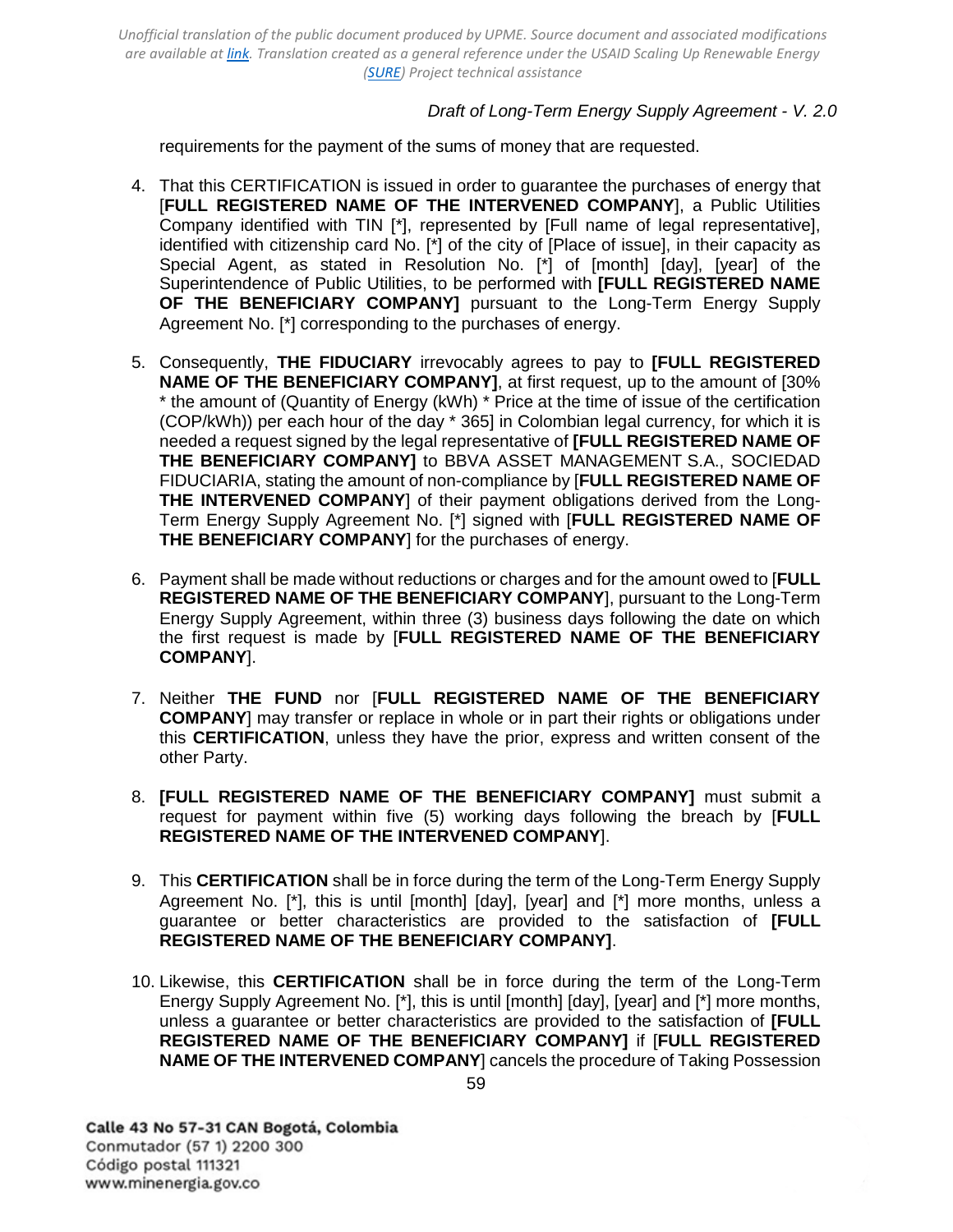## *Draft of Long-Term Energy Supply Agreement - V. 2.0*

requirements for the payment of the sums of money that are requested.

- 4. That this CERTIFICATION is issued in order to guarantee the purchases of energy that [**FULL REGISTERED NAME OF THE INTERVENED COMPANY**], a Public Utilities Company identified with TIN [\*], represented by [Full name of legal representative], identified with citizenship card No. [\*] of the city of [Place of issue], in their capacity as Special Agent, as stated in Resolution No. [\*] of [month] [day], [year] of the Superintendence of Public Utilities, to be performed with **[FULL REGISTERED NAME OF THE BENEFICIARY COMPANY]** pursuant to the Long-Term Energy Supply Agreement No. [\*] corresponding to the purchases of energy.
- 5. Consequently, **THE FIDUCIARY** irrevocably agrees to pay to **[FULL REGISTERED NAME OF THE BENEFICIARY COMPANY]**, at first request, up to the amount of [30% \* the amount of (Quantity of Energy (kWh) \* Price at the time of issue of the certification (COP/kWh)) per each hour of the day \* 365] in Colombian legal currency, for which it is needed a request signed by the legal representative of **[FULL REGISTERED NAME OF THE BENEFICIARY COMPANY]** to BBVA ASSET MANAGEMENT S.A., SOCIEDAD FIDUCIARIA, stating the amount of non-compliance by [**FULL REGISTERED NAME OF THE INTERVENED COMPANY**] of their payment obligations derived from the Long-Term Energy Supply Agreement No. [\*] signed with [**FULL REGISTERED NAME OF THE BENEFICIARY COMPANY**] for the purchases of energy.
- 6. Payment shall be made without reductions or charges and for the amount owed to [**FULL REGISTERED NAME OF THE BENEFICIARY COMPANY**], pursuant to the Long-Term Energy Supply Agreement, within three (3) business days following the date on which the first request is made by [**FULL REGISTERED NAME OF THE BENEFICIARY COMPANY**].
- 7. Neither **THE FUND** nor [**FULL REGISTERED NAME OF THE BENEFICIARY COMPANY**] may transfer or replace in whole or in part their rights or obligations under this **CERTIFICATION**, unless they have the prior, express and written consent of the other Party.
- 8. **[FULL REGISTERED NAME OF THE BENEFICIARY COMPANY]** must submit a request for payment within five (5) working days following the breach by [**FULL REGISTERED NAME OF THE INTERVENED COMPANY**].
- 9. This **CERTIFICATION** shall be in force during the term of the Long-Term Energy Supply Agreement No. [\*], this is until [month] [day], [year] and [\*] more months, unless a guarantee or better characteristics are provided to the satisfaction of **[FULL REGISTERED NAME OF THE BENEFICIARY COMPANY]**.
- 10. Likewise, this **CERTIFICATION** shall be in force during the term of the Long-Term Energy Supply Agreement No. [\*], this is until [month] [day], [year] and [\*] more months, unless a guarantee or better characteristics are provided to the satisfaction of **[FULL REGISTERED NAME OF THE BENEFICIARY COMPANY]** if [**FULL REGISTERED NAME OF THE INTERVENED COMPANY**] cancels the procedure of Taking Possession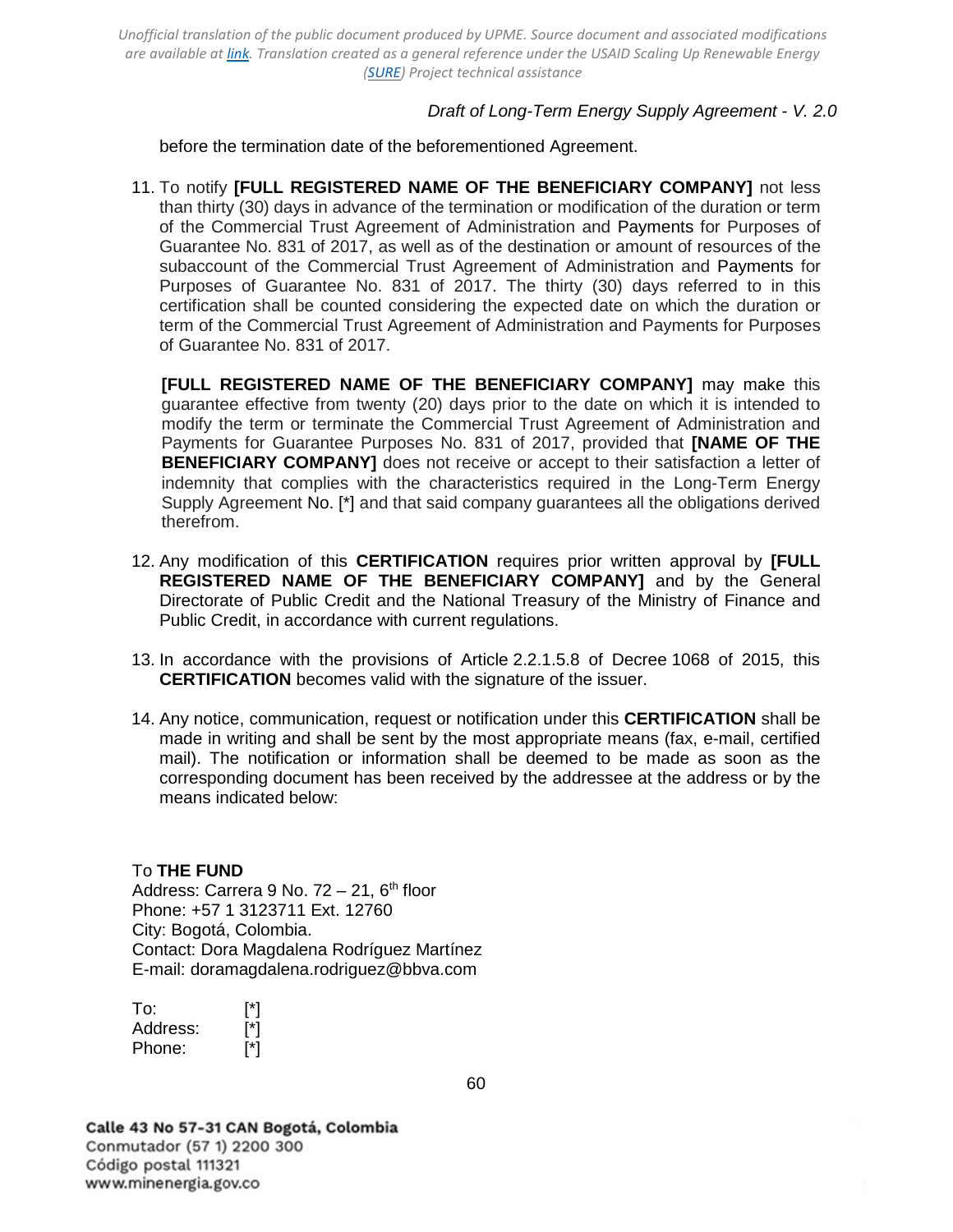### *Draft of Long-Term Energy Supply Agreement - V. 2.0*

before the termination date of the beforementioned Agreement.

11. To notify **[FULL REGISTERED NAME OF THE BENEFICIARY COMPANY]** not less than thirty (30) days in advance of the termination or modification of the duration or term of the Commercial Trust Agreement of Administration and Payments for Purposes of Guarantee No. 831 of 2017, as well as of the destination or amount of resources of the subaccount of the Commercial Trust Agreement of Administration and Payments for Purposes of Guarantee No. 831 of 2017. The thirty (30) days referred to in this certification shall be counted considering the expected date on which the duration or term of the Commercial Trust Agreement of Administration and Payments for Purposes of Guarantee No. 831 of 2017.

**[FULL REGISTERED NAME OF THE BENEFICIARY COMPANY]** may make this guarantee effective from twenty (20) days prior to the date on which it is intended to modify the term or terminate the Commercial Trust Agreement of Administration and Payments for Guarantee Purposes No. 831 of 2017, provided that **[NAME OF THE BENEFICIARY COMPANY]** does not receive or accept to their satisfaction a letter of indemnity that complies with the characteristics required in the Long-Term Energy Supply Agreement No. [\*] and that said company guarantees all the obligations derived therefrom.

- 12. Any modification of this **CERTIFICATION** requires prior written approval by **[FULL REGISTERED NAME OF THE BENEFICIARY COMPANY]** and by the General Directorate of Public Credit and the National Treasury of the Ministry of Finance and Public Credit, in accordance with current regulations.
- 13. In accordance with the provisions of Article 2.2.1.5.8 of Decree 1068 of 2015, this **CERTIFICATION** becomes valid with the signature of the issuer.
- 14. Any notice, communication, request or notification under this **CERTIFICATION** shall be made in writing and shall be sent by the most appropriate means (fax, e-mail, certified mail). The notification or information shall be deemed to be made as soon as the corresponding document has been received by the addressee at the address or by the means indicated below:

#### To **THE FUND**

Address: Carrera 9 No.  $72 - 21$ ,  $6<sup>th</sup>$  floor Phone: +57 1 3123711 Ext. 12760 City: Bogotá, Colombia. Contact: Dora Magdalena Rodríguez Martínez E-mail: [doramagdalena.rodriguez@bbva.com](mailto:doramagdalena.rodriguez@bbva.com)

| To:      | [*] |
|----------|-----|
| Address: | [*] |
| Phone:   | [*] |

Calle 43 No 57-31 CAN Bogotá, Colombia Conmutador (57 1) 2200 300 Código postal 111321 www.minenergia.gov.co

60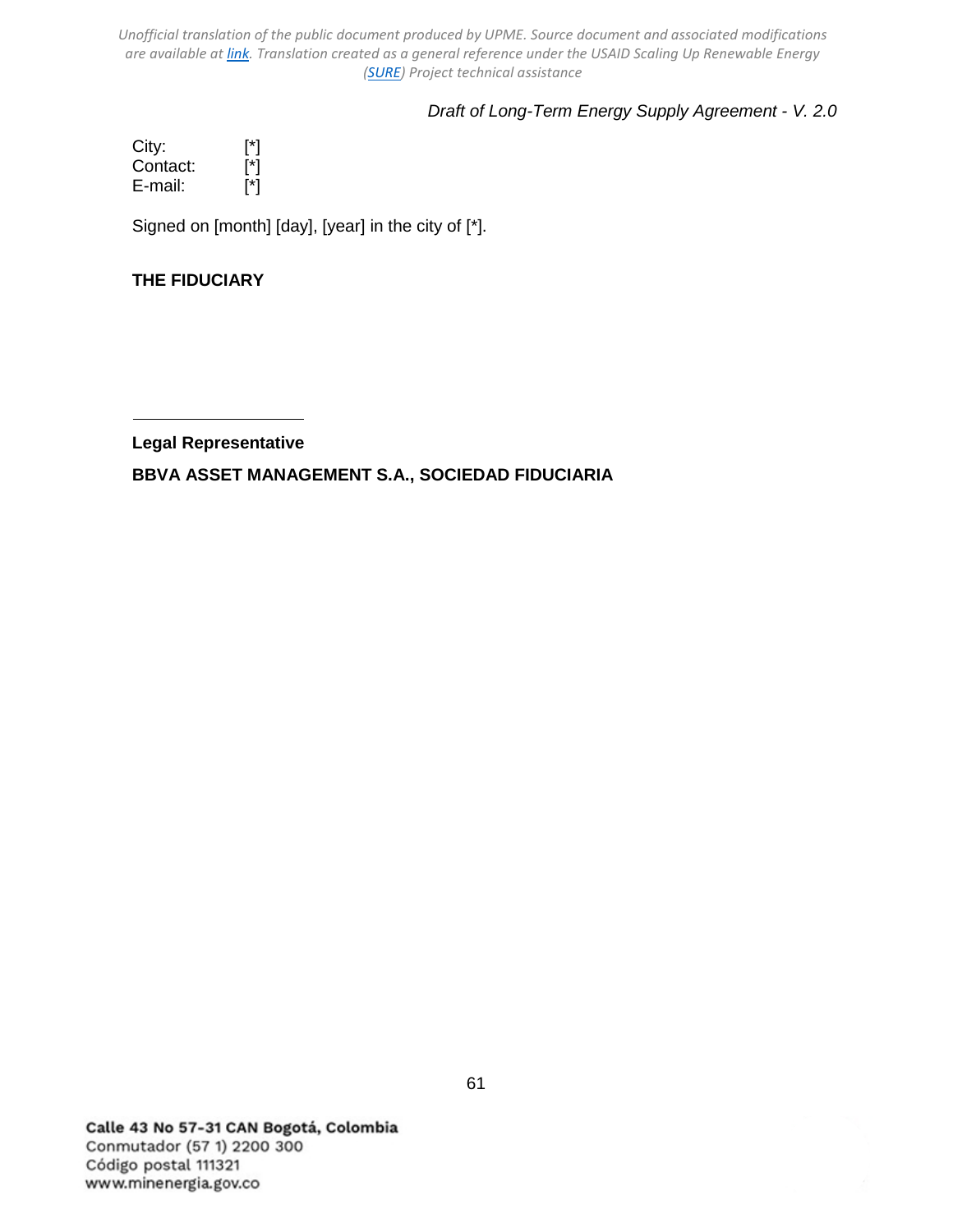# *Draft of Long-Term Energy Supply Agreement - V. 2.0*

City: [\*]<br>Contact: [\*]<br>E-mail: [\*] Contact: E-mail:

Signed on [month] [day], [year] in the city of [\*].

# **THE FIDUCIARY**

**Legal Representative**

**BBVA ASSET MANAGEMENT S.A., SOCIEDAD FIDUCIARIA**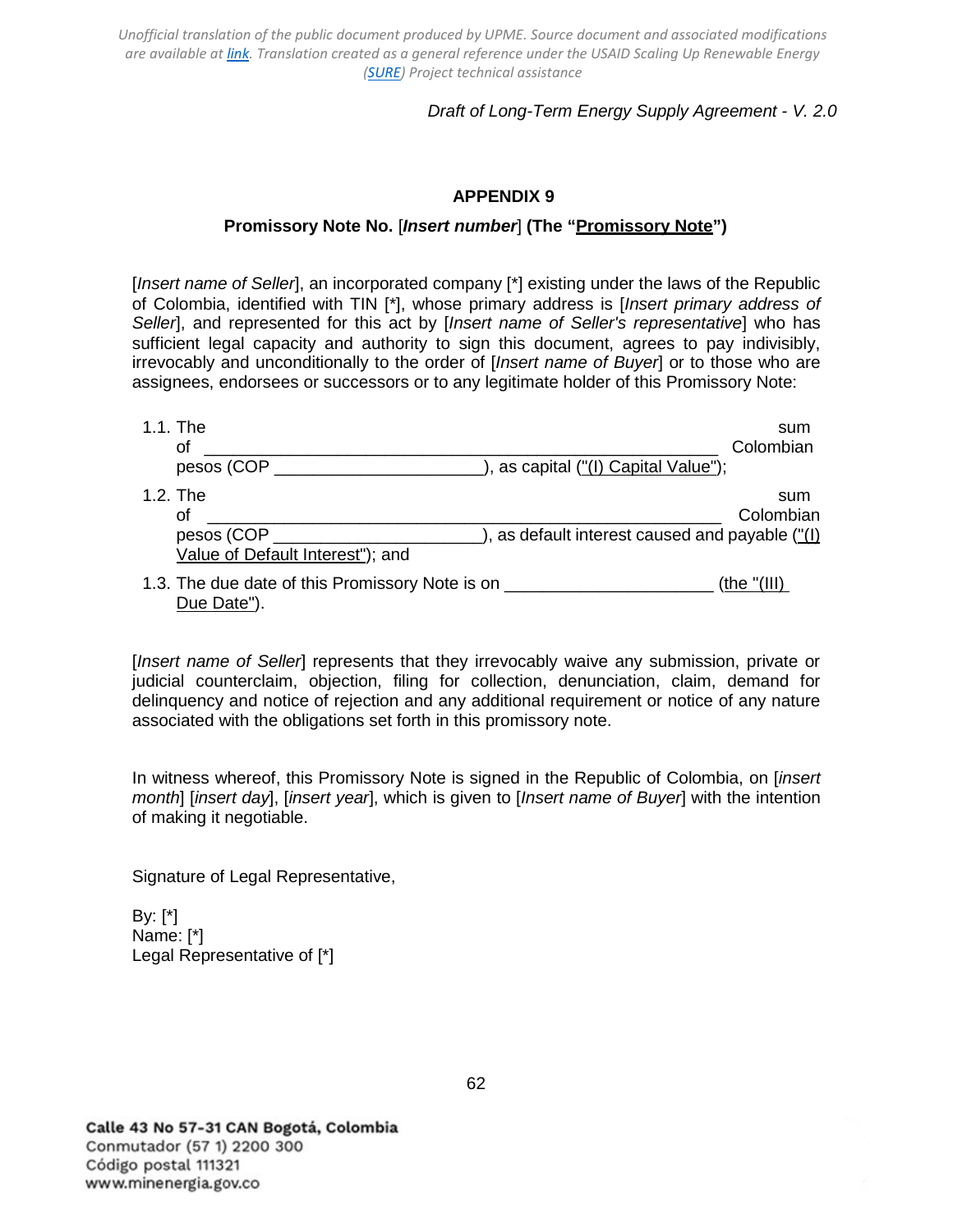## *Draft of Long-Term Energy Supply Agreement - V. 2.0*

### **APPENDIX 9**

### **Promissory Note No.** [*Insert number*] **(The "Promissory Note")**

<span id="page-61-0"></span>[*Insert name of Seller*], an incorporated company [\*] existing under the laws of the Republic of Colombia, identified with TIN [\*], whose primary address is [*Insert primary address of Seller*], and represented for this act by [*Insert name of Seller's representative*] who has sufficient legal capacity and authority to sign this document, agrees to pay indivisibly, irrevocably and unconditionally to the order of [*Insert name of Buyer*] or to those who are assignees, endorsees or successors or to any legitimate holder of this Promissory Note:

| 1.1. The                                                              | sum                                             |
|-----------------------------------------------------------------------|-------------------------------------------------|
| οt                                                                    | Colombian                                       |
| pesos (COP                                                            | ), as capital ("(I) Capital Value");            |
| $1.2.$ The<br>οf                                                      | sum<br>Colombian                                |
| pesos (COP<br>Value of Default Interest"); and                        | ), as default interest caused and payable ("(I) |
| 1.3. The due date of this Promissory Note is on ______<br>Due Date"). | (the "(III))                                    |

[*Insert name of Seller*] represents that they irrevocably waive any submission, private or judicial counterclaim, objection, filing for collection, denunciation, claim, demand for delinquency and notice of rejection and any additional requirement or notice of any nature associated with the obligations set forth in this promissory note.

In witness whereof, this Promissory Note is signed in the Republic of Colombia, on [*insert month*] [*insert day*], [*insert year*], which is given to [*Insert name of Buyer*] with the intention of making it negotiable.

Signature of Legal Representative,

By: [\*] Name: [\*] Legal Representative of [\*]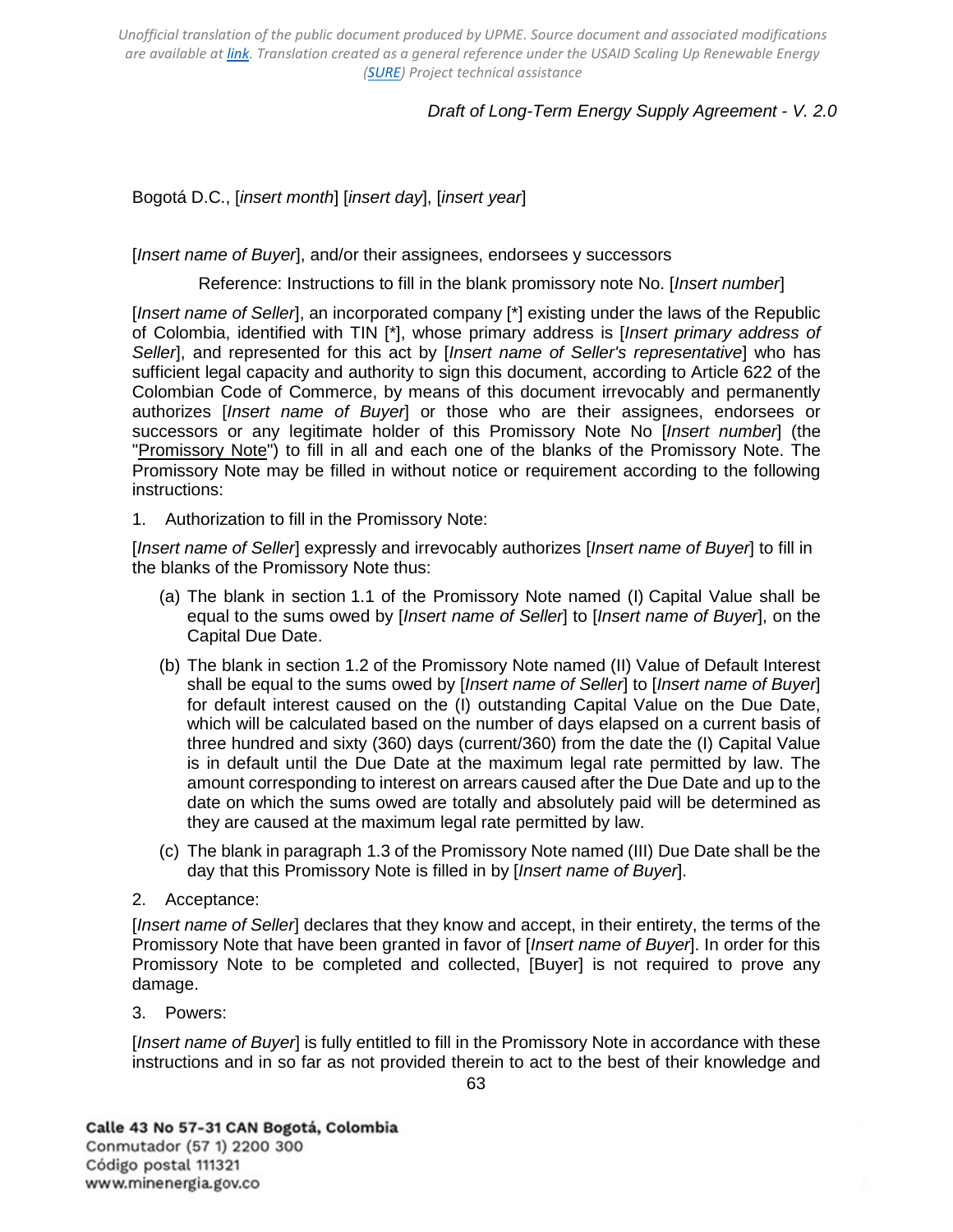# *Draft of Long-Term Energy Supply Agreement - V. 2.0*

Bogotá D.C., [*insert month*] [*insert day*], [*insert year*]

[*Insert name of Buyer*], and/or their assignees, endorsees y successors

Reference: Instructions to fill in the blank promissory note No. [*Insert number*]

[Insert name of Seller], an incorporated company [\*] existing under the laws of the Republic of Colombia, identified with TIN [\*], whose primary address is [*Insert primary address of Seller*], and represented for this act by [*Insert name of Seller's representative*] who has sufficient legal capacity and authority to sign this document, according to Article 622 of the Colombian Code of Commerce, by means of this document irrevocably and permanently authorizes [*Insert name of Buyer*] or those who are their assignees, endorsees or successors or any legitimate holder of this Promissory Note No [*Insert number*] (the "Promissory Note") to fill in all and each one of the blanks of the Promissory Note. The Promissory Note may be filled in without notice or requirement according to the following instructions:

1. Authorization to fill in the Promissory Note:

[*Insert name of Seller*] expressly and irrevocably authorizes [*Insert name of Buyer*] to fill in the blanks of the Promissory Note thus:

- (a) The blank in section 1.1 of the Promissory Note named (I) Capital Value shall be equal to the sums owed by [*Insert name of Seller*] to [*Insert name of Buyer*], on the Capital Due Date.
- (b) The blank in section 1.2 of the Promissory Note named (II) Value of Default Interest shall be equal to the sums owed by [*Insert name of Seller*] to [*Insert name of Buyer*] for default interest caused on the (I) outstanding Capital Value on the Due Date, which will be calculated based on the number of days elapsed on a current basis of three hundred and sixty (360) days (current/360) from the date the (I) Capital Value is in default until the Due Date at the maximum legal rate permitted by law. The amount corresponding to interest on arrears caused after the Due Date and up to the date on which the sums owed are totally and absolutely paid will be determined as they are caused at the maximum legal rate permitted by law.
- (c) The blank in paragraph 1.3 of the Promissory Note named (III) Due Date shall be the day that this Promissory Note is filled in by [*Insert name of Buyer*].
- 2. Acceptance:

[*Insert name of Seller*] declares that they know and accept, in their entirety, the terms of the Promissory Note that have been granted in favor of [*Insert name of Buyer*]. In order for this Promissory Note to be completed and collected, [Buyer] is not required to prove any damage.

3. Powers:

[*Insert name of Buyer*] is fully entitled to fill in the Promissory Note in accordance with these instructions and in so far as not provided therein to act to the best of their knowledge and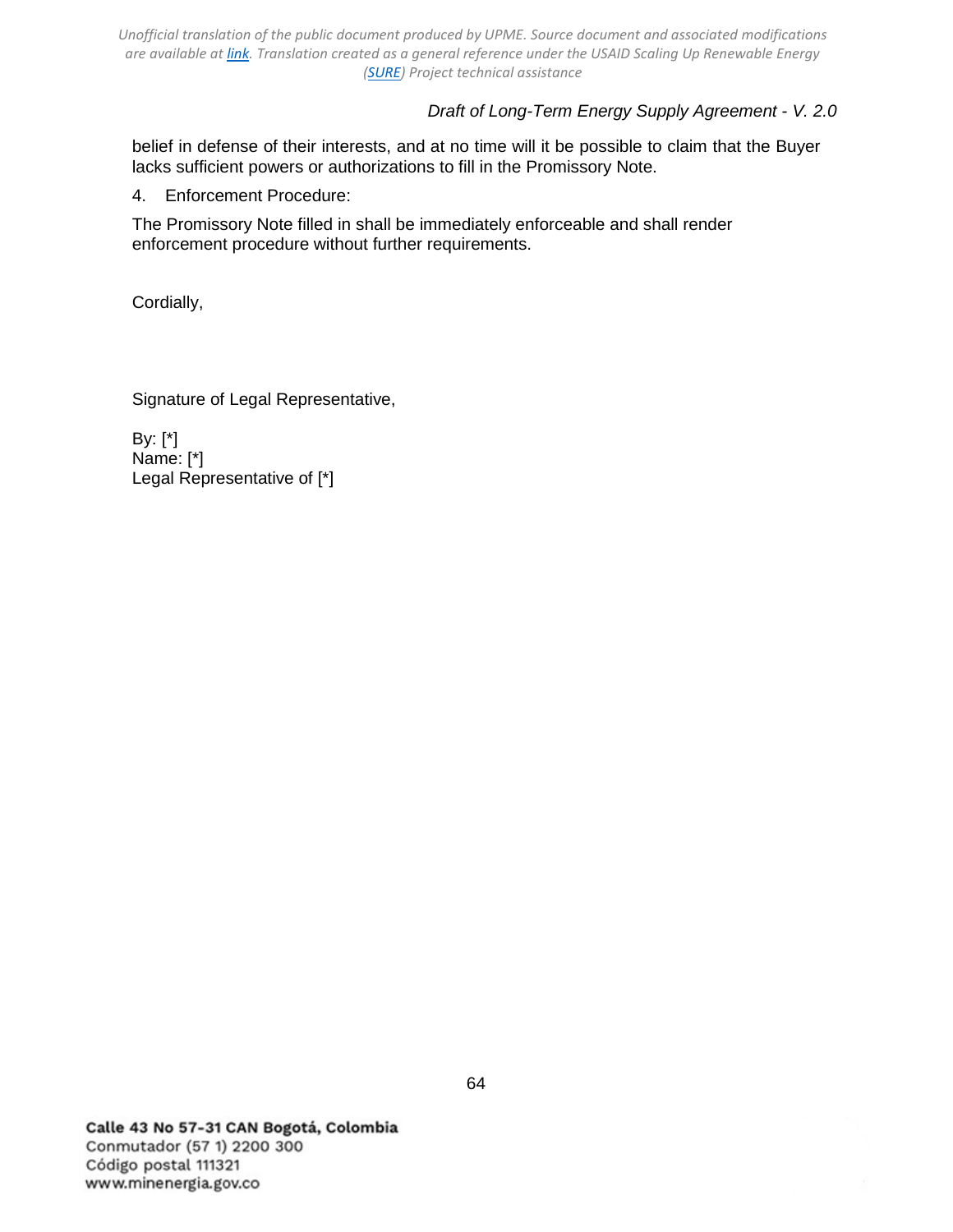# *Draft of Long-Term Energy Supply Agreement - V. 2.0*

belief in defense of their interests, and at no time will it be possible to claim that the Buyer lacks sufficient powers or authorizations to fill in the Promissory Note.

4. Enforcement Procedure:

The Promissory Note filled in shall be immediately enforceable and shall render enforcement procedure without further requirements.

Cordially,

Signature of Legal Representative,

By: [\*] Name: [\*] Legal Representative of [\*]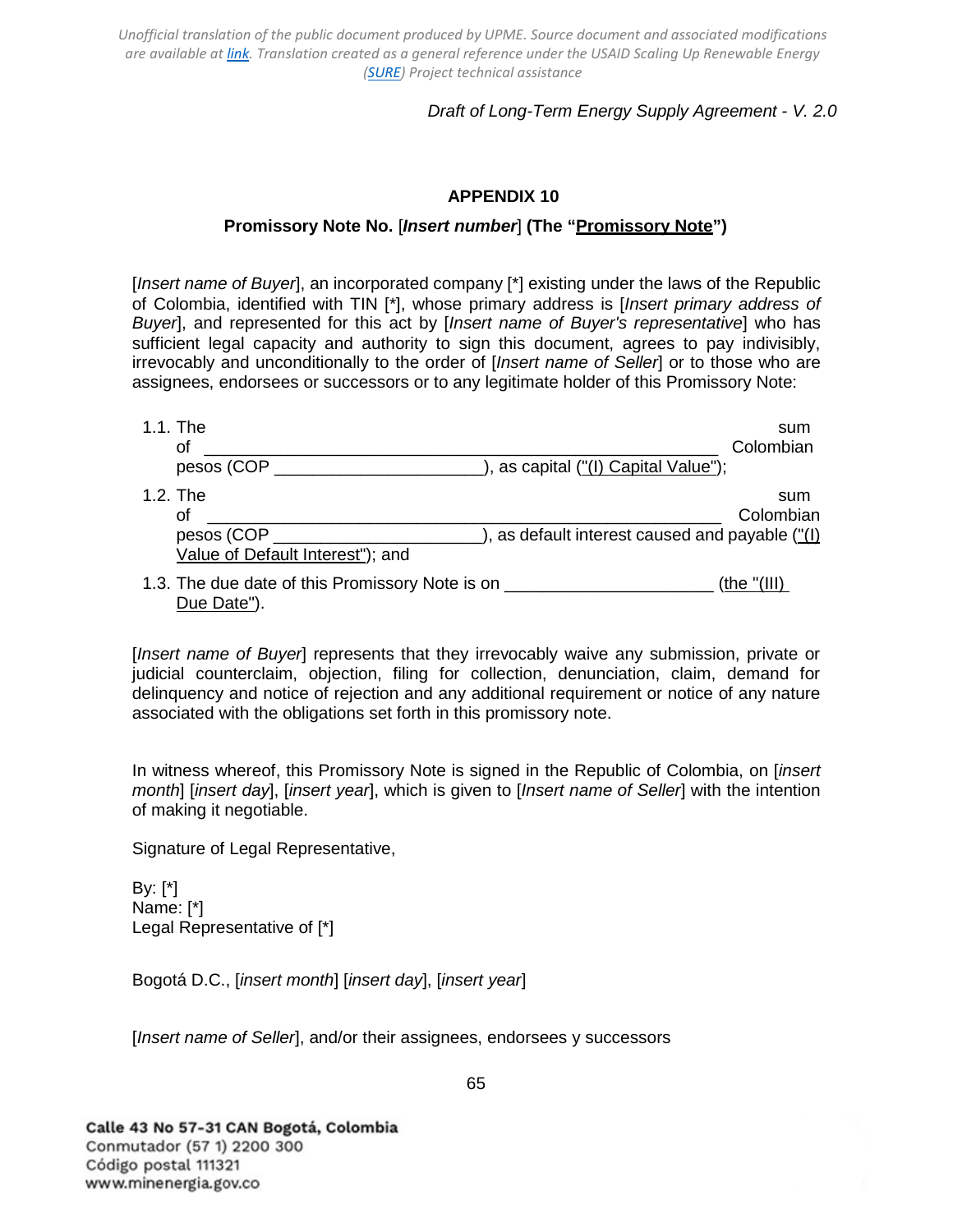# *Draft of Long-Term Energy Supply Agreement - V. 2.0*

### **APPENDIX 10**

### **Promissory Note No.** [*Insert number*] **(The "Promissory Note")**

<span id="page-64-0"></span>[*Insert name of Buyer*], an incorporated company [\*] existing under the laws of the Republic of Colombia, identified with TIN [\*], whose primary address is [*Insert primary address of Buyer*], and represented for this act by [*Insert name of Buyer's representative*] who has sufficient legal capacity and authority to sign this document, agrees to pay indivisibly, irrevocably and unconditionally to the order of [*Insert name of Seller*] or to those who are assignees, endorsees or successors or to any legitimate holder of this Promissory Note:

| 1.1. The                                                                                        | sum                                                                 |
|-------------------------------------------------------------------------------------------------|---------------------------------------------------------------------|
| оf                                                                                              | Colombian                                                           |
| pesos (COP                                                                                      | ), as capital ("(I) Capital Value");                                |
| 1.2. The                                                                                        | sum                                                                 |
| οf                                                                                              | Colombian                                                           |
| pesos (COP                                                                                      | $\Box$ ), as default interest caused and payable $\frac{f''(1)}{2}$ |
| Value of Default Interest"); and                                                                |                                                                     |
| 1.3. The due date of this Promissory Note is on ________________________________<br>Due Date"). | (the $"(III)$ )                                                     |

[*Insert name of Buyer*] represents that they irrevocably waive any submission, private or judicial counterclaim, objection, filing for collection, denunciation, claim, demand for delinquency and notice of rejection and any additional requirement or notice of any nature associated with the obligations set forth in this promissory note.

In witness whereof, this Promissory Note is signed in the Republic of Colombia, on [*insert month*] [*insert day*], [*insert year*], which is given to [*Insert name of Seller*] with the intention of making it negotiable.

Signature of Legal Representative,

By: [\*] Name: [\*] Legal Representative of [\*]

Bogotá D.C., [*insert month*] [*insert day*], [*insert year*]

[*Insert name of Seller*], and/or their assignees, endorsees y successors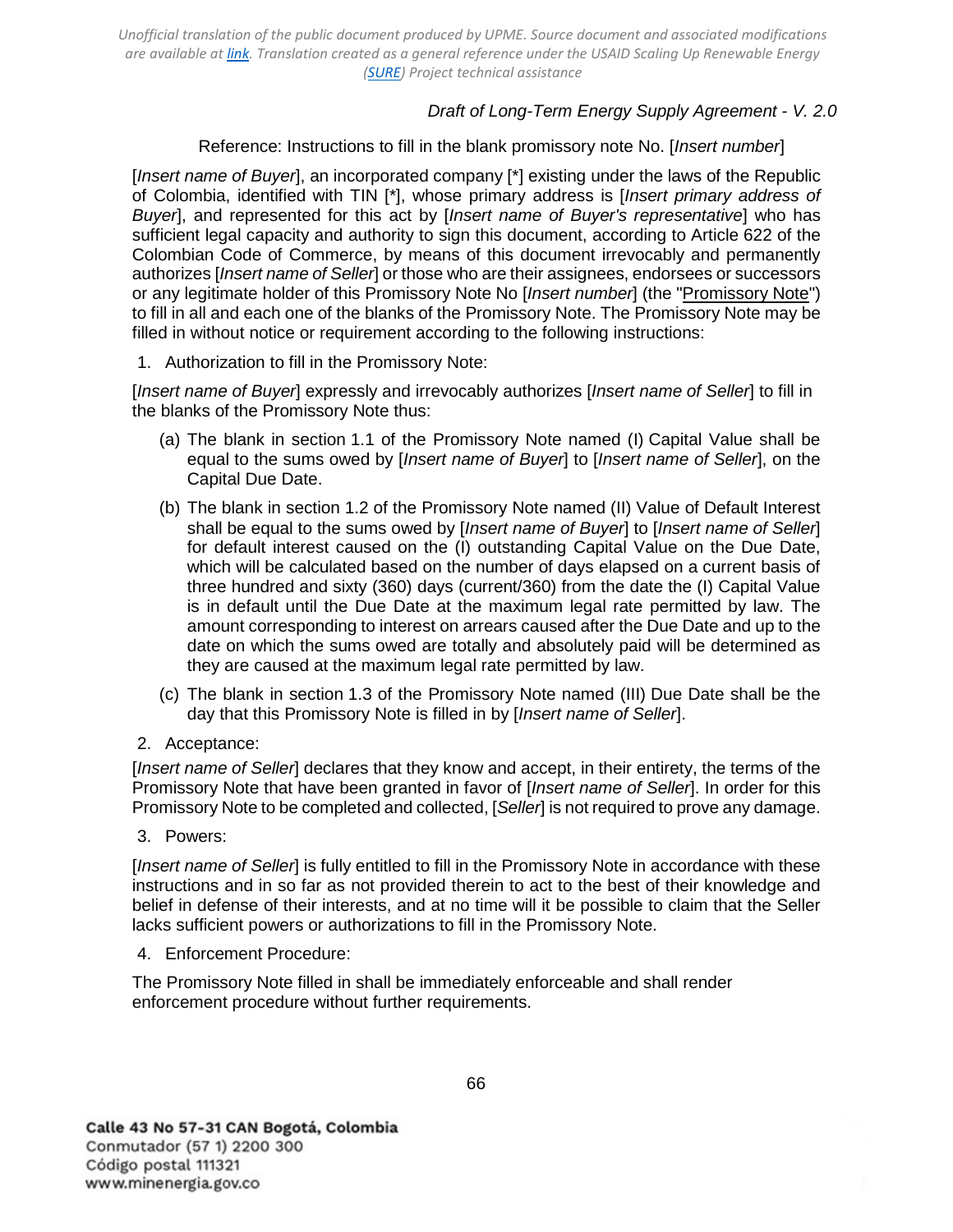# *Draft of Long-Term Energy Supply Agreement - V. 2.0*

Reference: Instructions to fill in the blank promissory note No. [*Insert number*]

[*Insert name of Buyer*], an incorporated company [\*] existing under the laws of the Republic of Colombia, identified with TIN [\*], whose primary address is [*Insert primary address of Buyer*], and represented for this act by [*Insert name of Buyer's representative*] who has sufficient legal capacity and authority to sign this document, according to Article 622 of the Colombian Code of Commerce, by means of this document irrevocably and permanently authorizes [*Insert name of Seller*] or those who are their assignees, endorsees or successors or any legitimate holder of this Promissory Note No [*Insert number*] (the "Promissory Note") to fill in all and each one of the blanks of the Promissory Note. The Promissory Note may be filled in without notice or requirement according to the following instructions:

1. Authorization to fill in the Promissory Note:

[*Insert name of Buyer*] expressly and irrevocably authorizes [*Insert name of Seller*] to fill in the blanks of the Promissory Note thus:

- (a) The blank in section 1.1 of the Promissory Note named (I) Capital Value shall be equal to the sums owed by [*Insert name of Buyer*] to [*Insert name of Seller*], on the Capital Due Date.
- (b) The blank in section 1.2 of the Promissory Note named (II) Value of Default Interest shall be equal to the sums owed by [*Insert name of Buyer*] to [*Insert name of Seller*] for default interest caused on the (I) outstanding Capital Value on the Due Date, which will be calculated based on the number of days elapsed on a current basis of three hundred and sixty (360) days (current/360) from the date the (I) Capital Value is in default until the Due Date at the maximum legal rate permitted by law. The amount corresponding to interest on arrears caused after the Due Date and up to the date on which the sums owed are totally and absolutely paid will be determined as they are caused at the maximum legal rate permitted by law.
- (c) The blank in section 1.3 of the Promissory Note named (III) Due Date shall be the day that this Promissory Note is filled in by [*Insert name of Seller*].
- 2. Acceptance:

[*Insert name of Seller*] declares that they know and accept, in their entirety, the terms of the Promissory Note that have been granted in favor of [*Insert name of Seller*]. In order for this Promissory Note to be completed and collected, [*Seller*] is not required to prove any damage.

3. Powers:

[*Insert name of Seller*] is fully entitled to fill in the Promissory Note in accordance with these instructions and in so far as not provided therein to act to the best of their knowledge and belief in defense of their interests, and at no time will it be possible to claim that the Seller lacks sufficient powers or authorizations to fill in the Promissory Note.

4. Enforcement Procedure:

The Promissory Note filled in shall be immediately enforceable and shall render enforcement procedure without further requirements.